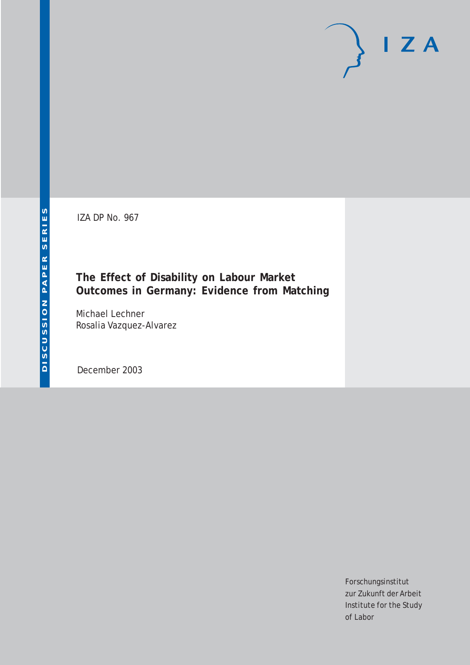IZA DP No. 967

## **The Effect of Disability on Labour Market Outcomes in Germany: Evidence from Matching**

Michael Lechner Rosalia Vazquez-Alvarez

December 2003

Forschungsinstitut zur Zukunft der Arbeit Institute for the Study of Labor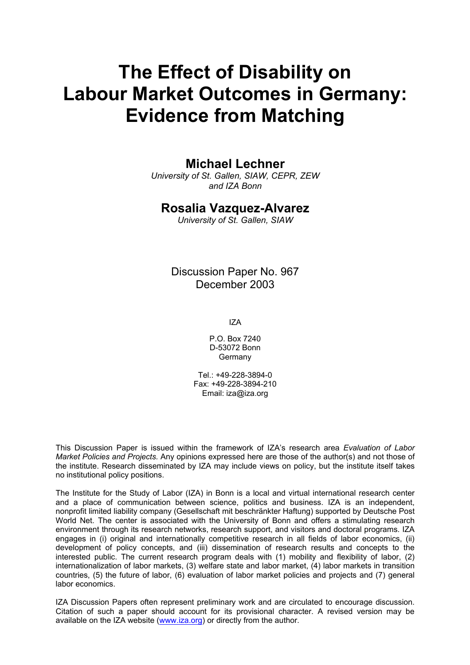# **The Effect of Disability on Labour Market Outcomes in Germany: Evidence from Matching**

## **Michael Lechner**

*University of St. Gallen, SIAW, CEPR, ZEW and IZA Bonn* 

### **Rosalia Vazquez-Alvarez**

*University of St. Gallen, SIAW*

Discussion Paper No. 967 December 2003

IZA

P.O. Box 7240 D-53072 Bonn **Germany** 

Tel.: +49-228-3894-0 Fax: +49-228-3894-210 Email: [iza@iza.org](mailto:iza@iza.org)

This Discussion Paper is issued within the framework of IZA's research area *Evaluation of Labor Market Policies and Projects.* Any opinions expressed here are those of the author(s) and not those of the institute. Research disseminated by IZA may include views on policy, but the institute itself takes no institutional policy positions.

The Institute for the Study of Labor (IZA) in Bonn is a local and virtual international research center and a place of communication between science, politics and business. IZA is an independent, nonprofit limited liability company (Gesellschaft mit beschränkter Haftung) supported by Deutsche Post World Net. The center is associated with the University of Bonn and offers a stimulating research environment through its research networks, research support, and visitors and doctoral programs. IZA engages in (i) original and internationally competitive research in all fields of labor economics, (ii) development of policy concepts, and (iii) dissemination of research results and concepts to the interested public. The current research program deals with (1) mobility and flexibility of labor, (2) internationalization of labor markets, (3) welfare state and labor market, (4) labor markets in transition countries, (5) the future of labor, (6) evaluation of labor market policies and projects and (7) general labor economics.

IZA Discussion Papers often represent preliminary work and are circulated to encourage discussion. Citation of such a paper should account for its provisional character. A revised version may be available on the IZA website ([www.iza.org](http://www.iza.org/)) or directly from the author.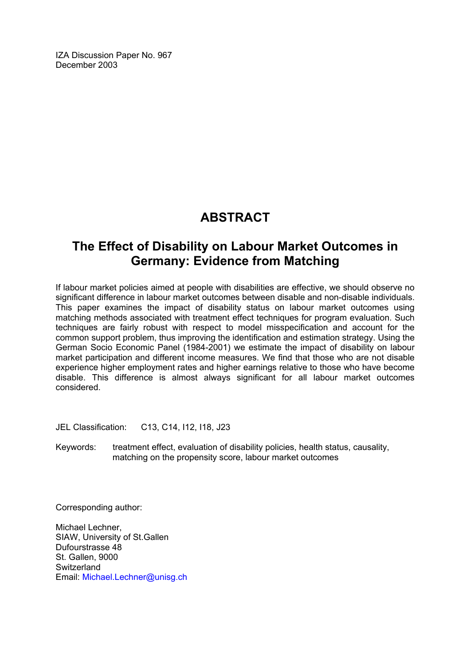IZA Discussion Paper No. 967 December 2003

## **ABSTRACT**

## **The Effect of Disability on Labour Market Outcomes in Germany: Evidence from Matching**

If labour market policies aimed at people with disabilities are effective, we should observe no significant difference in labour market outcomes between disable and non-disable individuals. This paper examines the impact of disability status on labour market outcomes using matching methods associated with treatment effect techniques for program evaluation. Such techniques are fairly robust with respect to model misspecification and account for the common support problem, thus improving the identification and estimation strategy. Using the German Socio Economic Panel (1984-2001) we estimate the impact of disability on labour market participation and different income measures. We find that those who are not disable experience higher employment rates and higher earnings relative to those who have become disable. This difference is almost always significant for all labour market outcomes considered.

JEL Classification: C13, C14, I12, I18, J23

Keywords: treatment effect, evaluation of disability policies, health status, causality, matching on the propensity score, labour market outcomes

Corresponding author:

Michael Lechner, SIAW, University of St.Gallen Dufourstrasse 48 St. Gallen, 9000 **Switzerland** Email: Michael.Lechner@unisg.ch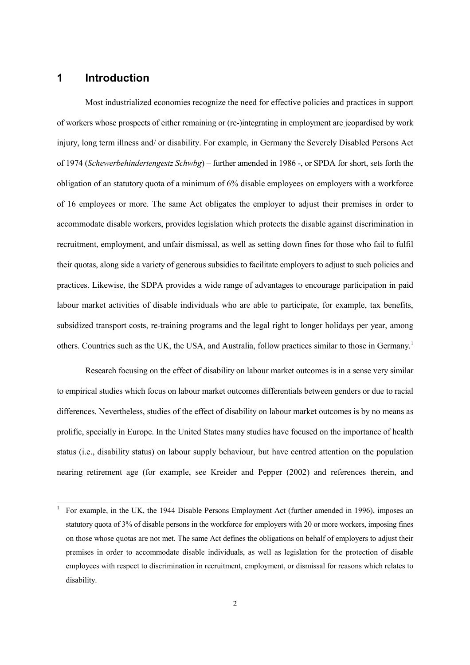### **1 Introduction**

 $\overline{a}$ 

Most industrialized economies recognize the need for effective policies and practices in support of workers whose prospects of either remaining or (re-)integrating in employment are jeopardised by work injury, long term illness and/ or disability. For example, in Germany the Severely Disabled Persons Act of 1974 (*Schewerbehindertengestz Schwbg*) – further amended in 1986 -, or SPDA for short, sets forth the obligation of an statutory quota of a minimum of 6% disable employees on employers with a workforce of 16 employees or more. The same Act obligates the employer to adjust their premises in order to accommodate disable workers, provides legislation which protects the disable against discrimination in recruitment, employment, and unfair dismissal, as well as setting down fines for those who fail to fulfil their quotas, along side a variety of generous subsidies to facilitate employers to adjust to such policies and practices. Likewise, the SDPA provides a wide range of advantages to encourage participation in paid labour market activities of disable individuals who are able to participate, for example, tax benefits, subsidized transport costs, re-training programs and the legal right to longer holidays per year, among others. Countries such as the UK, the USA, and Australia, follow practices similar to those in Germany.1

Research focusing on the effect of disability on labour market outcomes is in a sense very similar to empirical studies which focus on labour market outcomes differentials between genders or due to racial differences. Nevertheless, studies of the effect of disability on labour market outcomes is by no means as prolific, specially in Europe. In the United States many studies have focused on the importance of health status (i.e., disability status) on labour supply behaviour, but have centred attention on the population nearing retirement age (for example, see Kreider and Pepper (2002) and references therein, and

<sup>1</sup> For example, in the UK, the 1944 Disable Persons Employment Act (further amended in 1996), imposes an statutory quota of 3% of disable persons in the workforce for employers with 20 or more workers, imposing fines on those whose quotas are not met. The same Act defines the obligations on behalf of employers to adjust their premises in order to accommodate disable individuals, as well as legislation for the protection of disable employees with respect to discrimination in recruitment, employment, or dismissal for reasons which relates to disability.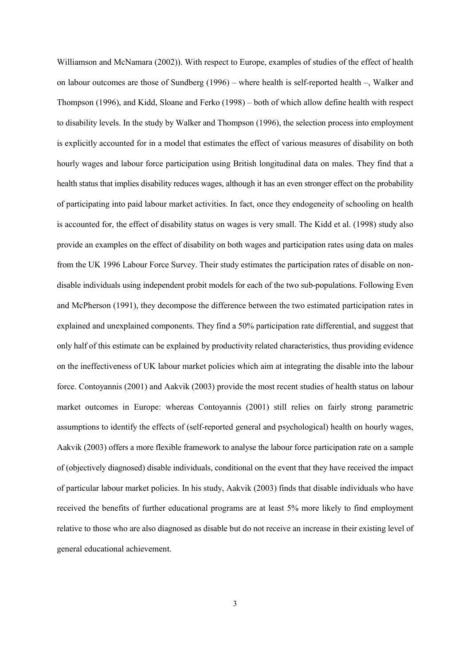Williamson and McNamara (2002)). With respect to Europe, examples of studies of the effect of health on labour outcomes are those of Sundberg (1996) – where health is self-reported health –, Walker and Thompson (1996), and Kidd, Sloane and Ferko (1998) – both of which allow define health with respect to disability levels. In the study by Walker and Thompson (1996), the selection process into employment is explicitly accounted for in a model that estimates the effect of various measures of disability on both hourly wages and labour force participation using British longitudinal data on males. They find that a health status that implies disability reduces wages, although it has an even stronger effect on the probability of participating into paid labour market activities. In fact, once they endogeneity of schooling on health is accounted for, the effect of disability status on wages is very small. The Kidd et al. (1998) study also provide an examples on the effect of disability on both wages and participation rates using data on males from the UK 1996 Labour Force Survey. Their study estimates the participation rates of disable on nondisable individuals using independent probit models for each of the two sub-populations. Following Even and McPherson (1991), they decompose the difference between the two estimated participation rates in explained and unexplained components. They find a 50% participation rate differential, and suggest that only half of this estimate can be explained by productivity related characteristics, thus providing evidence on the ineffectiveness of UK labour market policies which aim at integrating the disable into the labour force. Contoyannis (2001) and Aakvik (2003) provide the most recent studies of health status on labour market outcomes in Europe: whereas Contoyannis (2001) still relies on fairly strong parametric assumptions to identify the effects of (self-reported general and psychological) health on hourly wages, Aakvik (2003) offers a more flexible framework to analyse the labour force participation rate on a sample of (objectively diagnosed) disable individuals, conditional on the event that they have received the impact of particular labour market policies. In his study, Aakvik (2003) finds that disable individuals who have received the benefits of further educational programs are at least 5% more likely to find employment relative to those who are also diagnosed as disable but do not receive an increase in their existing level of general educational achievement.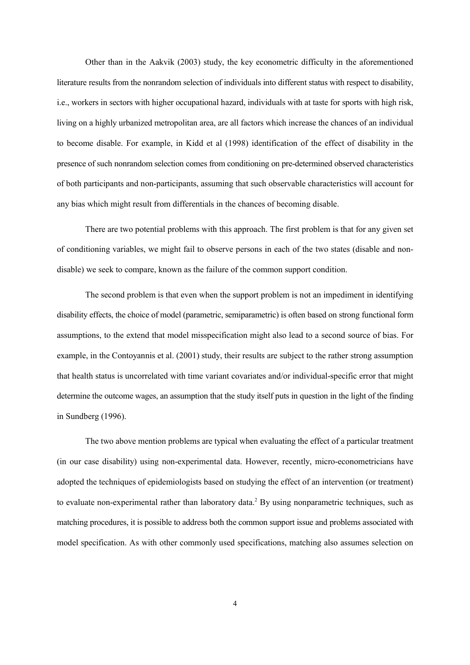Other than in the Aakvik (2003) study, the key econometric difficulty in the aforementioned literature results from the nonrandom selection of individuals into different status with respect to disability, i.e., workers in sectors with higher occupational hazard, individuals with at taste for sports with high risk, living on a highly urbanized metropolitan area, are all factors which increase the chances of an individual to become disable. For example, in Kidd et al (1998) identification of the effect of disability in the presence of such nonrandom selection comes from conditioning on pre-determined observed characteristics of both participants and non-participants, assuming that such observable characteristics will account for any bias which might result from differentials in the chances of becoming disable.

There are two potential problems with this approach. The first problem is that for any given set of conditioning variables, we might fail to observe persons in each of the two states (disable and nondisable) we seek to compare, known as the failure of the common support condition.

The second problem is that even when the support problem is not an impediment in identifying disability effects, the choice of model (parametric, semiparametric) is often based on strong functional form assumptions, to the extend that model misspecification might also lead to a second source of bias. For example, in the Contoyannis et al. (2001) study, their results are subject to the rather strong assumption that health status is uncorrelated with time variant covariates and/or individual-specific error that might determine the outcome wages, an assumption that the study itself puts in question in the light of the finding in Sundberg (1996).

The two above mention problems are typical when evaluating the effect of a particular treatment (in our case disability) using non-experimental data. However, recently, micro-econometricians have adopted the techniques of epidemiologists based on studying the effect of an intervention (or treatment) to evaluate non-experimental rather than laboratory data.<sup>2</sup> By using nonparametric techniques, such as matching procedures, it is possible to address both the common support issue and problems associated with model specification. As with other commonly used specifications, matching also assumes selection on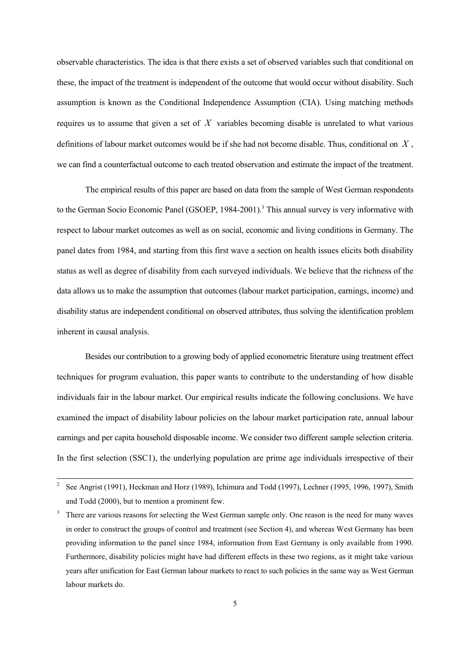observable characteristics. The idea is that there exists a set of observed variables such that conditional on these, the impact of the treatment is independent of the outcome that would occur without disability. Such assumption is known as the Conditional Independence Assumption (CIA). Using matching methods requires us to assume that given a set of *X* variables becoming disable is unrelated to what various definitions of labour market outcomes would be if she had not become disable. Thus, conditional on *X* , we can find a counterfactual outcome to each treated observation and estimate the impact of the treatment.

The empirical results of this paper are based on data from the sample of West German respondents to the German Socio Economic Panel (GSOEP, 1984-2001).<sup>3</sup> This annual survey is very informative with respect to labour market outcomes as well as on social, economic and living conditions in Germany. The panel dates from 1984, and starting from this first wave a section on health issues elicits both disability status as well as degree of disability from each surveyed individuals. We believe that the richness of the data allows us to make the assumption that outcomes (labour market participation, earnings, income) and disability status are independent conditional on observed attributes, thus solving the identification problem inherent in causal analysis.

Besides our contribution to a growing body of applied econometric literature using treatment effect techniques for program evaluation, this paper wants to contribute to the understanding of how disable individuals fair in the labour market. Our empirical results indicate the following conclusions. We have examined the impact of disability labour policies on the labour market participation rate, annual labour earnings and per capita household disposable income. We consider two different sample selection criteria. In the first selection (SSC1), the underlying population are prime age individuals irrespective of their

 $\frac{1}{2}$  See Angrist (1991), Heckman and Horz (1989), Ichimura and Todd (1997), Lechner (1995, 1996, 1997), Smith and Todd (2000), but to mention a prominent few.

<sup>3</sup> There are various reasons for selecting the West German sample only. One reason is the need for many waves in order to construct the groups of control and treatment (see Section 4), and whereas West Germany has been providing information to the panel since 1984, information from East Germany is only available from 1990. Furthermore, disability policies might have had different effects in these two regions, as it might take various years after unification for East German labour markets to react to such policies in the same way as West German labour markets do.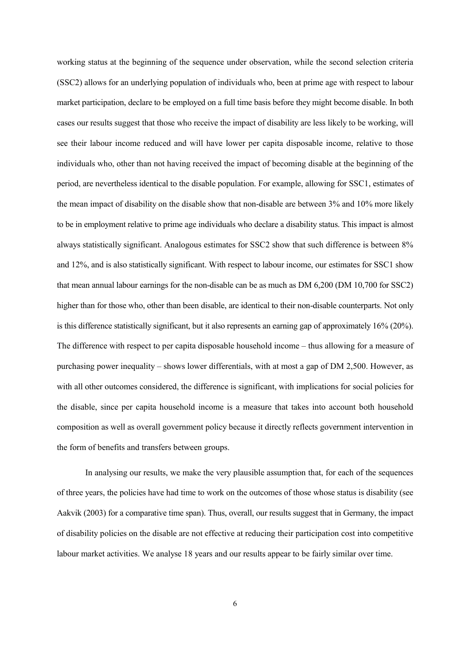working status at the beginning of the sequence under observation, while the second selection criteria (SSC2) allows for an underlying population of individuals who, been at prime age with respect to labour market participation, declare to be employed on a full time basis before they might become disable. In both cases our results suggest that those who receive the impact of disability are less likely to be working, will see their labour income reduced and will have lower per capita disposable income, relative to those individuals who, other than not having received the impact of becoming disable at the beginning of the period, are nevertheless identical to the disable population. For example, allowing for SSC1, estimates of the mean impact of disability on the disable show that non-disable are between 3% and 10% more likely to be in employment relative to prime age individuals who declare a disability status. This impact is almost always statistically significant. Analogous estimates for SSC2 show that such difference is between 8% and 12%, and is also statistically significant. With respect to labour income, our estimates for SSC1 show that mean annual labour earnings for the non-disable can be as much as DM 6,200 (DM 10,700 for SSC2) higher than for those who, other than been disable, are identical to their non-disable counterparts. Not only is this difference statistically significant, but it also represents an earning gap of approximately 16% (20%). The difference with respect to per capita disposable household income – thus allowing for a measure of purchasing power inequality – shows lower differentials, with at most a gap of DM 2,500. However, as with all other outcomes considered, the difference is significant, with implications for social policies for the disable, since per capita household income is a measure that takes into account both household composition as well as overall government policy because it directly reflects government intervention in the form of benefits and transfers between groups.

In analysing our results, we make the very plausible assumption that, for each of the sequences of three years, the policies have had time to work on the outcomes of those whose status is disability (see Aakvik (2003) for a comparative time span). Thus, overall, our results suggest that in Germany, the impact of disability policies on the disable are not effective at reducing their participation cost into competitive labour market activities. We analyse 18 years and our results appear to be fairly similar over time.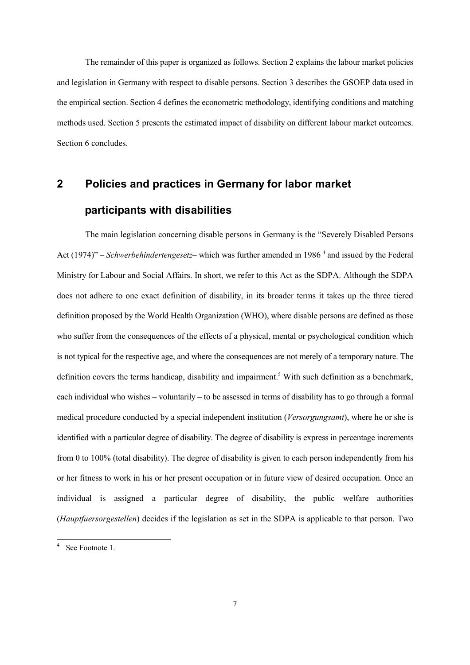The remainder of this paper is organized as follows. Section 2 explains the labour market policies and legislation in Germany with respect to disable persons. Section 3 describes the GSOEP data used in the empirical section. Section 4 defines the econometric methodology, identifying conditions and matching methods used. Section 5 presents the estimated impact of disability on different labour market outcomes. Section 6 concludes.

# **2 Policies and practices in Germany for labor market participants with disabilities**

The main legislation concerning disable persons in Germany is the "Severely Disabled Persons Act (1974)" – *Schwerbehindertengesetz*– which was further amended in 1986<sup>4</sup> and issued by the Federal Ministry for Labour and Social Affairs. In short, we refer to this Act as the SDPA. Although the SDPA does not adhere to one exact definition of disability, in its broader terms it takes up the three tiered definition proposed by the World Health Organization (WHO), where disable persons are defined as those who suffer from the consequences of the effects of a physical, mental or psychological condition which is not typical for the respective age, and where the consequences are not merely of a temporary nature. The definition covers the terms handicap, disability and impairment.<sup>5</sup> With such definition as a benchmark, each individual who wishes – voluntarily – to be assessed in terms of disability has to go through a formal medical procedure conducted by a special independent institution (*Versorgungsamt*), where he or she is identified with a particular degree of disability. The degree of disability is express in percentage increments from 0 to 100% (total disability). The degree of disability is given to each person independently from his or her fitness to work in his or her present occupation or in future view of desired occupation. Once an individual is assigned a particular degree of disability, the public welfare authorities (*Hauptfuersorgestellen*) decides if the legislation as set in the SDPA is applicable to that person. Two

l

<sup>4</sup> See Footnote 1.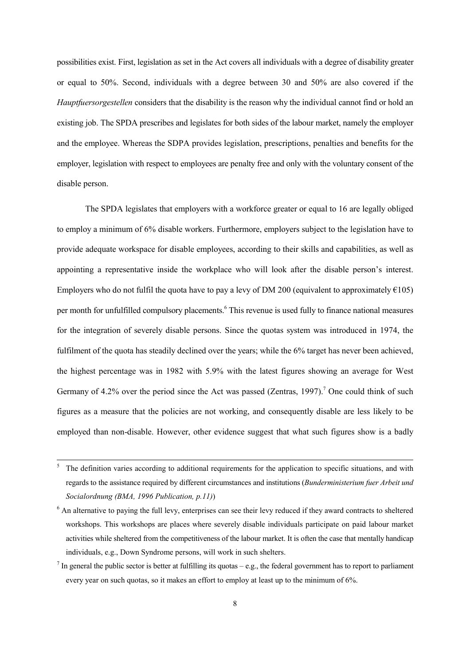possibilities exist. First, legislation as set in the Act covers all individuals with a degree of disability greater or equal to 50%. Second, individuals with a degree between 30 and 50% are also covered if the *Hauptfuersorgestellen* considers that the disability is the reason why the individual cannot find or hold an existing job. The SPDA prescribes and legislates for both sides of the labour market, namely the employer and the employee. Whereas the SDPA provides legislation, prescriptions, penalties and benefits for the employer, legislation with respect to employees are penalty free and only with the voluntary consent of the disable person.

The SPDA legislates that employers with a workforce greater or equal to 16 are legally obliged to employ a minimum of 6% disable workers. Furthermore, employers subject to the legislation have to provide adequate workspace for disable employees, according to their skills and capabilities, as well as appointing a representative inside the workplace who will look after the disable person's interest. Employers who do not fulfil the quota have to pay a levy of DM 200 (equivalent to approximately  $\epsilon$ 105) per month for unfulfilled compulsory placements.<sup>6</sup> This revenue is used fully to finance national measures for the integration of severely disable persons. Since the quotas system was introduced in 1974, the fulfilment of the quota has steadily declined over the years; while the 6% target has never been achieved, the highest percentage was in 1982 with 5.9% with the latest figures showing an average for West Germany of 4.2% over the period since the Act was passed (Zentras, 1997).<sup>7</sup> One could think of such figures as a measure that the policies are not working, and consequently disable are less likely to be employed than non-disable. However, other evidence suggest that what such figures show is a badly

 <sup>5</sup> The definition varies according to additional requirements for the application to specific situations, and with regards to the assistance required by different circumstances and institutions (*Bunderministerium fuer Arbeit und Socialordnung (BMA, 1996 Publication, p.11)*)

 $6$  An alternative to paying the full levy, enterprises can see their levy reduced if they award contracts to sheltered workshops. This workshops are places where severely disable individuals participate on paid labour market activities while sheltered from the competitiveness of the labour market. It is often the case that mentally handicap individuals, e.g., Down Syndrome persons, will work in such shelters.

<sup>&</sup>lt;sup>7</sup> In general the public sector is better at fulfilling its quotas – e.g., the federal government has to report to parliament every year on such quotas, so it makes an effort to employ at least up to the minimum of 6%.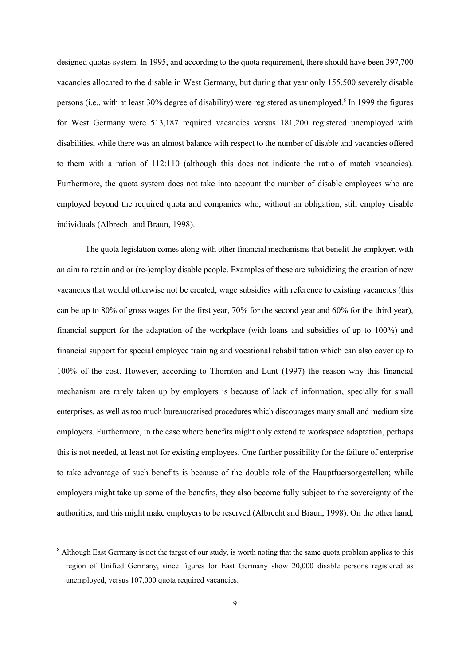designed quotas system. In 1995, and according to the quota requirement, there should have been 397,700 vacancies allocated to the disable in West Germany, but during that year only 155,500 severely disable persons (i.e., with at least 30% degree of disability) were registered as unemployed.<sup>8</sup> In 1999 the figures for West Germany were 513,187 required vacancies versus 181,200 registered unemployed with disabilities, while there was an almost balance with respect to the number of disable and vacancies offered to them with a ration of 112:110 (although this does not indicate the ratio of match vacancies). Furthermore, the quota system does not take into account the number of disable employees who are employed beyond the required quota and companies who, without an obligation, still employ disable individuals (Albrecht and Braun, 1998).

The quota legislation comes along with other financial mechanisms that benefit the employer, with an aim to retain and or (re-)employ disable people. Examples of these are subsidizing the creation of new vacancies that would otherwise not be created, wage subsidies with reference to existing vacancies (this can be up to 80% of gross wages for the first year, 70% for the second year and 60% for the third year), financial support for the adaptation of the workplace (with loans and subsidies of up to 100%) and financial support for special employee training and vocational rehabilitation which can also cover up to 100% of the cost. However, according to Thornton and Lunt (1997) the reason why this financial mechanism are rarely taken up by employers is because of lack of information, specially for small enterprises, as well as too much bureaucratised procedures which discourages many small and medium size employers. Furthermore, in the case where benefits might only extend to workspace adaptation, perhaps this is not needed, at least not for existing employees. One further possibility for the failure of enterprise to take advantage of such benefits is because of the double role of the Hauptfuersorgestellen; while employers might take up some of the benefits, they also become fully subject to the sovereignty of the authorities, and this might make employers to be reserved (Albrecht and Braun, 1998). On the other hand,

 $8$  Although East Germany is not the target of our study, is worth noting that the same quota problem applies to this region of Unified Germany, since figures for East Germany show 20,000 disable persons registered as unemployed, versus 107,000 quota required vacancies.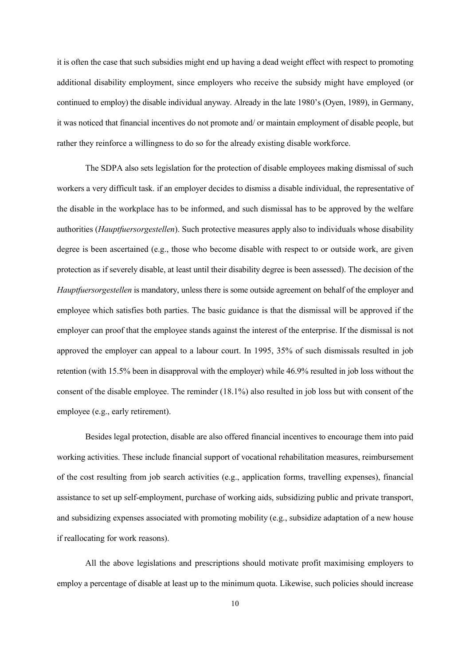it is often the case that such subsidies might end up having a dead weight effect with respect to promoting additional disability employment, since employers who receive the subsidy might have employed (or continued to employ) the disable individual anyway. Already in the late 1980's (Oyen, 1989), in Germany, it was noticed that financial incentives do not promote and/ or maintain employment of disable people, but rather they reinforce a willingness to do so for the already existing disable workforce.

The SDPA also sets legislation for the protection of disable employees making dismissal of such workers a very difficult task. if an employer decides to dismiss a disable individual, the representative of the disable in the workplace has to be informed, and such dismissal has to be approved by the welfare authorities (*Hauptfuersorgestellen*). Such protective measures apply also to individuals whose disability degree is been ascertained (e.g., those who become disable with respect to or outside work, are given protection as if severely disable, at least until their disability degree is been assessed). The decision of the *Hauptfuersorgestellen* is mandatory, unless there is some outside agreement on behalf of the employer and employee which satisfies both parties. The basic guidance is that the dismissal will be approved if the employer can proof that the employee stands against the interest of the enterprise. If the dismissal is not approved the employer can appeal to a labour court. In 1995, 35% of such dismissals resulted in job retention (with 15.5% been in disapproval with the employer) while 46.9% resulted in job loss without the consent of the disable employee. The reminder (18.1%) also resulted in job loss but with consent of the employee (e.g., early retirement).

Besides legal protection, disable are also offered financial incentives to encourage them into paid working activities. These include financial support of vocational rehabilitation measures, reimbursement of the cost resulting from job search activities (e.g., application forms, travelling expenses), financial assistance to set up self-employment, purchase of working aids, subsidizing public and private transport, and subsidizing expenses associated with promoting mobility (e.g., subsidize adaptation of a new house if reallocating for work reasons).

All the above legislations and prescriptions should motivate profit maximising employers to employ a percentage of disable at least up to the minimum quota. Likewise, such policies should increase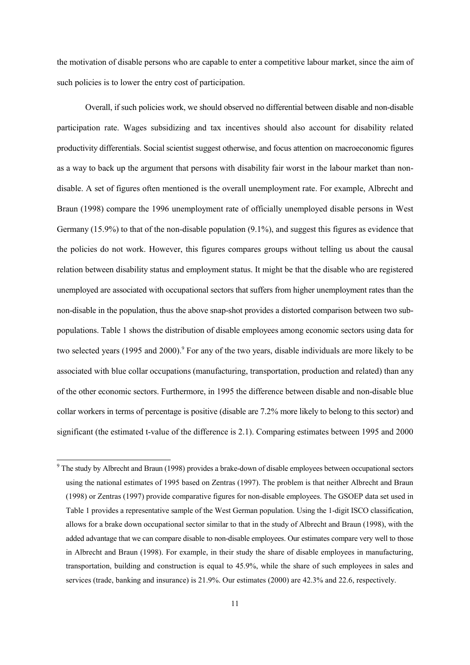the motivation of disable persons who are capable to enter a competitive labour market, since the aim of such policies is to lower the entry cost of participation.

Overall, if such policies work, we should observed no differential between disable and non-disable participation rate. Wages subsidizing and tax incentives should also account for disability related productivity differentials. Social scientist suggest otherwise, and focus attention on macroeconomic figures as a way to back up the argument that persons with disability fair worst in the labour market than nondisable. A set of figures often mentioned is the overall unemployment rate. For example, Albrecht and Braun (1998) compare the 1996 unemployment rate of officially unemployed disable persons in West Germany (15.9%) to that of the non-disable population (9.1%), and suggest this figures as evidence that the policies do not work. However, this figures compares groups without telling us about the causal relation between disability status and employment status. It might be that the disable who are registered unemployed are associated with occupational sectors that suffers from higher unemployment rates than the non-disable in the population, thus the above snap-shot provides a distorted comparison between two subpopulations. Table 1 shows the distribution of disable employees among economic sectors using data for two selected years (1995 and 2000).<sup>9</sup> For any of the two years, disable individuals are more likely to be associated with blue collar occupations (manufacturing, transportation, production and related) than any of the other economic sectors. Furthermore, in 1995 the difference between disable and non-disable blue collar workers in terms of percentage is positive (disable are 7.2% more likely to belong to this sector) and significant (the estimated t-value of the difference is 2.1). Comparing estimates between 1995 and 2000

 $9^9$  The study by Albrecht and Braun (1998) provides a brake-down of disable employees between occupational sectors using the national estimates of 1995 based on Zentras (1997). The problem is that neither Albrecht and Braun (1998) or Zentras (1997) provide comparative figures for non-disable employees. The GSOEP data set used in Table 1 provides a representative sample of the West German population. Using the 1-digit ISCO classification, allows for a brake down occupational sector similar to that in the study of Albrecht and Braun (1998), with the added advantage that we can compare disable to non-disable employees. Our estimates compare very well to those in Albrecht and Braun (1998). For example, in their study the share of disable employees in manufacturing, transportation, building and construction is equal to 45.9%, while the share of such employees in sales and services (trade, banking and insurance) is 21.9%. Our estimates (2000) are 42.3% and 22.6, respectively.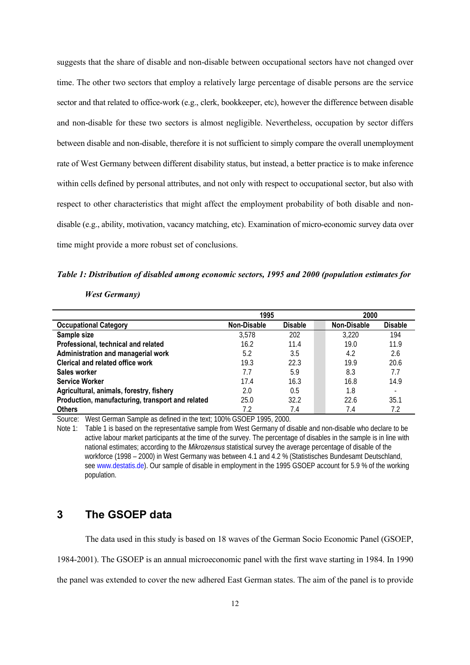suggests that the share of disable and non-disable between occupational sectors have not changed over time. The other two sectors that employ a relatively large percentage of disable persons are the service sector and that related to office-work (e.g., clerk, bookkeeper, etc), however the difference between disable and non-disable for these two sectors is almost negligible. Nevertheless, occupation by sector differs between disable and non-disable, therefore it is not sufficient to simply compare the overall unemployment rate of West Germany between different disability status, but instead, a better practice is to make inference within cells defined by personal attributes, and not only with respect to occupational sector, but also with respect to other characteristics that might affect the employment probability of both disable and nondisable (e.g., ability, motivation, vacancy matching, etc). Examination of micro-economic survey data over time might provide a more robust set of conclusions.

#### *Table 1: Distribution of disabled among economic sectors, 1995 and 2000 (population estimates for*

#### *West Germany)*

|                                                  | 1995               |                | 2000               |                |
|--------------------------------------------------|--------------------|----------------|--------------------|----------------|
| <b>Occupational Category</b>                     | <b>Non-Disable</b> | <b>Disable</b> | <b>Non-Disable</b> | <b>Disable</b> |
| Sample size                                      | 3.578              | 202            | 3,220              | 194            |
| Professional, technical and related              | 16.2               | 11.4           | 19.0               | 11.9           |
| Administration and managerial work               | 5.2                | 3.5            | 4.2                | 2.6            |
| <b>Clerical and related office work</b>          | 19.3               | 22.3           | 19.9               | 20.6           |
| Sales worker                                     | 7.7                | 5.9            | 8.3                | 7.7            |
| <b>Service Worker</b>                            | 17.4               | 16.3           | 16.8               | 14.9           |
| Agricultural, animals, forestry, fishery         | 2.0                | 0.5            | 1.8                |                |
| Production, manufacturing, transport and related | 25.0               | 32.2           | 22.6               | 35.1           |
| <b>Others</b>                                    | 7.2                | 7.4            | 7.4                | 7.2            |

Source: West German Sample as defined in the text; 100% GSOEP 1995, 2000.

Note 1: Table 1 is based on the representative sample from West Germany of disable and non-disable who declare to be active labour market participants at the time of the survey. The percentage of disables in the sample is in line with national estimates; according to the *Mikrozensus* statistical survey the average percentage of disable of the workforce (1998 – 2000) in West Germany was between 4.1 and 4.2 % (Statistisches Bundesamt Deutschland, see www.destatis.de). Our sample of disable in employment in the 1995 GSOEP account for 5.9 % of the working population.

## **3 The GSOEP data**

The data used in this study is based on 18 waves of the German Socio Economic Panel (GSOEP,

1984-2001). The GSOEP is an annual microeconomic panel with the first wave starting in 1984. In 1990

the panel was extended to cover the new adhered East German states. The aim of the panel is to provide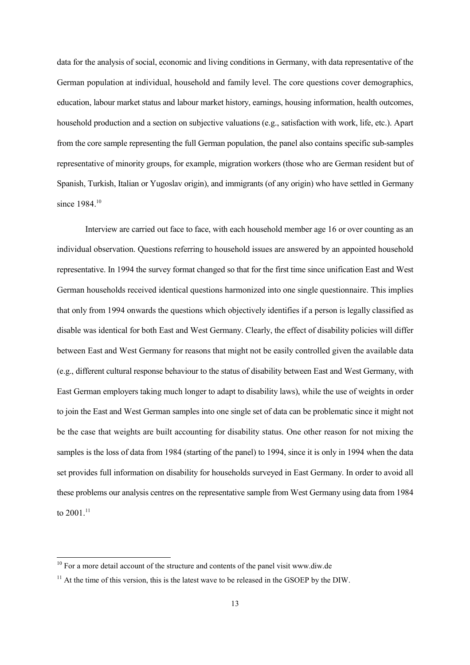data for the analysis of social, economic and living conditions in Germany, with data representative of the German population at individual, household and family level. The core questions cover demographics, education, labour market status and labour market history, earnings, housing information, health outcomes, household production and a section on subjective valuations (e.g., satisfaction with work, life, etc.). Apart from the core sample representing the full German population, the panel also contains specific sub-samples representative of minority groups, for example, migration workers (those who are German resident but of Spanish, Turkish, Italian or Yugoslav origin), and immigrants (of any origin) who have settled in Germany since 1984.<sup>10</sup>

Interview are carried out face to face, with each household member age 16 or over counting as an individual observation. Questions referring to household issues are answered by an appointed household representative. In 1994 the survey format changed so that for the first time since unification East and West German households received identical questions harmonized into one single questionnaire. This implies that only from 1994 onwards the questions which objectively identifies if a person is legally classified as disable was identical for both East and West Germany. Clearly, the effect of disability policies will differ between East and West Germany for reasons that might not be easily controlled given the available data (e.g., different cultural response behaviour to the status of disability between East and West Germany, with East German employers taking much longer to adapt to disability laws), while the use of weights in order to join the East and West German samples into one single set of data can be problematic since it might not be the case that weights are built accounting for disability status. One other reason for not mixing the samples is the loss of data from 1984 (starting of the panel) to 1994, since it is only in 1994 when the data set provides full information on disability for households surveyed in East Germany. In order to avoid all these problems our analysis centres on the representative sample from West Germany using data from 1984 to 2001.<sup>11</sup>

 $10$  For a more detail account of the structure and contents of the panel visit www.diw.de

 $11$  At the time of this version, this is the latest wave to be released in the GSOEP by the DIW.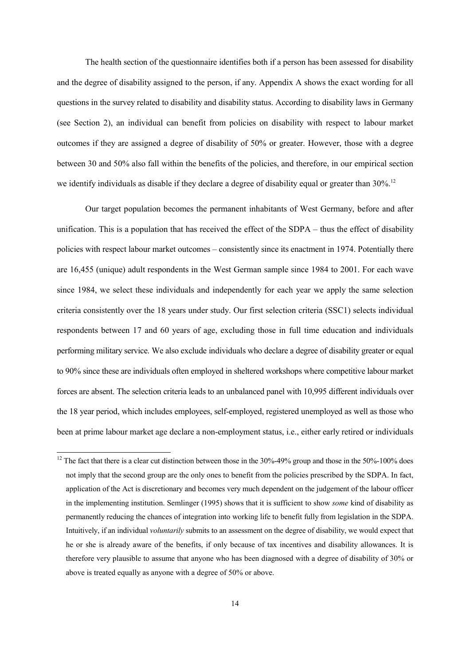The health section of the questionnaire identifies both if a person has been assessed for disability and the degree of disability assigned to the person, if any. Appendix A shows the exact wording for all questions in the survey related to disability and disability status. According to disability laws in Germany (see Section 2), an individual can benefit from policies on disability with respect to labour market outcomes if they are assigned a degree of disability of 50% or greater. However, those with a degree between 30 and 50% also fall within the benefits of the policies, and therefore, in our empirical section we identify individuals as disable if they declare a degree of disability equal or greater than 30%.<sup>12</sup>

Our target population becomes the permanent inhabitants of West Germany, before and after unification. This is a population that has received the effect of the SDPA – thus the effect of disability policies with respect labour market outcomes – consistently since its enactment in 1974. Potentially there are 16,455 (unique) adult respondents in the West German sample since 1984 to 2001. For each wave since 1984, we select these individuals and independently for each year we apply the same selection criteria consistently over the 18 years under study. Our first selection criteria (SSC1) selects individual respondents between 17 and 60 years of age, excluding those in full time education and individuals performing military service. We also exclude individuals who declare a degree of disability greater or equal to 90% since these are individuals often employed in sheltered workshops where competitive labour market forces are absent. The selection criteria leads to an unbalanced panel with 10,995 different individuals over the 18 year period, which includes employees, self-employed, registered unemployed as well as those who been at prime labour market age declare a non-employment status, i.e., either early retired or individuals

 $12$  The fact that there is a clear cut distinction between those in the 30%-49% group and those in the 50%-100% does not imply that the second group are the only ones to benefit from the policies prescribed by the SDPA. In fact, application of the Act is discretionary and becomes very much dependent on the judgement of the labour officer in the implementing institution. Semlinger (1995) shows that it is sufficient to show *some* kind of disability as permanently reducing the chances of integration into working life to benefit fully from legislation in the SDPA. Intuitively, if an individual *voluntarily* submits to an assessment on the degree of disability, we would expect that he or she is already aware of the benefits, if only because of tax incentives and disability allowances. It is therefore very plausible to assume that anyone who has been diagnosed with a degree of disability of 30% or above is treated equally as anyone with a degree of 50% or above.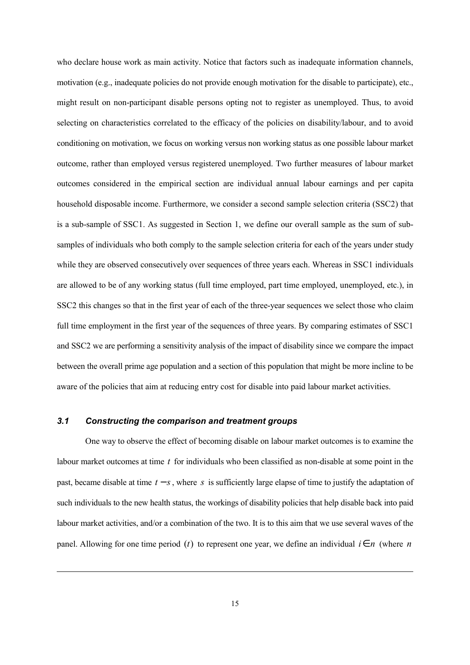who declare house work as main activity. Notice that factors such as inadequate information channels, motivation (e.g., inadequate policies do not provide enough motivation for the disable to participate), etc., might result on non-participant disable persons opting not to register as unemployed. Thus, to avoid selecting on characteristics correlated to the efficacy of the policies on disability/labour, and to avoid conditioning on motivation, we focus on working versus non working status as one possible labour market outcome, rather than employed versus registered unemployed. Two further measures of labour market outcomes considered in the empirical section are individual annual labour earnings and per capita household disposable income. Furthermore, we consider a second sample selection criteria (SSC2) that is a sub-sample of SSC1. As suggested in Section 1, we define our overall sample as the sum of subsamples of individuals who both comply to the sample selection criteria for each of the years under study while they are observed consecutively over sequences of three years each. Whereas in SSC1 individuals are allowed to be of any working status (full time employed, part time employed, unemployed, etc.), in SSC2 this changes so that in the first year of each of the three-year sequences we select those who claim full time employment in the first year of the sequences of three years. By comparing estimates of SSC1 and SSC2 we are performing a sensitivity analysis of the impact of disability since we compare the impact between the overall prime age population and a section of this population that might be more incline to be aware of the policies that aim at reducing entry cost for disable into paid labour market activities.

#### *3.1 Constructing the comparison and treatment groups*

 $\overline{a}$ 

One way to observe the effect of becoming disable on labour market outcomes is to examine the labour market outcomes at time *t* for individuals who been classified as non-disable at some point in the past, became disable at time  $t - s$ , where s is sufficiently large elapse of time to justify the adaptation of such individuals to the new health status, the workings of disability policies that help disable back into paid labour market activities, and/or a combination of the two. It is to this aim that we use several waves of the panel. Allowing for one time period (*t*) to represent one year, we define an individual  $i \in n$  (where *n*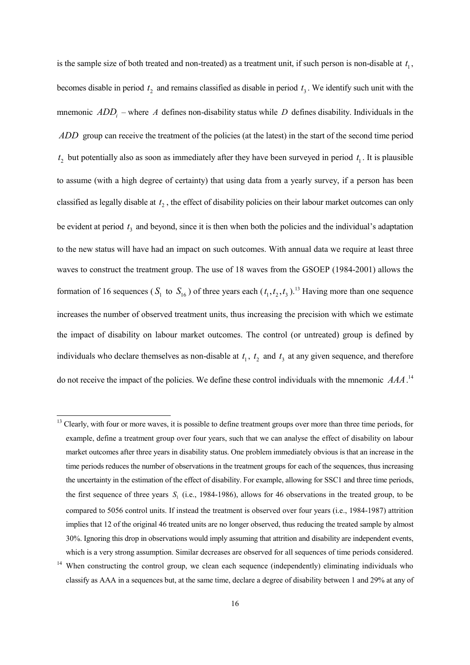is the sample size of both treated and non-treated) as a treatment unit, if such person is non-disable at  $t_1$ , becomes disable in period  $t_2$  and remains classified as disable in period  $t_3$ . We identify such unit with the mnemonic  $ADD_i$  – where *A* defines non-disability status while *D* defines disability. Individuals in the *ADD* group can receive the treatment of the policies (at the latest) in the start of the second time period  $t_2$  but potentially also as soon as immediately after they have been surveyed in period  $t_1$ . It is plausible to assume (with a high degree of certainty) that using data from a yearly survey, if a person has been classified as legally disable at  $t_2$ , the effect of disability policies on their labour market outcomes can only be evident at period  $t<sub>3</sub>$  and beyond, since it is then when both the policies and the individual's adaptation to the new status will have had an impact on such outcomes. With annual data we require at least three waves to construct the treatment group. The use of 18 waves from the GSOEP (1984-2001) allows the formation of 16 sequences ( $S_1$  to  $S_{16}$ ) of three years each ( $t_1, t_2, t_3$ ).<sup>13</sup> Having more than one sequence increases the number of observed treatment units, thus increasing the precision with which we estimate the impact of disability on labour market outcomes. The control (or untreated) group is defined by individuals who declare themselves as non-disable at  $t_1$ ,  $t_2$  and  $t_3$  at any given sequence, and therefore do not receive the impact of the policies. We define these control individuals with the mnemonic *AAA*. 14

<sup>&</sup>lt;sup>13</sup> Clearly, with four or more waves, it is possible to define treatment groups over more than three time periods, for example, define a treatment group over four years, such that we can analyse the effect of disability on labour market outcomes after three years in disability status. One problem immediately obvious is that an increase in the time periods reduces the number of observations in the treatment groups for each of the sequences, thus increasing the uncertainty in the estimation of the effect of disability. For example, allowing for SSC1 and three time periods, the first sequence of three years  $S<sub>1</sub>$  (i.e., 1984-1986), allows for 46 observations in the treated group, to be compared to 5056 control units. If instead the treatment is observed over four years (i.e., 1984-1987) attrition implies that 12 of the original 46 treated units are no longer observed, thus reducing the treated sample by almost 30%. Ignoring this drop in observations would imply assuming that attrition and disability are independent events, which is a very strong assumption. Similar decreases are observed for all sequences of time periods considered.

<sup>&</sup>lt;sup>14</sup> When constructing the control group, we clean each sequence (independently) eliminating individuals who classify as AAA in a sequences but, at the same time, declare a degree of disability between 1 and 29% at any of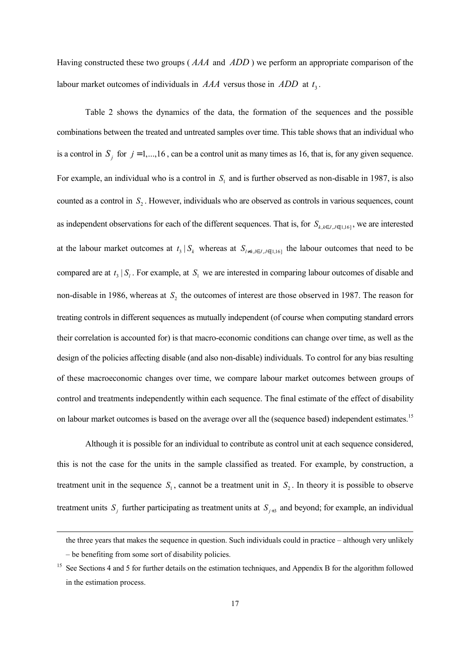Having constructed these two groups ( *AAA* and *ADD* ) we perform an appropriate comparison of the labour market outcomes of individuals in  $AAA$  versus those in  $ADD$  at  $t<sub>2</sub>$ .

Table 2 shows the dynamics of the data, the formation of the sequences and the possible combinations between the treated and untreated samples over time. This table shows that an individual who is a control in  $S_i$  for  $j = 1, \ldots, 16$ , can be a control unit as many times as 16, that is, for any given sequence. For example, an individual who is a control in  $S<sub>1</sub>$  and is further observed as non-disable in 1987, is also counted as a control in  $S_2$ . However, individuals who are observed as controls in various sequences, count as independent observations for each of the different sequences. That is, for  $S_{k, k \in J, J \in [1, 16]}$ , we are interested at the labour market outcomes at  $t_3 | S_k$  whereas at  $S_{l \neq k, l \in J, J \in [1,16]}$  the labour outcomes that need to be compared are at  $t_3 | S_i$ . For example, at  $S_i$  we are interested in comparing labour outcomes of disable and non-disable in 1986, whereas at  $S_2$  the outcomes of interest are those observed in 1987. The reason for treating controls in different sequences as mutually independent (of course when computing standard errors their correlation is accounted for) is that macro-economic conditions can change over time, as well as the design of the policies affecting disable (and also non-disable) individuals. To control for any bias resulting of these macroeconomic changes over time, we compare labour market outcomes between groups of control and treatments independently within each sequence. The final estimate of the effect of disability on labour market outcomes is based on the average over all the (sequence based) independent estimates.15

Although it is possible for an individual to contribute as control unit at each sequence considered, this is not the case for the units in the sample classified as treated. For example, by construction, a treatment unit in the sequence  $S_1$ , cannot be a treatment unit in  $S_2$ . In theory it is possible to observe treatment units  $S_i$  further participating as treatment units at  $S_{i+3}$  and beyond; for example, an individual

the three years that makes the sequence in question. Such individuals could in practice – although very unlikely – be benefiting from some sort of disability policies.

<sup>&</sup>lt;sup>15</sup> See Sections 4 and 5 for further details on the estimation techniques, and Appendix B for the algorithm followed in the estimation process.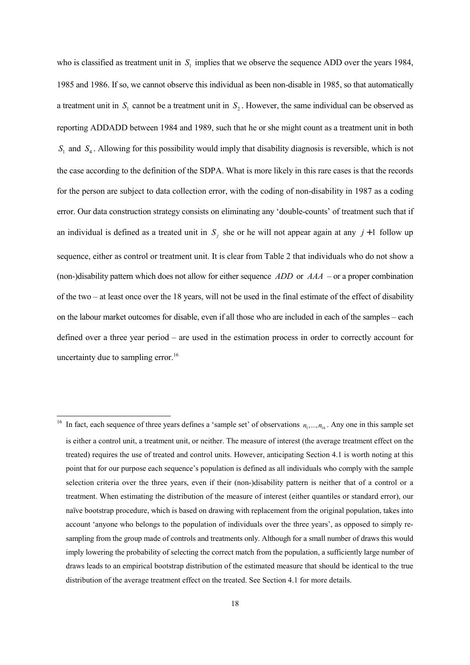who is classified as treatment unit in  $S<sub>i</sub>$  implies that we observe the sequence ADD over the years 1984, 1985 and 1986. If so, we cannot observe this individual as been non-disable in 1985, so that automatically a treatment unit in  $S_1$  cannot be a treatment unit in  $S_2$ . However, the same individual can be observed as reporting ADDADD between 1984 and 1989, such that he or she might count as a treatment unit in both  $S_1$  and  $S_4$ . Allowing for this possibility would imply that disability diagnosis is reversible, which is not the case according to the definition of the SDPA. What is more likely in this rare cases is that the records for the person are subject to data collection error, with the coding of non-disability in 1987 as a coding error. Our data construction strategy consists on eliminating any 'double-counts' of treatment such that if an individual is defined as a treated unit in  $S_i$  she or he will not appear again at any  $j+1$  follow up sequence, either as control or treatment unit. It is clear from Table 2 that individuals who do not show a (non-)disability pattern which does not allow for either sequence *ADD* or *AAA* – or a proper combination of the two – at least once over the 18 years, will not be used in the final estimate of the effect of disability on the labour market outcomes for disable, even if all those who are included in each of the samples – each defined over a three year period – are used in the estimation process in order to correctly account for uncertainty due to sampling error.<sup>16</sup>

<sup>&</sup>lt;sup>16</sup> In fact, each sequence of three years defines a 'sample set' of observations  $n_1, ..., n_{16}$ . Any one in this sample set is either a control unit, a treatment unit, or neither. The measure of interest (the average treatment effect on the treated) requires the use of treated and control units. However, anticipating Section 4.1 is worth noting at this point that for our purpose each sequence's population is defined as all individuals who comply with the sample selection criteria over the three years, even if their (non-)disability pattern is neither that of a control or a treatment. When estimating the distribution of the measure of interest (either quantiles or standard error), our naïve bootstrap procedure, which is based on drawing with replacement from the original population, takes into account 'anyone who belongs to the population of individuals over the three years', as opposed to simply resampling from the group made of controls and treatments only. Although for a small number of draws this would imply lowering the probability of selecting the correct match from the population, a sufficiently large number of draws leads to an empirical bootstrap distribution of the estimated measure that should be identical to the true distribution of the average treatment effect on the treated. See Section 4.1 for more details.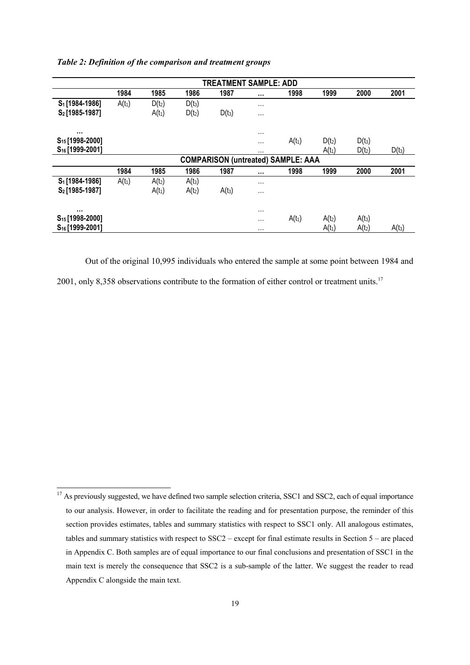|                             |          |          |          | <b>TREATMENT SAMPLE: ADD</b> |          |                                           |          |          |          |
|-----------------------------|----------|----------|----------|------------------------------|----------|-------------------------------------------|----------|----------|----------|
|                             | 1984     | 1985     | 1986     | 1987                         | $\cdots$ | 1998                                      | 1999     | 2000     | 2001     |
| S <sub>1</sub> [1984-1986]  | $A(t_1)$ | $D(t_2)$ | $D(t_3)$ |                              | $\cdots$ |                                           |          |          |          |
| S <sub>2</sub> [1985-1987]  |          | $A(t_1)$ | $D(t_2)$ | $D(t_3)$                     | $\cdots$ |                                           |          |          |          |
| $\cdots$                    |          |          |          |                              | $\cdots$ |                                           |          |          |          |
| S <sub>15</sub> [1998-2000] |          |          |          |                              | $\cdots$ | $A(t_1)$                                  | $D(t_2)$ | $D(t_3)$ |          |
| S <sub>16</sub> [1999-2001] |          |          |          |                              | $\cdots$ |                                           | $A(t_1)$ | $D(t_2)$ | $D(t_3)$ |
|                             |          |          |          |                              |          | <b>COMPARISON (untreated) SAMPLE: AAA</b> |          |          |          |
|                             | 1984     | 1985     | 1986     | 1987                         | $\cdots$ | 1998                                      | 1999     | 2000     | 2001     |
| S <sub>1</sub> [1984-1986]  | $A(t_1)$ | $A(t_2)$ | $A(t_3)$ |                              | $\cdots$ |                                           |          |          |          |
| S <sub>2</sub> [1985-1987]  |          | $A(t_1)$ | $A(t_2)$ | $A(t_3)$                     | $\cdots$ |                                           |          |          |          |
| $\cdots$                    |          |          |          |                              | $\cdots$ |                                           |          |          |          |
| S <sub>15</sub> [1998-2000] |          |          |          |                              | $\cdots$ | $A(t_1)$                                  | $A(t_2)$ | $A(t_3)$ |          |
| S <sub>16</sub> [1999-2001] |          |          |          |                              | $\cdots$ |                                           | $A(t_1)$ | $A(t_2)$ | $A(t_3)$ |

*Table 2: Definition of the comparison and treatment groups*

Out of the original 10,995 individuals who entered the sample at some point between 1984 and 2001, only 8,358 observations contribute to the formation of either control or treatment units.<sup>17</sup>

 $17$  As previously suggested, we have defined two sample selection criteria, SSC1 and SSC2, each of equal importance to our analysis. However, in order to facilitate the reading and for presentation purpose, the reminder of this section provides estimates, tables and summary statistics with respect to SSC1 only. All analogous estimates, tables and summary statistics with respect to SSC2 – except for final estimate results in Section 5 – are placed in Appendix C. Both samples are of equal importance to our final conclusions and presentation of SSC1 in the main text is merely the consequence that SSC2 is a sub-sample of the latter. We suggest the reader to read Appendix C alongside the main text.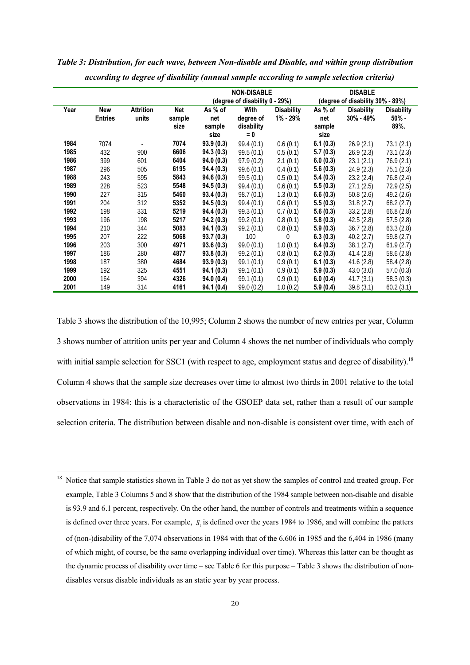|      |                |                  |        |                                | <b>NON-DISABLE</b> |                   |          | <b>DISABLE</b>                   |                   |
|------|----------------|------------------|--------|--------------------------------|--------------------|-------------------|----------|----------------------------------|-------------------|
|      |                |                  |        | (degree of disability 0 - 29%) |                    |                   |          | (degree of disability 30% - 89%) |                   |
| Year | New            | <b>Attrition</b> | Net    | As % of                        | <b>With</b>        | <b>Disability</b> | As % of  | <b>Disability</b>                | <b>Disability</b> |
|      | <b>Entries</b> | units            | sample | net                            | degree of          | 1% - 29%          | net      | $30\% - 49\%$                    | $50\%$ -          |
|      |                |                  | size   | sample                         | disability         |                   | sample   |                                  | 89%.              |
|      |                |                  |        | size                           | $= 0$              |                   | size     |                                  |                   |
| 1984 | 7074           |                  | 7074   | 93.9(0.3)                      | 99.4(0.1)          | 0.6(0.1)          | 6.1(0.3) | 26.9(2.1)                        | 73.1(2.1)         |
| 1985 | 432            | 900              | 6606   | 94.3(0.3)                      | 99.5(0.1)          | 0.5(0.1)          | 5.7(0.3) | 26.9(2.3)                        | 73.1(2.3)         |
| 1986 | 399            | 601              | 6404   | 94.0(0.3)                      | 97.9(0.2)          | 2.1(0.1)          | 6.0(0.3) | 23.1(2.1)                        | 76.9(2.1)         |
| 1987 | 296            | 505              | 6195   | 94.4(0.3)                      | 99.6(0.1)          | 0.4(0.1)          | 5.6(0.3) | 24.9(2.3)                        | 75.1 (2.3)        |
| 1988 | 243            | 595              | 5843   | 94.6(0.3)                      | 99.5(0.1)          | 0.5(0.1)          | 5.4(0.3) | 23.2(2.4)                        | 76.8 (2.4)        |
| 1989 | 228            | 523              | 5548   | 94.5(0.3)                      | 99.4(0.1)          | 0.6(0.1)          | 5.5(0.3) | 27.1(2.5)                        | 72.9 (2.5)        |
| 1990 | 227            | 315              | 5460   | 93.4(0.3)                      | 98.7(0.1)          | 1.3(0.1)          | 6.6(0.3) | 50.8(2.6)                        | 49.2 (2.6)        |
| 1991 | 204            | 312              | 5352   | 94.5(0.3)                      | 99.4(0.1)          | 0.6(0.1)          | 5.5(0.3) | 31.8(2.7)                        | 68.2(2.7)         |
| 1992 | 198            | 331              | 5219   | 94.4(0.3)                      | 99.3 (0.1)         | 0.7(0.1)          | 5.6(0.3) | 33.2(2.8)                        | 66.8(2.8)         |
| 1993 | 196            | 198              | 5217   | 94.2(0.3)                      | 99.2 (0.1)         | 0.8(0.1)          | 5.8(0.3) | 42.5(2.8)                        | 57.5(2.8)         |
| 1994 | 210            | 344              | 5083   | 94.1(0.3)                      | 99.2(0.1)          | 0.8(0.1)          | 5.9(0.3) | 36.7(2.8)                        | 63.3(2.8)         |
| 1995 | 207            | 222              | 5068   | 93.7(0.3)                      | 100                | $\Omega$          | 6.3(0.3) | 40.2(2.7)                        | 59.8 (2.7)        |
| 1996 | 203            | 300              | 4971   | 93.6(0.3)                      | 99.0(0.1)          | 1.0(0.1)          | 6.4(0.3) | 38.1(2.7)                        | 61.9(2.7)         |
| 1997 | 186            | 280              | 4877   | 93.8(0.3)                      | 99.2(0.1)          | 0.8(0.1)          | 6.2(0.3) | 41.4(2.8)                        | 58.6 (2.8)        |
| 1998 | 187            | 380              | 4684   | 93.9(0.3)                      | 99.1(0.1)          | 0.9(0.1)          | 6.1(0.3) | 41.6(2.8)                        | 58.4 (2.8)        |
| 1999 | 192            | 325              | 4551   | 94.1(0.3)                      | 99.1(0.1)          | 0.9(0.1)          | 5.9(0.3) | 43.0(3.0)                        | 57.0(0.3)         |
| 2000 | 164            | 394              | 4326   | 94.0(0.4)                      | 99.1(0.1)          | 0.9(0.1)          | 6.0(0.4) | 41.7(3.1)                        | 58.3(0.3)         |
| 2001 | 149            | 314              | 4161   | 94.1(0.4)                      | 99.0 (0.2)         | 1.0(0.2)          | 5.9(0.4) | 39.8(3.1)                        | 60.2(3.1)         |

*Table 3: Distribution, for each wave, between Non-disable and Disable, and within group distribution according to degree of disability (annual sample according to sample selection criteria)*

Table 3 shows the distribution of the 10,995; Column 2 shows the number of new entries per year, Column 3 shows number of attrition units per year and Column 4 shows the net number of individuals who comply with initial sample selection for SSC1 (with respect to age, employment status and degree of disability).<sup>18</sup> Column 4 shows that the sample size decreases over time to almost two thirds in 2001 relative to the total observations in 1984: this is a characteristic of the GSOEP data set, rather than a result of our sample selection criteria. The distribution between disable and non-disable is consistent over time, with each of

<sup>&</sup>lt;sup>18</sup> Notice that sample statistics shown in Table 3 do not as yet show the samples of control and treated group. For example, Table 3 Columns 5 and 8 show that the distribution of the 1984 sample between non-disable and disable is 93.9 and 6.1 percent, respectively. On the other hand, the number of controls and treatments within a sequence is defined over three years. For example, S<sub>i</sub> is defined over the years 1984 to 1986, and will combine the patters of (non-)disability of the 7,074 observations in 1984 with that of the 6,606 in 1985 and the 6,404 in 1986 (many of which might, of course, be the same overlapping individual over time). Whereas this latter can be thought as the dynamic process of disability over time – see Table 6 for this purpose – Table 3 shows the distribution of nondisables versus disable individuals as an static year by year process.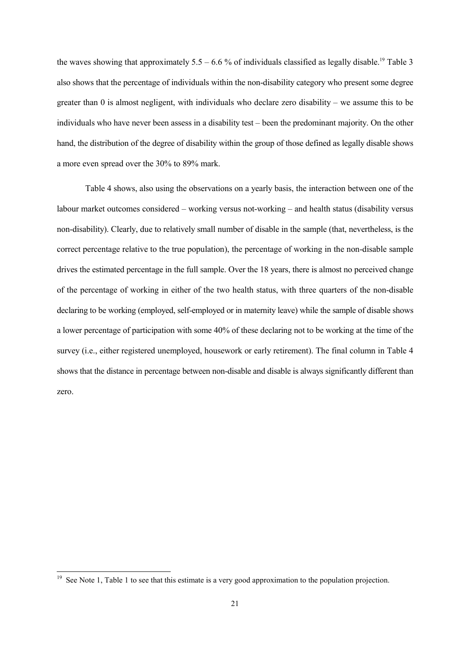the waves showing that approximately  $5.5 - 6.6$  % of individuals classified as legally disable.<sup>19</sup> Table 3 also shows that the percentage of individuals within the non-disability category who present some degree greater than 0 is almost negligent, with individuals who declare zero disability – we assume this to be individuals who have never been assess in a disability test – been the predominant majority. On the other hand, the distribution of the degree of disability within the group of those defined as legally disable shows a more even spread over the 30% to 89% mark.

Table 4 shows, also using the observations on a yearly basis, the interaction between one of the labour market outcomes considered – working versus not-working – and health status (disability versus non-disability). Clearly, due to relatively small number of disable in the sample (that, nevertheless, is the correct percentage relative to the true population), the percentage of working in the non-disable sample drives the estimated percentage in the full sample. Over the 18 years, there is almost no perceived change of the percentage of working in either of the two health status, with three quarters of the non-disable declaring to be working (employed, self-employed or in maternity leave) while the sample of disable shows a lower percentage of participation with some 40% of these declaring not to be working at the time of the survey (i.e., either registered unemployed, housework or early retirement). The final column in Table 4 shows that the distance in percentage between non-disable and disable is always significantly different than zero.

<sup>&</sup>lt;sup>19</sup> See Note 1, Table 1 to see that this estimate is a very good approximation to the population projection.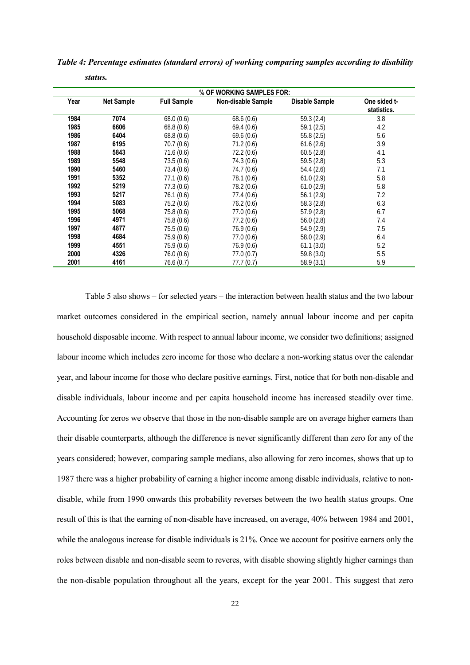|  | Table 4: Percentage estimates (standard errors) of working comparing samples according to disability |  |  |  |  |  |  |
|--|------------------------------------------------------------------------------------------------------|--|--|--|--|--|--|
|--|------------------------------------------------------------------------------------------------------|--|--|--|--|--|--|

*status.*

| % OF WORKING SAMPLES FOR: |                   |                    |                           |                |                             |  |  |
|---------------------------|-------------------|--------------------|---------------------------|----------------|-----------------------------|--|--|
| Year                      | <b>Net Sample</b> | <b>Full Sample</b> | <b>Non-disable Sample</b> | Disable Sample | One sided t-<br>statistics. |  |  |
| 1984                      | 7074              | 68.0(0.6)          | 68.6(0.6)                 | 59.3 (2.4)     | 3.8                         |  |  |
| 1985                      | 6606              | 68.8(0.6)          | 69.4(0.6)                 | 59.1(2.5)      | 4.2                         |  |  |
| 1986                      | 6404              | 68.8(0.6)          | 69.6(0.6)                 | 55.8(2.5)      | 5.6                         |  |  |
| 1987                      | 6195              | 70.7(0.6)          | 71.2(0.6)                 | 61.6(2.6)      | 3.9                         |  |  |
| 1988                      | 5843              | 71.6(0.6)          | 72.2(0.6)                 | 60.5(2.8)      | 4.1                         |  |  |
| 1989                      | 5548              | 73.5(0.6)          | 74.3 (0.6)                | 59.5 (2.8)     | 5.3                         |  |  |
| 1990                      | 5460              | 73.4(0.6)          | 74.7(0.6)                 | 54.4(2.6)      | 7.1                         |  |  |
| 1991                      | 5352              | 77.1(0.6)          | 78.1 (0.6)                | 61.0(2.9)      | 5.8                         |  |  |
| 1992                      | 5219              | 77.3(0.6)          | 78.2 (0.6)                | 61.0(2.9)      | 5.8                         |  |  |
| 1993                      | 5217              | 76.1(0.6)          | 77.4(0.6)                 | 56.1(2.9)      | 7.2                         |  |  |
| 1994                      | 5083              | 75.2(0.6)          | 76.2(0.6)                 | 58.3(2.8)      | 6.3                         |  |  |
| 1995                      | 5068              | 75.8(0.6)          | 77.0(0.6)                 | 57.9 (2.8)     | 6.7                         |  |  |
| 1996                      | 4971              | 75.8(0.6)          | 77.2(0.6)                 | 56.0(2.8)      | 7.4                         |  |  |
| 1997                      | 4877              | 75.5(0.6)          | 76.9(0.6)                 | 54.9 (2.9)     | 7.5                         |  |  |
| 1998                      | 4684              | 75.9(0.6)          | 77.0(0.6)                 | 58.0 (2.9)     | 6.4                         |  |  |
| 1999                      | 4551              | 75.9 (0.6)         | 76.9 (0.6)                | 61.1(3.0)      | 5.2                         |  |  |
| 2000                      | 4326              | 76.0(0.6)          | 77.0(0.7)                 | 59.8 (3.0)     | 5.5                         |  |  |
| 2001                      | 4161              | 76.6 (0.7)         | 77.7 (0.7)                | 58.9(3.1)      | 5.9                         |  |  |

Table 5 also shows – for selected years – the interaction between health status and the two labour market outcomes considered in the empirical section, namely annual labour income and per capita household disposable income. With respect to annual labour income, we consider two definitions; assigned labour income which includes zero income for those who declare a non-working status over the calendar year, and labour income for those who declare positive earnings. First, notice that for both non-disable and disable individuals, labour income and per capita household income has increased steadily over time. Accounting for zeros we observe that those in the non-disable sample are on average higher earners than their disable counterparts, although the difference is never significantly different than zero for any of the years considered; however, comparing sample medians, also allowing for zero incomes, shows that up to

1987 there was a higher probability of earning a higher income among disable individuals, relative to nondisable, while from 1990 onwards this probability reverses between the two health status groups. One result of this is that the earning of non-disable have increased, on average, 40% between 1984 and 2001, while the analogous increase for disable individuals is 21%. Once we account for positive earners only the roles between disable and non-disable seem to reveres, with disable showing slightly higher earnings than the non-disable population throughout all the years, except for the year 2001. This suggest that zero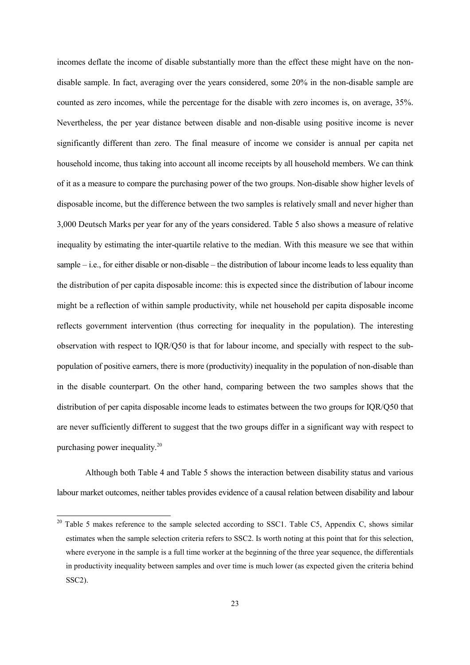incomes deflate the income of disable substantially more than the effect these might have on the nondisable sample. In fact, averaging over the years considered, some 20% in the non-disable sample are counted as zero incomes, while the percentage for the disable with zero incomes is, on average, 35%. Nevertheless, the per year distance between disable and non-disable using positive income is never significantly different than zero. The final measure of income we consider is annual per capita net household income, thus taking into account all income receipts by all household members. We can think of it as a measure to compare the purchasing power of the two groups. Non-disable show higher levels of disposable income, but the difference between the two samples is relatively small and never higher than 3,000 Deutsch Marks per year for any of the years considered. Table 5 also shows a measure of relative inequality by estimating the inter-quartile relative to the median. With this measure we see that within sample – i.e., for either disable or non-disable – the distribution of labour income leads to less equality than the distribution of per capita disposable income: this is expected since the distribution of labour income might be a reflection of within sample productivity, while net household per capita disposable income reflects government intervention (thus correcting for inequality in the population). The interesting observation with respect to IQR/Q50 is that for labour income, and specially with respect to the subpopulation of positive earners, there is more (productivity) inequality in the population of non-disable than in the disable counterpart. On the other hand, comparing between the two samples shows that the distribution of per capita disposable income leads to estimates between the two groups for IQR/Q50 that are never sufficiently different to suggest that the two groups differ in a significant way with respect to purchasing power inequality.20

Although both Table 4 and Table 5 shows the interaction between disability status and various labour market outcomes, neither tables provides evidence of a causal relation between disability and labour

 $20$  Table 5 makes reference to the sample selected according to SSC1. Table C5, Appendix C, shows similar estimates when the sample selection criteria refers to SSC2. Is worth noting at this point that for this selection, where everyone in the sample is a full time worker at the beginning of the three year sequence, the differentials in productivity inequality between samples and over time is much lower (as expected given the criteria behind SSC2).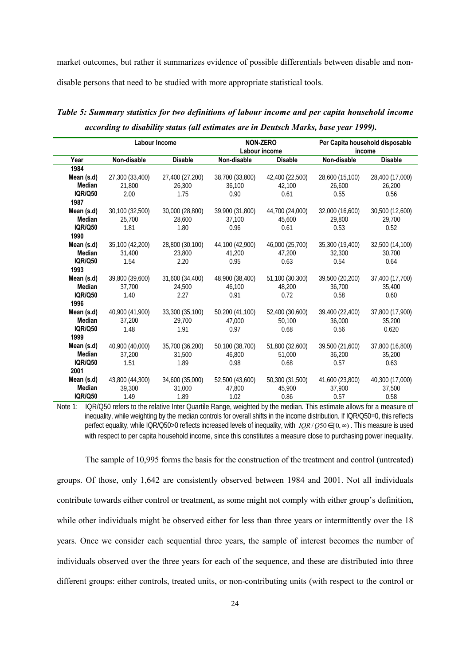market outcomes, but rather it summarizes evidence of possible differentials between disable and nondisable persons that need to be studied with more appropriate statistical tools.

## *Table 5: Summary statistics for two definitions of labour income and per capita household income according to disability status (all estimates are in Deutsch Marks, base year 1999).*

|                | <b>Labour Income</b> |                 |                 | <b>NON-ZERO</b><br>Labour income |                 | Per Capita household disposable<br>income |
|----------------|----------------------|-----------------|-----------------|----------------------------------|-----------------|-------------------------------------------|
| Year           | Non-disable          | <b>Disable</b>  | Non-disable     | <b>Disable</b>                   | Non-disable     | <b>Disable</b>                            |
| 1984           |                      |                 |                 |                                  |                 |                                           |
| Mean (s.d)     | 27,300 (33,400)      | 27,400 (27,200) | 38,700 (33,800) | 42,400 (22,500)                  | 28,600 (15,100) | 28,400 (17,000)                           |
| Median         | 21,800               | 26,300          | 36,100          | 42,100                           | 26,600          | 26,200                                    |
| <b>IQR/Q50</b> | 2.00                 | 1.75            | 0.90            | 0.61                             | 0.55            | 0.56                                      |
| 1987           |                      |                 |                 |                                  |                 |                                           |
| Mean (s.d)     | 30,100 (32,500)      | 30,000 (28,800) | 39,900 (31,800) | 44,700 (24,000)                  | 32,000 (16,600) | 30,500 (12,600)                           |
| Median         | 25,700               | 28,600          | 37,100          | 45,600                           | 29,800          | 29,700                                    |
| <b>IQR/Q50</b> | 1.81                 | 1.80            | 0.96            | 0.61                             | 0.53            | 0.52                                      |
| 1990           |                      |                 |                 |                                  |                 |                                           |
| Mean (s.d)     | 35,100 (42,200)      | 28,800 (30,100) | 44,100 (42,900) | 46,000 (25,700)                  | 35,300 (19,400) | 32,500 (14,100)                           |
| <b>Median</b>  | 31,400               | 23,800          | 41.200          | 47.200                           | 32,300          | 30.700                                    |
| <b>IQR/Q50</b> | 1.54                 | 2.20            | 0.95            | 0.63                             | 0.54            | 0.64                                      |
| 1993           |                      |                 |                 |                                  |                 |                                           |
| Mean (s.d)     | 39,800 (39,600)      | 31,600 (34,400) | 48,900 (38,400) | 51,100 (30,300)                  | 39,500 (20,200) | 37,400 (17,700)                           |
| Median         | 37,700               | 24,500          | 46,100          | 48,200                           | 36,700          | 35,400                                    |
| <b>IQR/Q50</b> | 1.40                 | 2.27            | 0.91            | 0.72                             | 0.58            | 0.60                                      |
| 1996           |                      |                 |                 |                                  |                 |                                           |
| Mean (s.d)     | 40,900 (41,900)      | 33,300 (35,100) | 50,200 (41,100) | 52,400 (30,600)                  | 39,400 (22,400) | 37,800 (17,900)                           |
| Median         | 37,200               | 29,700          | 47.000          | 50,100                           | 36,000          | 35,200                                    |
| <b>IQR/Q50</b> | 1.48                 | 1.91            | 0.97            | 0.68                             | 0.56            | 0.620                                     |
| 1999           |                      |                 |                 |                                  |                 |                                           |
| Mean (s.d)     | 40,900 (40,000)      | 35,700 (36,200) | 50,100 (38,700) | 51,800 (32,600)                  | 39,500 (21,600) | 37,800 (16,800)                           |
| Median         | 37,200               | 31,500          | 46,800          | 51,000                           | 36,200          | 35,200                                    |
| <b>IQR/Q50</b> | 1.51                 | 1.89            | 0.98            | 0.68                             | 0.57            | 0.63                                      |
| 2001           |                      |                 |                 |                                  |                 |                                           |
| Mean (s.d)     | 43,800 (44,300)      | 34,600 (35,000) | 52,500 (43,600) | 50,300 (31,500)                  | 41,600 (23,800) | 40,300 (17,000)                           |
| Median         | 39,300               | 31,000          | 47,800          | 45,900                           | 37,900          | 37,500                                    |
| <b>IQR/Q50</b> | 1.49                 | 1.89            | 1.02            | 0.86                             | 0.57            | 0.58                                      |

Note 1: IQR/Q50 refers to the relative Inter Quartile Range, weighted by the median. This estimate allows for a measure of inequality, while weighting by the median controls for overall shifts in the income distribution. If IQR/Q50=0, this reflects perfect equality, while IQR/Q50>0 reflects increased levels of inequality, with *IQR* / Q50 ∈ [0,  $\infty$ ). This measure is used with respect to per capita household income, since this constitutes a measure close to purchasing power inequality.

The sample of 10,995 forms the basis for the construction of the treatment and control (untreated) groups. Of those, only 1,642 are consistently observed between 1984 and 2001. Not all individuals contribute towards either control or treatment, as some might not comply with either group's definition, while other individuals might be observed either for less than three years or intermittently over the 18 years. Once we consider each sequential three years, the sample of interest becomes the number of individuals observed over the three years for each of the sequence, and these are distributed into three different groups: either controls, treated units, or non-contributing units (with respect to the control or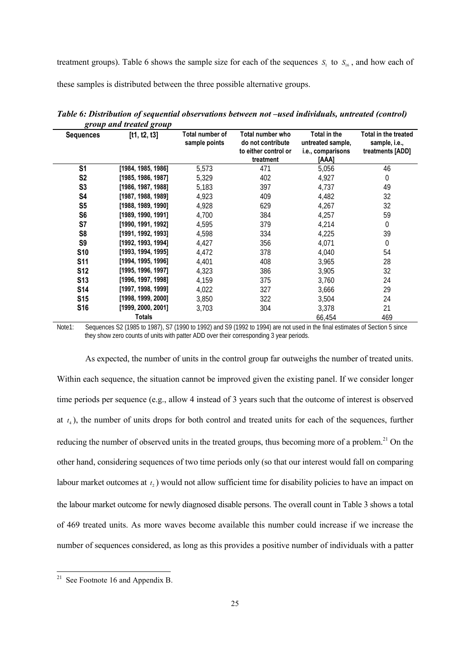treatment groups). Table 6 shows the sample size for each of the sequences  $S_1$  to  $S_{16}$ , and how each of

these samples is distributed between the three possible alternative groups.

|                  | group una treatea group |                                  |                                                                            |                                                                 |                                                           |
|------------------|-------------------------|----------------------------------|----------------------------------------------------------------------------|-----------------------------------------------------------------|-----------------------------------------------------------|
| <b>Sequences</b> | [t1, t2, t3]            | Total number of<br>sample points | Total number who<br>do not contribute<br>to either control or<br>treatment | Total in the<br>untreated sample,<br>i.e., comparisons<br>[AAA] | Total in the treated<br>sample, i.e.,<br>treatments [ADD] |
| S <sub>1</sub>   | [1984, 1985, 1986]      | 5,573                            | 471                                                                        | 5,056                                                           | 46                                                        |
| S <sub>2</sub>   | [1985, 1986, 1987]      | 5,329                            | 402                                                                        | 4,927                                                           | $\mathbf 0$                                               |
| S <sub>3</sub>   | [1986, 1987, 1988]      | 5,183                            | 397                                                                        | 4,737                                                           | 49                                                        |
| S4               | [1987, 1988, 1989]      | 4,923                            | 409                                                                        | 4,482                                                           | 32                                                        |
| S <sub>5</sub>   | [1988, 1989, 1990]      | 4,928                            | 629                                                                        | 4,267                                                           | 32                                                        |
| S <sub>6</sub>   | [1989, 1990, 1991]      | 4,700                            | 384                                                                        | 4,257                                                           | 59                                                        |
| S7               | [1990, 1991, 1992]      | 4,595                            | 379                                                                        | 4,214                                                           | $\boldsymbol{0}$                                          |
| S <sub>8</sub>   | [1991, 1992, 1993]      | 4,598                            | 334                                                                        | 4,225                                                           | 39                                                        |
| S <sub>9</sub>   | [1992, 1993, 1994]      | 4,427                            | 356                                                                        | 4,071                                                           | $\Omega$                                                  |
| <b>S10</b>       | [1993, 1994, 1995]      | 4,472                            | 378                                                                        | 4,040                                                           | 54                                                        |
| <b>S11</b>       | [1994, 1995, 1996]      | 4,401                            | 408                                                                        | 3,965                                                           | 28                                                        |
| <b>S12</b>       | [1995, 1996, 1997]      | 4,323                            | 386                                                                        | 3,905                                                           | 32                                                        |
| S <sub>13</sub>  | [1996, 1997, 1998]      | 4,159                            | 375                                                                        | 3,760                                                           | 24                                                        |
| <b>S14</b>       | [1997, 1998, 1999]      | 4,022                            | 327                                                                        | 3,666                                                           | 29                                                        |
| <b>S15</b>       | [1998, 1999, 2000]      | 3,850                            | 322                                                                        | 3,504                                                           | 24                                                        |
| <b>S16</b>       | [1999, 2000, 2001]      | 3,703                            | 304                                                                        | 3,378                                                           | 21                                                        |
|                  | <b>Totals</b>           |                                  |                                                                            | 66,454                                                          | 469                                                       |

*Table 6: Distribution of sequential observations between not –used individuals, untreated (control) group and treated group*

Note1: Sequences S2 (1985 to 1987), S7 (1990 to 1992) and S9 (1992 to 1994) are not used in the final estimates of Section 5 since they show zero counts of units with patter ADD over their corresponding 3 year periods.

As expected, the number of units in the control group far outweighs the number of treated units. Within each sequence, the situation cannot be improved given the existing panel. If we consider longer time periods per sequence (e.g., allow 4 instead of 3 years such that the outcome of interest is observed at  $t<sub>4</sub>$ ), the number of units drops for both control and treated units for each of the sequences, further reducing the number of observed units in the treated groups, thus becoming more of a problem.<sup>21</sup> On the other hand, considering sequences of two time periods only (so that our interest would fall on comparing labour market outcomes at  $t_2$ ) would not allow sufficient time for disability policies to have an impact on the labour market outcome for newly diagnosed disable persons. The overall count in Table 3 shows a total of 469 treated units. As more waves become available this number could increase if we increase the number of sequences considered, as long as this provides a positive number of individuals with a patter

<sup>&</sup>lt;sup>21</sup> See Footnote 16 and Appendix B.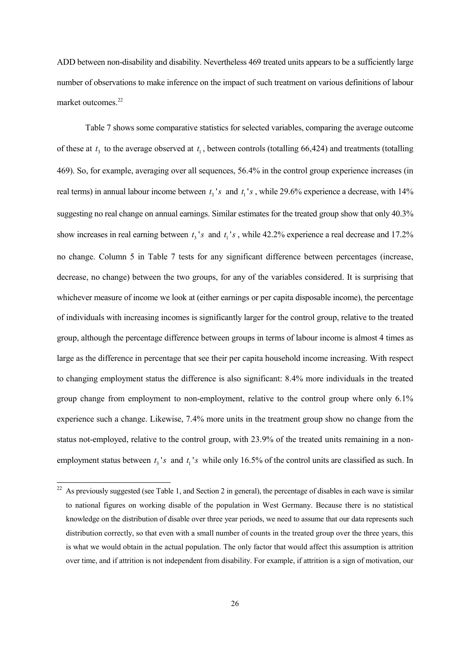ADD between non-disability and disability. Nevertheless 469 treated units appears to be a sufficiently large number of observations to make inference on the impact of such treatment on various definitions of labour market outcomes.<sup>22</sup>

Table 7 shows some comparative statistics for selected variables, comparing the average outcome of these at  $t_3$  to the average observed at  $t_1$ , between controls (totalling 66,424) and treatments (totalling 469). So, for example, averaging over all sequences, 56.4% in the control group experience increases (in real terms) in annual labour income between  $t_3$ 's and  $t_1$ 's, while 29.6% experience a decrease, with 14% suggesting no real change on annual earnings. Similar estimates for the treated group show that only 40.3% show increases in real earning between  $t_3$ 's and  $t_1$ 's, while 42.2% experience a real decrease and 17.2% no change. Column 5 in Table 7 tests for any significant difference between percentages (increase, decrease, no change) between the two groups, for any of the variables considered. It is surprising that whichever measure of income we look at (either earnings or per capita disposable income), the percentage of individuals with increasing incomes is significantly larger for the control group, relative to the treated group, although the percentage difference between groups in terms of labour income is almost 4 times as large as the difference in percentage that see their per capita household income increasing. With respect to changing employment status the difference is also significant: 8.4% more individuals in the treated group change from employment to non-employment, relative to the control group where only 6.1% experience such a change. Likewise, 7.4% more units in the treatment group show no change from the status not-employed, relative to the control group, with 23.9% of the treated units remaining in a nonemployment status between  $t_3$ 's and  $t_1$ 's while only 16.5% of the control units are classified as such. In

<sup>&</sup>lt;sup>22</sup> As previously suggested (see Table 1, and Section 2 in general), the percentage of disables in each wave is similar to national figures on working disable of the population in West Germany. Because there is no statistical knowledge on the distribution of disable over three year periods, we need to assume that our data represents such distribution correctly, so that even with a small number of counts in the treated group over the three years, this is what we would obtain in the actual population. The only factor that would affect this assumption is attrition over time, and if attrition is not independent from disability. For example, if attrition is a sign of motivation, our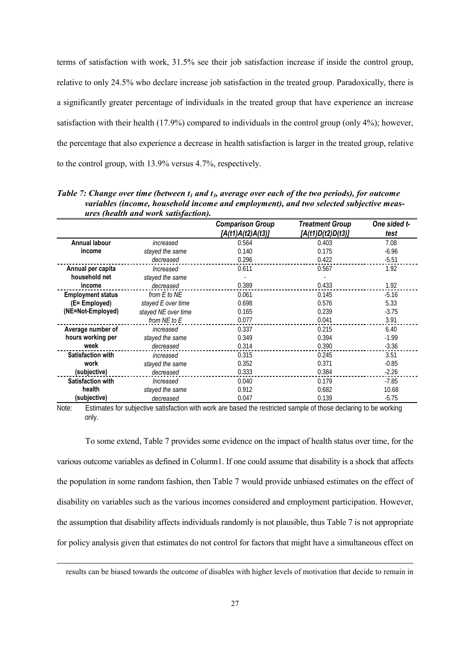terms of satisfaction with work, 31.5% see their job satisfaction increase if inside the control group, relative to only 24.5% who declare increase job satisfaction in the treated group. Paradoxically, there is a significantly greater percentage of individuals in the treated group that have experience an increase satisfaction with their health (17.9%) compared to individuals in the control group (only 4%); however, the percentage that also experience a decrease in health satisfaction is larger in the treated group, relative to the control group, with 13.9% versus 4.7%, respectively.

|                          | ares <i>incuith una work</i> suisfaction). |                                              |                                             |                      |
|--------------------------|--------------------------------------------|----------------------------------------------|---------------------------------------------|----------------------|
|                          |                                            | <b>Comparison Group</b><br>[A(t1)A(t2)A(t3)] | <b>Treatment Group</b><br>[A(t1)D(t2)D(t3)] | One sided t-<br>test |
| <b>Annual labour</b>     | increased                                  | 0.564                                        | 0.403                                       | 7.08                 |
| income                   | stayed the same                            | 0.140                                        | 0.175                                       | $-6.96$              |
|                          | decreased                                  | 0.296                                        | 0.422                                       | $-5.51$              |
| Annual per capita        | Increased                                  | 0.611                                        | 0.567                                       | 1.92                 |
| household net            | stayed the same                            |                                              |                                             |                      |
| income                   | decreased                                  | 0.389                                        | 0.433                                       | 1.92                 |
| <b>Employment status</b> | from $E$ to $NE$                           | 0.061                                        | 0.145                                       | $-5.16$              |
| (E= Employed)            | stayed E over time                         | 0.698                                        | 0.576                                       | 5.33                 |
| (NE=Not-Employed)        | stayed NE over time                        | 0.165                                        | 0.239                                       | $-3.75$              |
|                          | from NE to E                               | 0.077                                        | 0.041                                       | 3.91                 |
| Average number of        | increased                                  | 0.337                                        | 0.215                                       | 6.40                 |
| hours working per        | stayed the same                            | 0.349                                        | 0.394                                       | $-1.99$              |
| week                     | decreased                                  | 0.314                                        | 0.390                                       | $-3.36$              |
| <b>Satisfaction with</b> | increased                                  | 0.315                                        | 0.245                                       | 3.51                 |
| work                     | stayed the same                            | 0.352                                        | 0.371                                       | $-0.85$              |
| (subjective)             | decreased                                  | 0.333                                        | 0.384                                       | $-2.26$              |
| <b>Satisfaction with</b> | Increased                                  | 0.040                                        | 0.179                                       | $-7.85$              |
| health                   | stayed the same                            | 0.912                                        | 0.682                                       | 10.68                |
| (subjective)             | decreased                                  | 0.047                                        | 0.139                                       | $-5.75$              |

*Table 7: Change over time (between*  $t_1$  *and*  $t_3$ *, average over each of the two periods), for outcome variables (income, household income and employment), and two selected subjective measures (health and work satisfaction).*

Note: Estimates for subjective satisfaction with work are based the restricted sample of those declaring to be working only.

To some extend, Table 7 provides some evidence on the impact of health status over time, for the various outcome variables as defined in Column1. If one could assume that disability is a shock that affects the population in some random fashion, then Table 7 would provide unbiased estimates on the effect of disability on variables such as the various incomes considered and employment participation. However, the assumption that disability affects individuals randomly is not plausible, thus Table 7 is not appropriate for policy analysis given that estimates do not control for factors that might have a simultaneous effect on

results can be biased towards the outcome of disables with higher levels of motivation that decide to remain in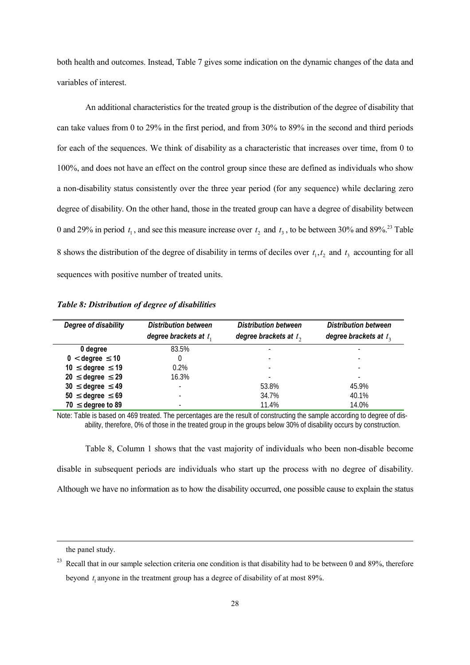both health and outcomes. Instead, Table 7 gives some indication on the dynamic changes of the data and variables of interest.

An additional characteristics for the treated group is the distribution of the degree of disability that can take values from 0 to 29% in the first period, and from 30% to 89% in the second and third periods for each of the sequences. We think of disability as a characteristic that increases over time, from 0 to 100%, and does not have an effect on the control group since these are defined as individuals who show a non-disability status consistently over the three year period (for any sequence) while declaring zero degree of disability. On the other hand, those in the treated group can have a degree of disability between 0 and 29% in period  $t_1$ , and see this measure increase over  $t_2$  and  $t_3$ , to be between 30% and 89%.<sup>23</sup> Table 8 shows the distribution of the degree of disability in terms of deciles over  $t_1, t_2$  and  $t_3$  accounting for all sequences with positive number of treated units.

| Degree of disability       | <b>Distribution between</b> | <b>Distribution between</b> | <b>Distribution between</b> |
|----------------------------|-----------------------------|-----------------------------|-----------------------------|
|                            | degree brackets at $t_1$    | degree brackets at $t_2$    | degree brackets at $t_3$    |
| 0 degree                   | 83.5%                       |                             |                             |
| $0 <$ degree $\leq 10$     | 0                           |                             |                             |
| 10 $\leq$ degree $\leq$ 19 | 0.2%                        |                             |                             |
| $20 \leq$ degree $\leq 29$ | 16.3%                       |                             |                             |
| $30 \leq$ degree $\leq 49$ | $\overline{a}$              | 53.8%                       | 45.9%                       |
| $50 \leq$ degree $\leq 69$ |                             | 34.7%                       | 40.1%                       |
| $70 \leq$ degree to 89     |                             | 11.4%                       | 14.0%                       |

*Table 8: Distribution of degree of disabilities*

Note: Table is based on 469 treated. The percentages are the result of constructing the sample according to degree of disability, therefore, 0% of those in the treated group in the groups below 30% of disability occurs by construction.

Table 8, Column 1 shows that the vast majority of individuals who been non-disable become disable in subsequent periods are individuals who start up the process with no degree of disability. Although we have no information as to how the disability occurred, one possible cause to explain the status

the panel study.

<sup>&</sup>lt;sup>23</sup> Recall that in our sample selection criteria one condition is that disability had to be between 0 and 89%, therefore beyond  $t_1$  anyone in the treatment group has a degree of disability of at most 89%.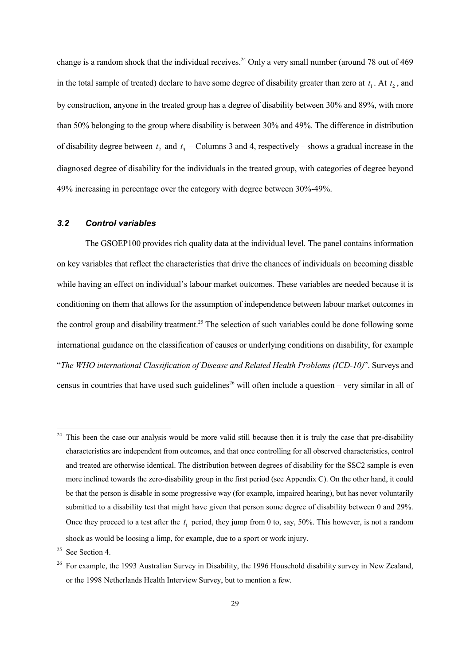change is a random shock that the individual receives.<sup>24</sup> Only a very small number (around 78 out of 469 in the total sample of treated) declare to have some degree of disability greater than zero at  $t_1$ . At  $t_2$ , and by construction, anyone in the treated group has a degree of disability between 30% and 89%, with more than 50% belonging to the group where disability is between 30% and 49%. The difference in distribution of disability degree between  $t_2$  and  $t_3$  – Columns 3 and 4, respectively – shows a gradual increase in the diagnosed degree of disability for the individuals in the treated group, with categories of degree beyond 49% increasing in percentage over the category with degree between 30%-49%.

#### *3.2 Control variables*

The GSOEP100 provides rich quality data at the individual level. The panel contains information on key variables that reflect the characteristics that drive the chances of individuals on becoming disable while having an effect on individual's labour market outcomes. These variables are needed because it is conditioning on them that allows for the assumption of independence between labour market outcomes in the control group and disability treatment.<sup>25</sup> The selection of such variables could be done following some international guidance on the classification of causes or underlying conditions on disability, for example "*The WHO international Classification of Disease and Related Health Problems (ICD-10)*". Surveys and census in countries that have used such guidelines<sup>26</sup> will often include a question – very similar in all of

 $24$  This been the case our analysis would be more valid still because then it is truly the case that pre-disability characteristics are independent from outcomes, and that once controlling for all observed characteristics, control and treated are otherwise identical. The distribution between degrees of disability for the SSC2 sample is even more inclined towards the zero-disability group in the first period (see Appendix C). On the other hand, it could be that the person is disable in some progressive way (for example, impaired hearing), but has never voluntarily submitted to a disability test that might have given that person some degree of disability between 0 and 29%. Once they proceed to a test after the  $t_1$  period, they jump from 0 to, say, 50%. This however, is not a random shock as would be loosing a limp, for example, due to a sport or work injury.

 $25$  See Section 4.

<sup>&</sup>lt;sup>26</sup> For example, the 1993 Australian Survey in Disability, the 1996 Household disability survey in New Zealand, or the 1998 Netherlands Health Interview Survey, but to mention a few.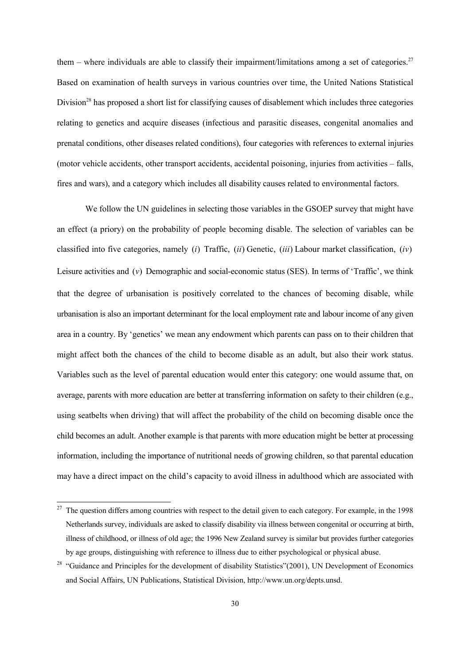them – where individuals are able to classify their impairment/limitations among a set of categories.<sup>27</sup> Based on examination of health surveys in various countries over time, the United Nations Statistical Division<sup>28</sup> has proposed a short list for classifying causes of disablement which includes three categories relating to genetics and acquire diseases (infectious and parasitic diseases, congenital anomalies and prenatal conditions, other diseases related conditions), four categories with references to external injuries (motor vehicle accidents, other transport accidents, accidental poisoning, injuries from activities – falls, fires and wars), and a category which includes all disability causes related to environmental factors.

We follow the UN guidelines in selecting those variables in the GSOEP survey that might have an effect (a priory) on the probability of people becoming disable. The selection of variables can be classified into five categories, namely (*i*) Traffic, (*ii*) Genetic, (*iii*) Labour market classification, (*iv*) Leisure activities and (*v*) Demographic and social-economic status (SES). In terms of 'Traffic', we think that the degree of urbanisation is positively correlated to the chances of becoming disable, while urbanisation is also an important determinant for the local employment rate and labour income of any given area in a country. By 'genetics' we mean any endowment which parents can pass on to their children that might affect both the chances of the child to become disable as an adult, but also their work status. Variables such as the level of parental education would enter this category: one would assume that, on average, parents with more education are better at transferring information on safety to their children (e.g., using seatbelts when driving) that will affect the probability of the child on becoming disable once the child becomes an adult. Another example is that parents with more education might be better at processing information, including the importance of nutritional needs of growing children, so that parental education may have a direct impact on the child's capacity to avoid illness in adulthood which are associated with

 $27$  The question differs among countries with respect to the detail given to each category. For example, in the 1998 Netherlands survey, individuals are asked to classify disability via illness between congenital or occurring at birth, illness of childhood, or illness of old age; the 1996 New Zealand survey is similar but provides further categories by age groups, distinguishing with reference to illness due to either psychological or physical abuse.

<sup>&</sup>lt;sup>28</sup> "Guidance and Principles for the development of disability Statistics"(2001), UN Development of Economics and Social Affairs, UN Publications, Statistical Division, http://www.un.org/depts.unsd.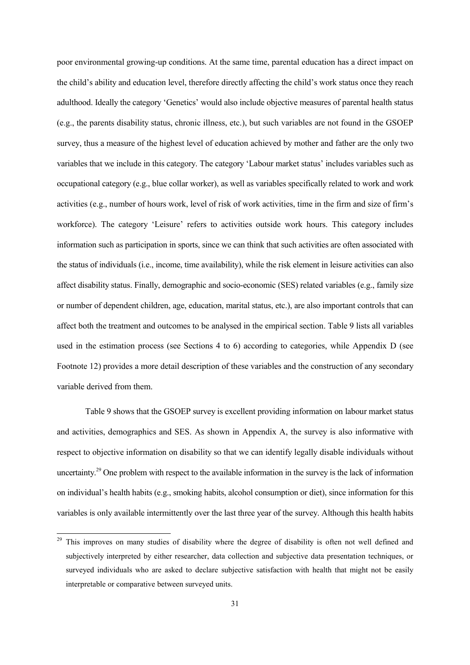poor environmental growing-up conditions. At the same time, parental education has a direct impact on the child's ability and education level, therefore directly affecting the child's work status once they reach adulthood. Ideally the category 'Genetics' would also include objective measures of parental health status (e.g., the parents disability status, chronic illness, etc.), but such variables are not found in the GSOEP survey, thus a measure of the highest level of education achieved by mother and father are the only two variables that we include in this category. The category 'Labour market status' includes variables such as occupational category (e.g., blue collar worker), as well as variables specifically related to work and work activities (e.g., number of hours work, level of risk of work activities, time in the firm and size of firm's workforce). The category 'Leisure' refers to activities outside work hours. This category includes information such as participation in sports, since we can think that such activities are often associated with the status of individuals (i.e., income, time availability), while the risk element in leisure activities can also affect disability status. Finally, demographic and socio-economic (SES) related variables (e.g., family size or number of dependent children, age, education, marital status, etc.), are also important controls that can affect both the treatment and outcomes to be analysed in the empirical section. Table 9 lists all variables used in the estimation process (see Sections 4 to 6) according to categories, while Appendix D (see Footnote 12) provides a more detail description of these variables and the construction of any secondary variable derived from them.

Table 9 shows that the GSOEP survey is excellent providing information on labour market status and activities, demographics and SES. As shown in Appendix A, the survey is also informative with respect to objective information on disability so that we can identify legally disable individuals without uncertainty.29 One problem with respect to the available information in the survey is the lack of information on individual's health habits (e.g., smoking habits, alcohol consumption or diet), since information for this variables is only available intermittently over the last three year of the survey. Although this health habits

<sup>&</sup>lt;sup>29</sup> This improves on many studies of disability where the degree of disability is often not well defined and subjectively interpreted by either researcher, data collection and subjective data presentation techniques, or surveyed individuals who are asked to declare subjective satisfaction with health that might not be easily interpretable or comparative between surveyed units.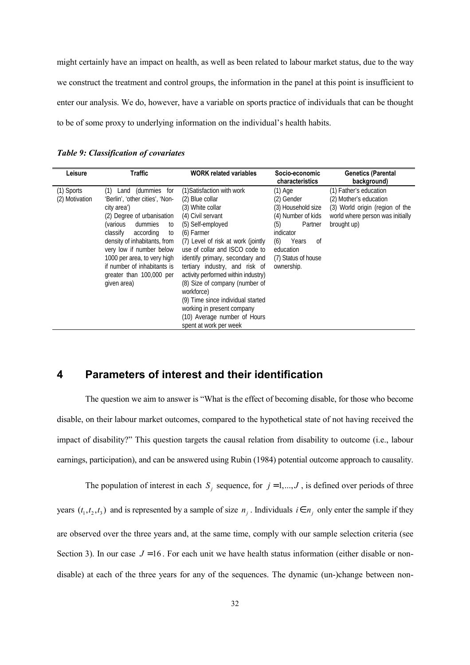might certainly have an impact on health, as well as been related to labour market status, due to the way we construct the treatment and control groups, the information in the panel at this point is insufficient to enter our analysis. We do, however, have a variable on sports practice of individuals that can be thought to be of some proxy to underlying information on the individual's health habits.

| Leisure                      | Traffic                                                                                                                                                                                                                                                                                                                                   | <b>WORK related variables</b>                                                                                                                                                                                                                                                                                                                                                                                                                                                              | Socio-economic<br>characteristics                                                                                                                                        | <b>Genetics (Parental</b><br>background)                                                                                               |
|------------------------------|-------------------------------------------------------------------------------------------------------------------------------------------------------------------------------------------------------------------------------------------------------------------------------------------------------------------------------------------|--------------------------------------------------------------------------------------------------------------------------------------------------------------------------------------------------------------------------------------------------------------------------------------------------------------------------------------------------------------------------------------------------------------------------------------------------------------------------------------------|--------------------------------------------------------------------------------------------------------------------------------------------------------------------------|----------------------------------------------------------------------------------------------------------------------------------------|
| (1) Sports<br>(2) Motivation | Land (dummies for<br>(1)<br>'Berlin', 'other cities', 'Non-<br>city area')<br>(2) Degree of urbanisation<br>(various<br>dummies<br>to<br>classify<br>according<br>to<br>density of inhabitants, from<br>very low if number below<br>1000 per area, to very high<br>if number of inhabitants is<br>greater than 100,000 per<br>given area) | (1) Satisfaction with work<br>(2) Blue collar<br>(3) White collar<br>(4) Civil servant<br>(5) Self-employed<br>(6) Farmer<br>(7) Level of risk at work (jointly<br>use of collar and ISCO code to<br>identify primary, secondary and<br>tertiary industry, and risk of<br>activity performed within industry)<br>(8) Size of company (number of<br>workforce)<br>(9) Time since individual started<br>working in present company<br>(10) Average number of Hours<br>spent at work per week | (1) Age<br>(2) Gender<br>(3) Household size<br>(4) Number of kids<br>Partner<br>(5)<br>indicator<br>(6)<br>Years<br>0f<br>education<br>(7) Status of house<br>ownership. | (1) Father's education<br>(2) Mother's education<br>(3) World origin (region of the<br>world where person was initially<br>brought up) |

*Table 9: Classification of covariates*

### **4 Parameters of interest and their identification**

The question we aim to answer is "What is the effect of becoming disable, for those who become disable, on their labour market outcomes, compared to the hypothetical state of not having received the impact of disability?" This question targets the causal relation from disability to outcome (i.e., labour earnings, participation), and can be answered using Rubin (1984) potential outcome approach to causality.

The population of interest in each  $S_j$  sequence, for  $j = 1, \ldots, J$ , is defined over periods of three years  $(t_1, t_2, t_3)$  and is represented by a sample of size  $n_j$ . Individuals  $i \in n_j$  only enter the sample if they are observed over the three years and, at the same time, comply with our sample selection criteria (see Section 3). In our case  $J = 16$ . For each unit we have health status information (either disable or nondisable) at each of the three years for any of the sequences. The dynamic (un-)change between non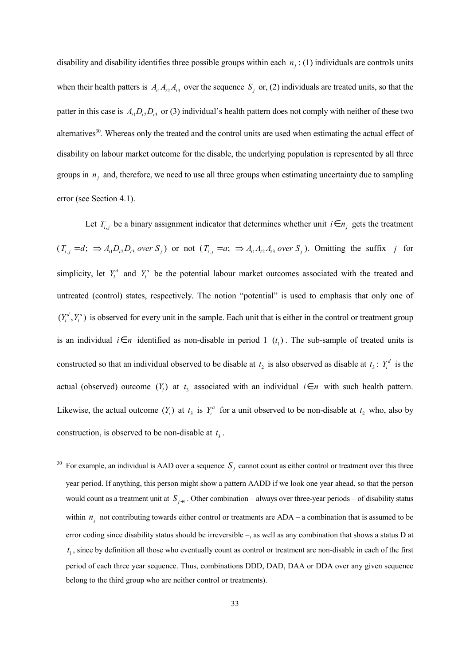disability and disability identifies three possible groups within each  $n_i$  : (1) individuals are controls units when their health patters is  $A_1A_2A_3$  over the sequence  $S_j$  or, (2) individuals are treated units, so that the patter in this case is  $A_1D_2D_3$  or (3) individual's health pattern does not comply with neither of these two alternatives<sup>30</sup>. Whereas only the treated and the control units are used when estimating the actual effect of disability on labour market outcome for the disable, the underlying population is represented by all three groups in  $n_i$  and, therefore, we need to use all three groups when estimating uncertainty due to sampling error (see Section 4.1).

Let  $T_{i,j}$  be a binary assignment indicator that determines whether unit  $i \in n_j$  gets the treatment  $(T_{i,j} = d; \Rightarrow A_{i1}D_{i2}D_{i3}$  over  $S_j$  or not  $(T_{i,j} = a; \Rightarrow A_{i1}A_{i2}A_{i3}$  over  $S_j$ ). Omitting the suffix *j* for simplicity, let  $Y_i^d$  and  $Y_i^a$  be the potential labour market outcomes associated with the treated and untreated (control) states, respectively. The notion "potential" is used to emphasis that only one of  $(Y_i^d, Y_i^a)$  is observed for every unit in the sample. Each unit that is either in the control or treatment group is an individual  $i \in n$  identified as non-disable in period 1  $(t_1)$ . The sub-sample of treated units is constructed so that an individual observed to be disable at  $t_2$  is also observed as disable at  $t_3$ :  $Y_i^d$  is the actual (observed) outcome  $(Y_i)$  at  $t_i$  associated with an individual  $i \in n$  with such health pattern. Likewise, the actual outcome  $(Y_i)$  at  $t_i$  is  $Y_i^a$  for a unit observed to be non-disable at  $t_2$  who, also by construction, is observed to be non-disable at  $t_3$ .

<sup>&</sup>lt;sup>30</sup> For example, an individual is AAD over a sequence  $S_j$  cannot count as either control or treatment over this three year period. If anything, this person might show a pattern AADD if we look one year ahead, so that the person would count as a treatment unit at  $S_{i+1}$ . Other combination – always over three-year periods – of disability status within  $n_i$  not contributing towards either control or treatments are  $ADA - a$  combination that is assumed to be error coding since disability status should be irreversible –, as well as any combination that shows a status D at  $t<sub>1</sub>$ , since by definition all those who eventually count as control or treatment are non-disable in each of the first period of each three year sequence. Thus, combinations DDD, DAD, DAA or DDA over any given sequence belong to the third group who are neither control or treatments).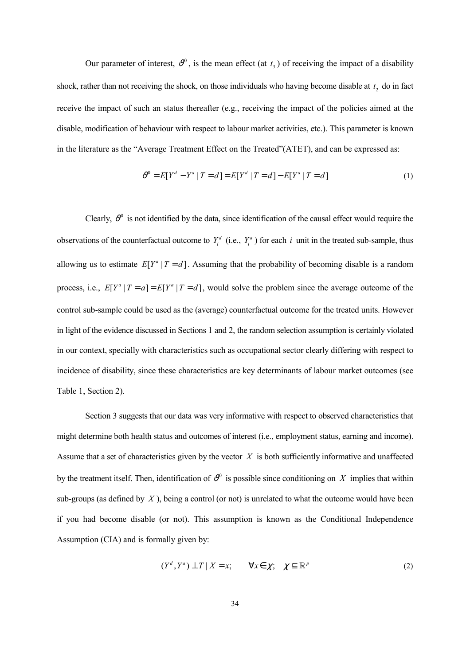Our parameter of interest,  $\vartheta^0$ , is the mean effect (at  $t_1$ ) of receiving the impact of a disability shock, rather than not receiving the shock, on those individuals who having become disable at  $t_2$  do in fact receive the impact of such an status thereafter (e.g., receiving the impact of the policies aimed at the disable, modification of behaviour with respect to labour market activities, etc.). This parameter is known in the literature as the "Average Treatment Effect on the Treated"(ATET), and can be expressed as:

$$
\mathcal{V}^0 = E[Y^d - Y^a | T = d] = E[Y^d | T = d] - E[Y^a | T = d]
$$
\n(1)

Clearly,  $\vartheta^0$  is not identified by the data, since identification of the causal effect would require the observations of the counterfactual outcome to  $Y_i^d$  (i.e.,  $Y_i^a$ ) for each *i* unit in the treated sub-sample, thus allowing us to estimate  $E[Y^a | T = d]$ . Assuming that the probability of becoming disable is a random process, i.e.,  $E[Y^a | T = a] = E[Y^a | T = d]$ , would solve the problem since the average outcome of the control sub-sample could be used as the (average) counterfactual outcome for the treated units. However in light of the evidence discussed in Sections 1 and 2, the random selection assumption is certainly violated in our context, specially with characteristics such as occupational sector clearly differing with respect to incidence of disability, since these characteristics are key determinants of labour market outcomes (see Table 1, Section 2).

Section 3 suggests that our data was very informative with respect to observed characteristics that might determine both health status and outcomes of interest (i.e., employment status, earning and income). Assume that a set of characteristics given by the vector *X* is both sufficiently informative and unaffected by the treatment itself. Then, identification of  $\vartheta^0$  is possible since conditioning on *X* implies that within sub-groups (as defined by *X* ), being a control (or not) is unrelated to what the outcome would have been if you had become disable (or not). This assumption is known as the Conditional Independence Assumption (CIA) and is formally given by:

$$
(Y^d, Y^a) \perp T \mid X = x; \qquad \forall x \in \chi; \quad \chi \subseteq \mathbb{R}^p \tag{2}
$$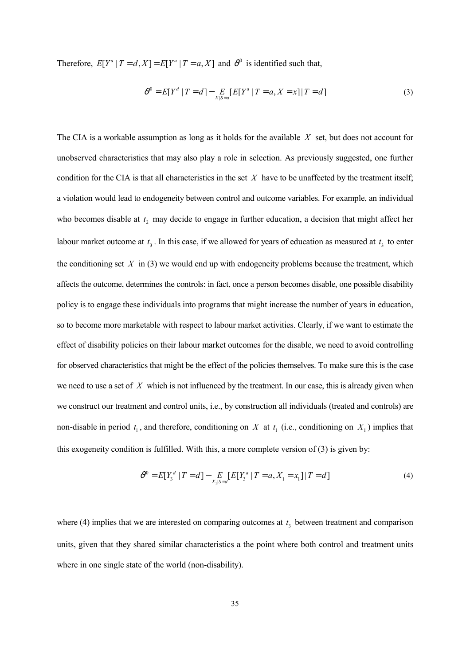Therefore,  $E[Y^a | T = d, X] = E[Y^a | T = a, X]$  and  $\vartheta^0$  is identified such that,

$$
\mathcal{V}^0 = E[Y^d | T = d] - E_{X|S=d}[E[Y^a | T = a, X = x]|T = d]
$$
\n(3)

The CIA is a workable assumption as long as it holds for the available *X* set, but does not account for unobserved characteristics that may also play a role in selection. As previously suggested, one further condition for the CIA is that all characteristics in the set *X* have to be unaffected by the treatment itself; a violation would lead to endogeneity between control and outcome variables. For example, an individual who becomes disable at  $t_2$  may decide to engage in further education, a decision that might affect her labour market outcome at  $t_3$ . In this case, if we allowed for years of education as measured at  $t_3$  to enter the conditioning set *X* in (3) we would end up with endogeneity problems because the treatment, which affects the outcome, determines the controls: in fact, once a person becomes disable, one possible disability policy is to engage these individuals into programs that might increase the number of years in education, so to become more marketable with respect to labour market activities. Clearly, if we want to estimate the effect of disability policies on their labour market outcomes for the disable, we need to avoid controlling for observed characteristics that might be the effect of the policies themselves. To make sure this is the case we need to use a set of *X* which is not influenced by the treatment. In our case, this is already given when we construct our treatment and control units, i.e., by construction all individuals (treated and controls) are non-disable in period  $t_1$ , and therefore, conditioning on *X* at  $t_1$  (i.e., conditioning on  $X_1$ ) implies that this exogeneity condition is fulfilled. With this, a more complete version of (3) is given by:

$$
\mathcal{O}^0 = E[Y_3^d \mid T = d] - \underset{X_1|S = d}{E}[E[Y_3^a \mid T = a, X_1 = x_1] \mid T = d] \tag{4}
$$

where (4) implies that we are interested on comparing outcomes at  $t<sub>3</sub>$  between treatment and comparison units, given that they shared similar characteristics a the point where both control and treatment units where in one single state of the world (non-disability).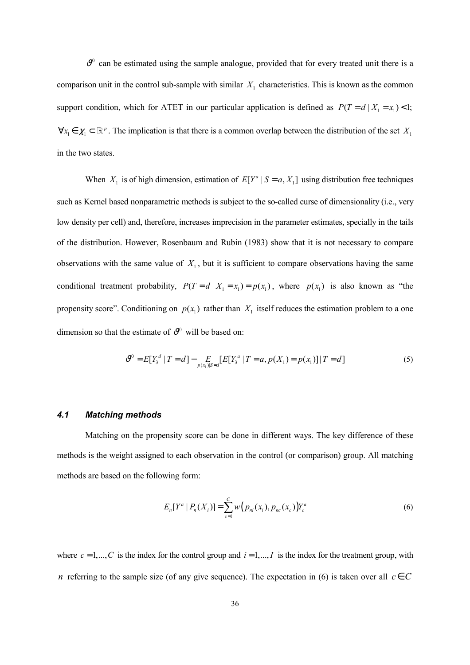$v^0$  can be estimated using the sample analogue, provided that for every treated unit there is a comparison unit in the control sub-sample with similar  $X_1$  characteristics. This is known as the common support condition, which for ATET in our particular application is defined as  $P(T = d | X_1 = x_1) < 1$ ;  $\forall x_1 \in \mathcal{X}_1 \subset \mathbb{R}^p$ . The implication is that there is a common overlap between the distribution of the set  $X_1$ in the two states.

When  $X_1$  is of high dimension, estimation of  $E[Y^a | S = a, X_1]$  using distribution free techniques such as Kernel based nonparametric methods is subject to the so-called curse of dimensionality (i.e., very low density per cell) and, therefore, increases imprecision in the parameter estimates, specially in the tails of the distribution. However, Rosenbaum and Rubin (1983) show that it is not necessary to compare observations with the same value of  $X_1$ , but it is sufficient to compare observations having the same conditional treatment probability,  $P(T = d | X_1 = x_1) = p(x_1)$ , where  $p(x_1)$  is also known as "the propensity score". Conditioning on  $p(x_1)$  rather than  $X_1$  itself reduces the estimation problem to a one dimension so that the estimate of  $v^0$  will be based on:

$$
\mathcal{V}^{0} = E[Y_{3}^{d} | T = d] - E_{p(x_{1})|S=d}[E[Y_{3}^{a} | T = a, p(X_{1}) = p(x_{1})] | T = d]
$$
\n(5)

#### *4.1 Matching methods*

Matching on the propensity score can be done in different ways. The key difference of these methods is the weight assigned to each observation in the control (or comparison) group. All matching methods are based on the following form:

$$
E_n[Y^a | P_n(X_i)] = \sum_{c=1}^C w\big(p_{ni}(x_i), p_{nc}(x_c)\big)Y_c^a
$$
\n(6)

where  $c = 1,..., C$  is the index for the control group and  $i = 1,..., I$  is the index for the treatment group, with *n* referring to the sample size (of any give sequence). The expectation in (6) is taken over all  $c \in C$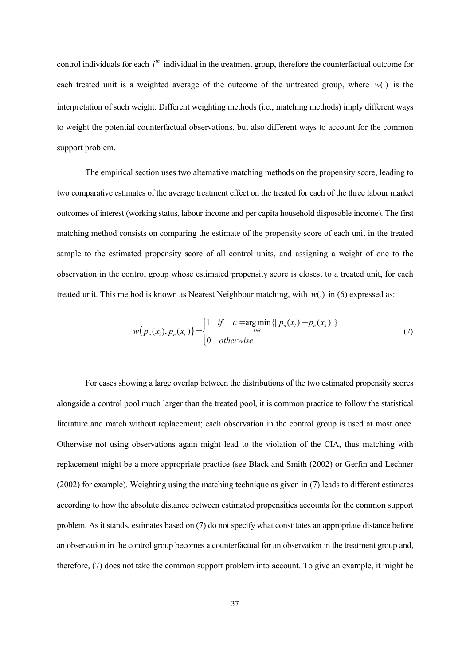control individuals for each  $i<sup>th</sup>$  individual in the treatment group, therefore the counterfactual outcome for each treated unit is a weighted average of the outcome of the untreated group, where  $w(.)$  is the interpretation of such weight. Different weighting methods (i.e., matching methods) imply different ways to weight the potential counterfactual observations, but also different ways to account for the common support problem.

The empirical section uses two alternative matching methods on the propensity score, leading to two comparative estimates of the average treatment effect on the treated for each of the three labour market outcomes of interest (working status, labour income and per capita household disposable income). The first matching method consists on comparing the estimate of the propensity score of each unit in the treated sample to the estimated propensity score of all control units, and assigning a weight of one to the observation in the control group whose estimated propensity score is closest to a treated unit, for each treated unit. This method is known as Nearest Neighbour matching, with  $w(.)$  in (6) expressed as:

$$
w(p_n(x_i), p_n(x_c)) = \begin{cases} 1 & \text{if } c = \arg\min_{k \in C} \{|p_n(x_i) - p_n(x_k)|\} \\ 0 & \text{otherwise} \end{cases}
$$
(7)

For cases showing a large overlap between the distributions of the two estimated propensity scores alongside a control pool much larger than the treated pool, it is common practice to follow the statistical literature and match without replacement; each observation in the control group is used at most once. Otherwise not using observations again might lead to the violation of the CIA, thus matching with replacement might be a more appropriate practice (see Black and Smith (2002) or Gerfin and Lechner (2002) for example). Weighting using the matching technique as given in (7) leads to different estimates according to how the absolute distance between estimated propensities accounts for the common support problem. As it stands, estimates based on (7) do not specify what constitutes an appropriate distance before an observation in the control group becomes a counterfactual for an observation in the treatment group and, therefore, (7) does not take the common support problem into account. To give an example, it might be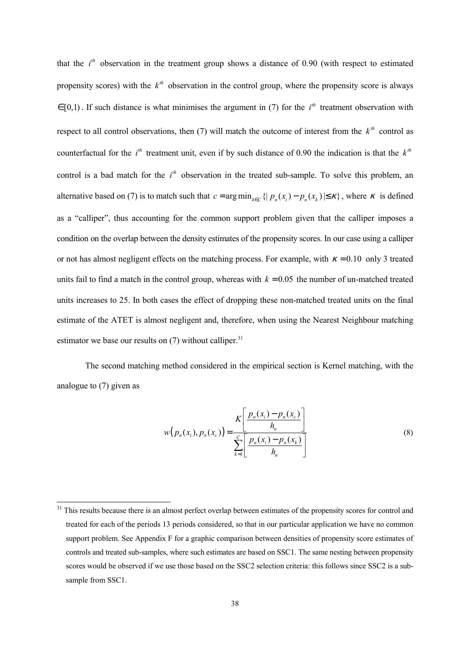that the  $i<sup>th</sup>$  observation in the treatment group shows a distance of 0.90 (with respect to estimated propensity scores) with the  $k^{th}$  observation in the control group, where the propensity score is always  $\in$  [0,1). If such distance is what minimises the argument in (7) for the *i*<sup>th</sup> treatment observation with respect to all control observations, then (7) will match the outcome of interest from the  $k<sup>th</sup>$  control as counterfactual for the  $i<sup>th</sup>$  treatment unit, even if by such distance of 0.90 the indication is that the  $k<sup>th</sup>$ control is a bad match for the  $i<sup>th</sup>$  observation in the treated sub-sample. To solve this problem, an alternative based on (7) is to match such that  $c = \arg \min_{k \in C} \{ | p_n(x_i) - p_n(x_k) | \leq \kappa \}$ , where  $\kappa$  is defined as a "calliper", thus accounting for the common support problem given that the calliper imposes a condition on the overlap between the density estimates of the propensity scores. In our case using a calliper or not has almost negligent effects on the matching process. For example, with  $\kappa = 0.10$  only 3 treated units fail to find a match in the control group, whereas with  $k = 0.05$  the number of un-matched treated units increases to 25. In both cases the effect of dropping these non-matched treated units on the final estimate of the ATET is almost negligent and, therefore, when using the Nearest Neighbour matching estimator we base our results on  $(7)$  without calliper.<sup>31</sup>

The second matching method considered in the empirical section is Kernel matching, with the analogue to (7) given as

$$
w(p_n(x_i), p_n(x_c)) = \frac{K\left[\frac{p_n(x_i) - p_n(x_c)}{h_n}\right]}{\sum_{k=1}^C \left[\frac{p_n(x_i) - p_n(x_k)}{h_n}\right]}
$$
(8)

 $\overline{\phantom{a}}$ 

<sup>&</sup>lt;sup>31</sup> This results because there is an almost perfect overlap between estimates of the propensity scores for control and treated for each of the periods 13 periods considered, so that in our particular application we have no common support problem. See Appendix F for a graphic comparison between densities of propensity score estimates of controls and treated sub-samples, where such estimates are based on SSC1. The same nesting between propensity scores would be observed if we use those based on the SSC2 selection criteria: this follows since SSC2 is a subsample from SSC1.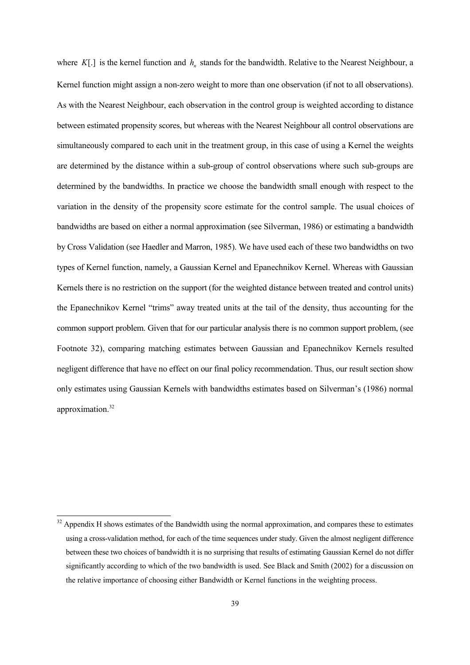where  $K[.]$  is the kernel function and  $h_n$  stands for the bandwidth. Relative to the Nearest Neighbour, a Kernel function might assign a non-zero weight to more than one observation (if not to all observations). As with the Nearest Neighbour, each observation in the control group is weighted according to distance between estimated propensity scores, but whereas with the Nearest Neighbour all control observations are simultaneously compared to each unit in the treatment group, in this case of using a Kernel the weights are determined by the distance within a sub-group of control observations where such sub-groups are determined by the bandwidths. In practice we choose the bandwidth small enough with respect to the variation in the density of the propensity score estimate for the control sample. The usual choices of bandwidths are based on either a normal approximation (see Silverman, 1986) or estimating a bandwidth by Cross Validation (see Haedler and Marron, 1985). We have used each of these two bandwidths on two types of Kernel function, namely, a Gaussian Kernel and Epanechnikov Kernel. Whereas with Gaussian Kernels there is no restriction on the support (for the weighted distance between treated and control units) the Epanechnikov Kernel "trims" away treated units at the tail of the density, thus accounting for the common support problem. Given that for our particular analysis there is no common support problem, (see Footnote 32), comparing matching estimates between Gaussian and Epanechnikov Kernels resulted negligent difference that have no effect on our final policy recommendation. Thus, our result section show only estimates using Gaussian Kernels with bandwidths estimates based on Silverman's (1986) normal approximation.<sup>32</sup>

 $\overline{\phantom{a}}$ 

<sup>&</sup>lt;sup>32</sup> Appendix H shows estimates of the Bandwidth using the normal approximation, and compares these to estimates using a cross-validation method, for each of the time sequences under study. Given the almost negligent difference between these two choices of bandwidth it is no surprising that results of estimating Gaussian Kernel do not differ significantly according to which of the two bandwidth is used. See Black and Smith (2002) for a discussion on the relative importance of choosing either Bandwidth or Kernel functions in the weighting process.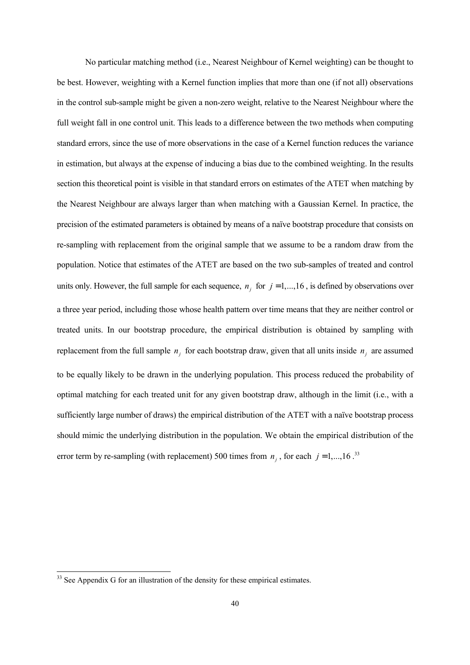No particular matching method (i.e., Nearest Neighbour of Kernel weighting) can be thought to be best. However, weighting with a Kernel function implies that more than one (if not all) observations in the control sub-sample might be given a non-zero weight, relative to the Nearest Neighbour where the full weight fall in one control unit. This leads to a difference between the two methods when computing standard errors, since the use of more observations in the case of a Kernel function reduces the variance in estimation, but always at the expense of inducing a bias due to the combined weighting. In the results section this theoretical point is visible in that standard errors on estimates of the ATET when matching by the Nearest Neighbour are always larger than when matching with a Gaussian Kernel. In practice, the precision of the estimated parameters is obtained by means of a naïve bootstrap procedure that consists on re-sampling with replacement from the original sample that we assume to be a random draw from the population. Notice that estimates of the ATET are based on the two sub-samples of treated and control units only. However, the full sample for each sequence,  $n_i$  for  $j = 1,...,16$ , is defined by observations over a three year period, including those whose health pattern over time means that they are neither control or treated units. In our bootstrap procedure, the empirical distribution is obtained by sampling with replacement from the full sample  $n_j$  for each bootstrap draw, given that all units inside  $n_j$  are assumed to be equally likely to be drawn in the underlying population. This process reduced the probability of optimal matching for each treated unit for any given bootstrap draw, although in the limit (i.e., with a sufficiently large number of draws) the empirical distribution of the ATET with a naïve bootstrap process should mimic the underlying distribution in the population. We obtain the empirical distribution of the error term by re-sampling (with replacement) 500 times from  $n_j$ , for each  $j = 1,...,16$ .<sup>33</sup>

 $\overline{a}$ 

<sup>&</sup>lt;sup>33</sup> See Appendix G for an illustration of the density for these empirical estimates.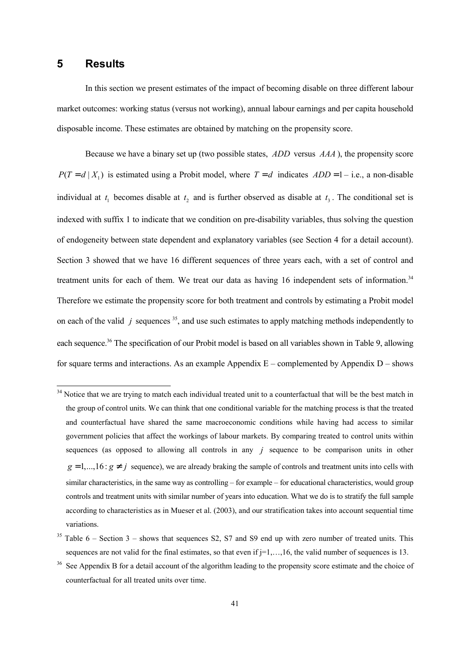#### **5 Results**

 $\overline{\phantom{a}}$ 

In this section we present estimates of the impact of becoming disable on three different labour market outcomes: working status (versus not working), annual labour earnings and per capita household disposable income. These estimates are obtained by matching on the propensity score.

Because we have a binary set up (two possible states, *ADD* versus *AAA* ), the propensity score  $P(T = d | X_1)$  is estimated using a Probit model, where  $T = d$  indicates  $ADD = 1 - i.e.,$  a non-disable individual at  $t_1$  becomes disable at  $t_2$  and is further observed as disable at  $t_3$ . The conditional set is indexed with suffix 1 to indicate that we condition on pre-disability variables, thus solving the question of endogeneity between state dependent and explanatory variables (see Section 4 for a detail account). Section 3 showed that we have 16 different sequences of three years each, with a set of control and treatment units for each of them. We treat our data as having 16 independent sets of information.<sup>34</sup> Therefore we estimate the propensity score for both treatment and controls by estimating a Probit model on each of the valid  $j$  sequences  $35$ , and use such estimates to apply matching methods independently to each sequence.<sup>36</sup> The specification of our Probit model is based on all variables shown in Table 9, allowing for square terms and interactions. As an example Appendix  $E$  – complemented by Appendix  $D$  – shows

 $34$  Notice that we are trying to match each individual treated unit to a counterfactual that will be the best match in the group of control units. We can think that one conditional variable for the matching process is that the treated and counterfactual have shared the same macroeconomic conditions while having had access to similar government policies that affect the workings of labour markets. By comparing treated to control units within sequences (as opposed to allowing all controls in any *j* sequence to be comparison units in other  $g = 1,...,16$ :  $g \neq j$  sequence), we are already braking the sample of controls and treatment units into cells with similar characteristics, in the same way as controlling – for example – for educational characteristics, would group controls and treatment units with similar number of years into education. What we do is to stratify the full sample according to characteristics as in Mueser et al. (2003), and our stratification takes into account sequential time variations.

 $35$  Table 6 – Section 3 – shows that sequences S2, S7 and S9 end up with zero number of treated units. This sequences are not valid for the final estimates, so that even if  $j=1,\ldots,16$ , the valid number of sequences is 13.

<sup>&</sup>lt;sup>36</sup> See Appendix B for a detail account of the algorithm leading to the propensity score estimate and the choice of counterfactual for all treated units over time.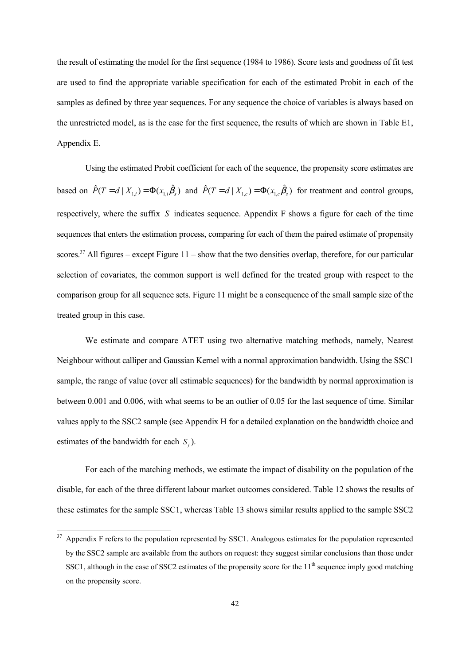the result of estimating the model for the first sequence (1984 to 1986). Score tests and goodness of fit test are used to find the appropriate variable specification for each of the estimated Probit in each of the samples as defined by three year sequences. For any sequence the choice of variables is always based on the unrestricted model, as is the case for the first sequence, the results of which are shown in Table E1, Appendix E.

Using the estimated Probit coefficient for each of the sequence, the propensity score estimates are based on  $\hat{P}(T = d \mid X_{1,i}) = \Phi(x_{1,i}\hat{\beta}_s)$  and  $\hat{P}(T = d \mid X_{1,c}) = \Phi(x_{1,i}\hat{\beta}_s)$  for treatment and control groups, respectively, where the suffix *S* indicates sequence. Appendix F shows a figure for each of the time sequences that enters the estimation process, comparing for each of them the paired estimate of propensity scores.<sup>37</sup> All figures – except Figure  $11$  – show that the two densities overlap, therefore, for our particular selection of covariates, the common support is well defined for the treated group with respect to the comparison group for all sequence sets. Figure 11 might be a consequence of the small sample size of the treated group in this case.

We estimate and compare ATET using two alternative matching methods, namely, Nearest Neighbour without calliper and Gaussian Kernel with a normal approximation bandwidth. Using the SSC1 sample, the range of value (over all estimable sequences) for the bandwidth by normal approximation is between 0.001 and 0.006, with what seems to be an outlier of 0.05 for the last sequence of time. Similar values apply to the SSC2 sample (see Appendix H for a detailed explanation on the bandwidth choice and estimates of the bandwidth for each *S*<sub>*i*</sub>).

For each of the matching methods, we estimate the impact of disability on the population of the disable, for each of the three different labour market outcomes considered. Table 12 shows the results of these estimates for the sample SSC1, whereas Table 13 shows similar results applied to the sample SSC2

 $\overline{\phantom{a}}$ 

Appendix F refers to the population represented by SSC1. Analogous estimates for the population represented by the SSC2 sample are available from the authors on request: they suggest similar conclusions than those under SSC1, although in the case of SSC2 estimates of the propensity score for the  $11<sup>th</sup>$  sequence imply good matching on the propensity score.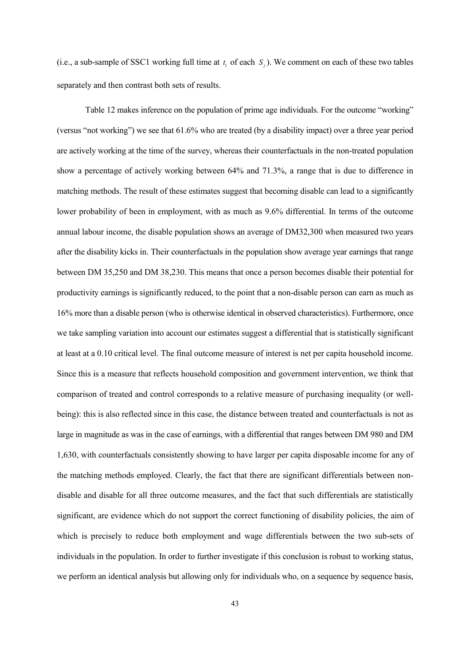(i.e., a sub-sample of SSC1 working full time at  $t_1$  of each  $S_j$ ). We comment on each of these two tables separately and then contrast both sets of results.

Table 12 makes inference on the population of prime age individuals. For the outcome "working" (versus "not working") we see that 61.6% who are treated (by a disability impact) over a three year period are actively working at the time of the survey, whereas their counterfactuals in the non-treated population show a percentage of actively working between 64% and 71.3%, a range that is due to difference in matching methods. The result of these estimates suggest that becoming disable can lead to a significantly lower probability of been in employment, with as much as 9.6% differential. In terms of the outcome annual labour income, the disable population shows an average of DM32,300 when measured two years after the disability kicks in. Their counterfactuals in the population show average year earnings that range between DM 35,250 and DM 38,230. This means that once a person becomes disable their potential for productivity earnings is significantly reduced, to the point that a non-disable person can earn as much as 16% more than a disable person (who is otherwise identical in observed characteristics). Furthermore, once we take sampling variation into account our estimates suggest a differential that is statistically significant at least at a 0.10 critical level. The final outcome measure of interest is net per capita household income. Since this is a measure that reflects household composition and government intervention, we think that comparison of treated and control corresponds to a relative measure of purchasing inequality (or wellbeing): this is also reflected since in this case, the distance between treated and counterfactuals is not as large in magnitude as was in the case of earnings, with a differential that ranges between DM 980 and DM 1,630, with counterfactuals consistently showing to have larger per capita disposable income for any of the matching methods employed. Clearly, the fact that there are significant differentials between nondisable and disable for all three outcome measures, and the fact that such differentials are statistically significant, are evidence which do not support the correct functioning of disability policies, the aim of which is precisely to reduce both employment and wage differentials between the two sub-sets of individuals in the population. In order to further investigate if this conclusion is robust to working status, we perform an identical analysis but allowing only for individuals who, on a sequence by sequence basis,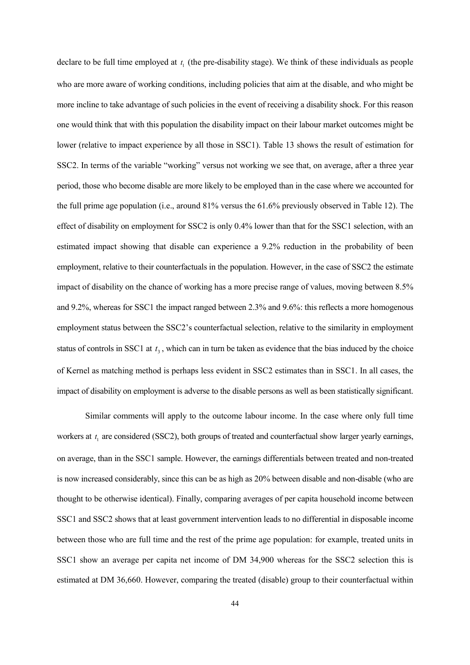declare to be full time employed at  $t_1$  (the pre-disability stage). We think of these individuals as people who are more aware of working conditions, including policies that aim at the disable, and who might be more incline to take advantage of such policies in the event of receiving a disability shock. For this reason one would think that with this population the disability impact on their labour market outcomes might be lower (relative to impact experience by all those in SSC1). Table 13 shows the result of estimation for SSC2. In terms of the variable "working" versus not working we see that, on average, after a three year period, those who become disable are more likely to be employed than in the case where we accounted for the full prime age population (i.e., around 81% versus the 61.6% previously observed in Table 12). The effect of disability on employment for SSC2 is only 0.4% lower than that for the SSC1 selection, with an estimated impact showing that disable can experience a 9.2% reduction in the probability of been employment, relative to their counterfactuals in the population. However, in the case of SSC2 the estimate impact of disability on the chance of working has a more precise range of values, moving between 8.5% and 9.2%, whereas for SSC1 the impact ranged between 2.3% and 9.6%: this reflects a more homogenous employment status between the SSC2's counterfactual selection, relative to the similarity in employment status of controls in SSC1 at  $t<sub>3</sub>$ , which can in turn be taken as evidence that the bias induced by the choice of Kernel as matching method is perhaps less evident in SSC2 estimates than in SSC1. In all cases, the impact of disability on employment is adverse to the disable persons as well as been statistically significant.

Similar comments will apply to the outcome labour income. In the case where only full time workers at  $t_1$  are considered (SSC2), both groups of treated and counterfactual show larger yearly earnings, on average, than in the SSC1 sample. However, the earnings differentials between treated and non-treated is now increased considerably, since this can be as high as 20% between disable and non-disable (who are thought to be otherwise identical). Finally, comparing averages of per capita household income between SSC1 and SSC2 shows that at least government intervention leads to no differential in disposable income between those who are full time and the rest of the prime age population: for example, treated units in SSC1 show an average per capita net income of DM 34,900 whereas for the SSC2 selection this is estimated at DM 36,660. However, comparing the treated (disable) group to their counterfactual within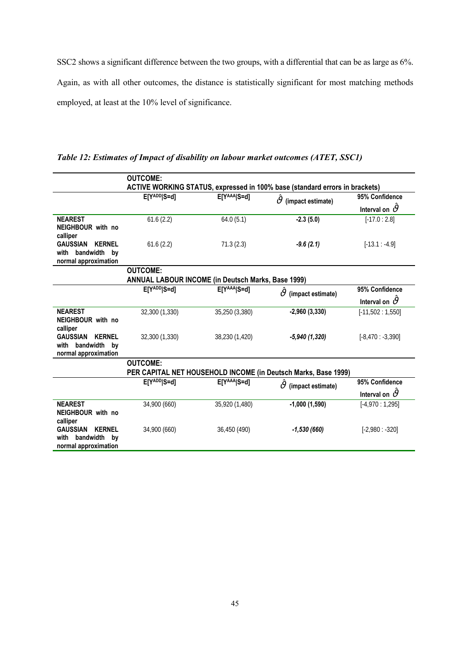SSC2 shows a significant difference between the two groups, with a differential that can be as large as 6%. Again, as with all other outcomes, the distance is statistically significant for most matching methods employed, at least at the 10% level of significance.

|                                                                                     | <b>OUTCOME:</b>                                                       |                | ACTIVE WORKING STATUS, expressed in 100% base (standard errors in brackets) |                                           |
|-------------------------------------------------------------------------------------|-----------------------------------------------------------------------|----------------|-----------------------------------------------------------------------------|-------------------------------------------|
|                                                                                     | E[YADD]S=d]                                                           | E[YAAA S=d]    | $\vartheta$<br>(impact estimate)                                            | 95% Confidence<br>Interval on $\vartheta$ |
| <b>NEAREST</b><br>NEIGHBOUR with no<br>calliper                                     | 61.6(2.2)                                                             | 64.0(5.1)      | $-2.3(5.0)$                                                                 | $[-17.0:2.8]$                             |
| <b>GAUSSIAN</b><br><b>KERNEL</b><br>with<br>bandwidth by<br>normal approximation    | 61.6(2.2)                                                             | 71.3(2.3)      | $-9.6(2.1)$                                                                 | $[-13.1: -4.9]$                           |
|                                                                                     | <b>OUTCOME:</b><br>ANNUAL LABOUR INCOME (in Deutsch Marks, Base 1999) |                |                                                                             |                                           |
|                                                                                     | E[YADD]S=d]                                                           | E[YAAA S=d]    |                                                                             | 95% Confidence                            |
|                                                                                     |                                                                       |                | $\vartheta$<br>(impact estimate)                                            | Interval on $\vartheta$                   |
| <b>NEAREST</b><br>NEIGHBOUR with no<br>calliper                                     | 32,300 (1,330)                                                        | 35,250 (3,380) | $-2,960(3,330)$                                                             | $[-11,502:1,550]$                         |
| <b>GAUSSIAN</b><br><b>KERNEL</b><br>bandwidth by<br>with<br>normal approximation    | 32,300 (1,330)                                                        | 38,230 (1,420) | $-5,940(1,320)$                                                             | $[-8,470:-3,390]$                         |
|                                                                                     | <b>OUTCOME:</b>                                                       |                |                                                                             |                                           |
|                                                                                     |                                                                       |                | PER CAPITAL NET HOUSEHOLD INCOME (in Deutsch Marks, Base 1999)              |                                           |
|                                                                                     | E[YADD]S=d]                                                           | E[YAAA S=d]    | $\vartheta$<br>(impact estimate)                                            | 95% Confidence                            |
|                                                                                     |                                                                       |                |                                                                             | Interval on $\vartheta$                   |
| <b>NEAREST</b><br>NEIGHBOUR with no<br>calliper                                     | 34,900 (660)                                                          | 35,920 (1,480) | $-1,000(1,590)$                                                             | $[-4,970:1,295]$                          |
| <b>GAUSSIAN</b><br><b>KERNEL</b><br>bandwidth<br>with<br>bv<br>normal approximation | 34,900 (660)                                                          | 36,450 (490)   | $-1,530(660)$                                                               | $[-2,980: -320]$                          |

*Table 12: Estimates of Impact of disability on labour market outcomes (ATET, SSC1)*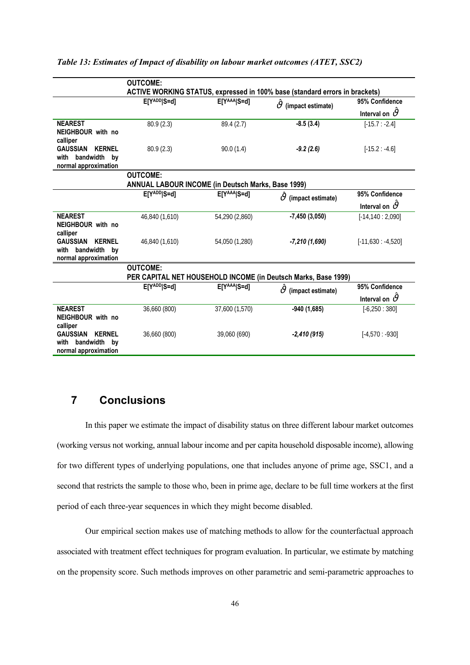|                                                          | <b>OUTCOME:</b>                                    |                |                                                                             |                         |
|----------------------------------------------------------|----------------------------------------------------|----------------|-----------------------------------------------------------------------------|-------------------------|
|                                                          |                                                    |                | ACTIVE WORKING STATUS, expressed in 100% base (standard errors in brackets) |                         |
|                                                          | E[YADD]S=d]                                        | E[YAAA S=d]    | $\vartheta$<br>(impact estimate)                                            | 95% Confidence          |
|                                                          |                                                    |                |                                                                             | Interval on $\vartheta$ |
| <b>NEAREST</b>                                           | 80.9(2.3)                                          | 89.4 (2.7)     | $-8.5(3.4)$                                                                 | $[-15.7:-2.4]$          |
| NEIGHBOUR with no                                        |                                                    |                |                                                                             |                         |
| calliper                                                 |                                                    |                |                                                                             |                         |
| <b>GAUSSIAN</b><br><b>KERNEL</b><br>bandwidth by<br>with | 80.9 (2.3)                                         | 90.0(1.4)      | $-9.2(2.6)$                                                                 | $[-15.2: -4.6]$         |
| normal approximation                                     |                                                    |                |                                                                             |                         |
|                                                          | <b>OUTCOME:</b>                                    |                |                                                                             |                         |
|                                                          | ANNUAL LABOUR INCOME (in Deutsch Marks, Base 1999) |                |                                                                             |                         |
|                                                          | E[YADD]S=d]                                        | E[YAAA S=d]    | $\vartheta$ (impact estimate)                                               | 95% Confidence          |
|                                                          |                                                    |                |                                                                             | Interval on $\vartheta$ |
| <b>NEAREST</b>                                           | 46,840 (1,610)                                     | 54,290 (2,860) | $-7,450(3,050)$                                                             | $[-14, 140: 2, 090]$    |
| NEIGHBOUR with no                                        |                                                    |                |                                                                             |                         |
| calliper<br><b>KERNEL</b><br><b>GAUSSIAN</b>             | 46,840 (1,610)                                     | 54,050 (1,280) |                                                                             | $[-11,630:-4,520]$      |
| bandwidth by<br>with                                     |                                                    |                | $-7,210(1,690)$                                                             |                         |
| normal approximation                                     |                                                    |                |                                                                             |                         |
|                                                          | <b>OUTCOME:</b>                                    |                |                                                                             |                         |
|                                                          |                                                    |                | PER CAPITAL NET HOUSEHOLD INCOME (in Deutsch Marks, Base 1999)              |                         |
|                                                          | E[YADD]S=d]                                        | E[YAAA S=d]    | $\vartheta$ (impact estimate)                                               | 95% Confidence          |
|                                                          |                                                    |                |                                                                             | Interval on $\vartheta$ |
| <b>NEAREST</b>                                           | 36,660 (800)                                       | 37,600 (1,570) | $-940(1,685)$                                                               | $[-6, 250 : 380]$       |
| NEIGHBOUR with no                                        |                                                    |                |                                                                             |                         |
| calliper<br><b>GAUSSIAN</b><br><b>KERNEL</b>             |                                                    |                |                                                                             |                         |
| bandwidth by<br>with                                     | 36,660 (800)                                       | 39,060 (690)   | $-2,410(915)$                                                               | $[-4,570: -930]$        |
| normal approximation                                     |                                                    |                |                                                                             |                         |
|                                                          |                                                    |                |                                                                             |                         |

*Table 13: Estimates of Impact of disability on labour market outcomes (ATET, SSC2)*

## **7 Conclusions**

In this paper we estimate the impact of disability status on three different labour market outcomes (working versus not working, annual labour income and per capita household disposable income), allowing for two different types of underlying populations, one that includes anyone of prime age, SSC1, and a second that restricts the sample to those who, been in prime age, declare to be full time workers at the first period of each three-year sequences in which they might become disabled.

Our empirical section makes use of matching methods to allow for the counterfactual approach associated with treatment effect techniques for program evaluation. In particular, we estimate by matching on the propensity score. Such methods improves on other parametric and semi-parametric approaches to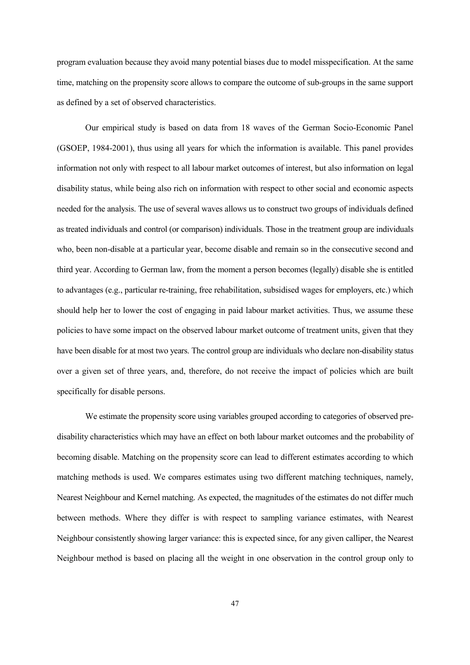program evaluation because they avoid many potential biases due to model misspecification. At the same time, matching on the propensity score allows to compare the outcome of sub-groups in the same support as defined by a set of observed characteristics.

Our empirical study is based on data from 18 waves of the German Socio-Economic Panel (GSOEP, 1984-2001), thus using all years for which the information is available. This panel provides information not only with respect to all labour market outcomes of interest, but also information on legal disability status, while being also rich on information with respect to other social and economic aspects needed for the analysis. The use of several waves allows us to construct two groups of individuals defined as treated individuals and control (or comparison) individuals. Those in the treatment group are individuals who, been non-disable at a particular year, become disable and remain so in the consecutive second and third year. According to German law, from the moment a person becomes (legally) disable she is entitled to advantages (e.g., particular re-training, free rehabilitation, subsidised wages for employers, etc.) which should help her to lower the cost of engaging in paid labour market activities. Thus, we assume these policies to have some impact on the observed labour market outcome of treatment units, given that they have been disable for at most two years. The control group are individuals who declare non-disability status over a given set of three years, and, therefore, do not receive the impact of policies which are built specifically for disable persons.

We estimate the propensity score using variables grouped according to categories of observed predisability characteristics which may have an effect on both labour market outcomes and the probability of becoming disable. Matching on the propensity score can lead to different estimates according to which matching methods is used. We compares estimates using two different matching techniques, namely, Nearest Neighbour and Kernel matching. As expected, the magnitudes of the estimates do not differ much between methods. Where they differ is with respect to sampling variance estimates, with Nearest Neighbour consistently showing larger variance: this is expected since, for any given calliper, the Nearest Neighbour method is based on placing all the weight in one observation in the control group only to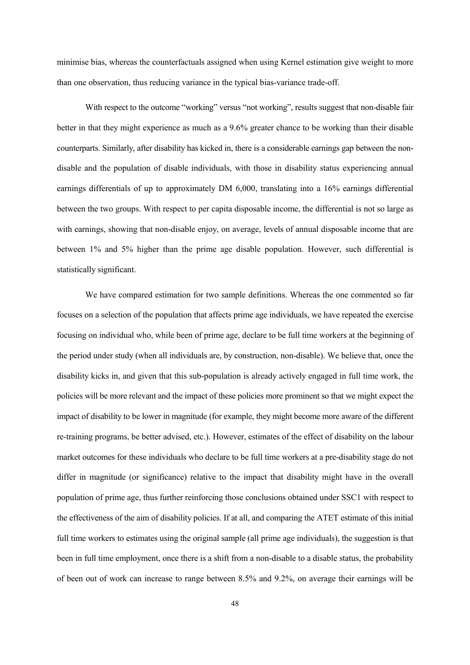minimise bias, whereas the counterfactuals assigned when using Kernel estimation give weight to more than one observation, thus reducing variance in the typical bias-variance trade-off.

With respect to the outcome "working" versus "not working", results suggest that non-disable fair better in that they might experience as much as a 9.6% greater chance to be working than their disable counterparts. Similarly, after disability has kicked in, there is a considerable earnings gap between the nondisable and the population of disable individuals, with those in disability status experiencing annual earnings differentials of up to approximately DM 6,000, translating into a 16% earnings differential between the two groups. With respect to per capita disposable income, the differential is not so large as with earnings, showing that non-disable enjoy, on average, levels of annual disposable income that are between 1% and 5% higher than the prime age disable population. However, such differential is statistically significant.

We have compared estimation for two sample definitions. Whereas the one commented so far focuses on a selection of the population that affects prime age individuals, we have repeated the exercise focusing on individual who, while been of prime age, declare to be full time workers at the beginning of the period under study (when all individuals are, by construction, non-disable). We believe that, once the disability kicks in, and given that this sub-population is already actively engaged in full time work, the policies will be more relevant and the impact of these policies more prominent so that we might expect the impact of disability to be lower in magnitude (for example, they might become more aware of the different re-training programs, be better advised, etc.). However, estimates of the effect of disability on the labour market outcomes for these individuals who declare to be full time workers at a pre-disability stage do not differ in magnitude (or significance) relative to the impact that disability might have in the overall population of prime age, thus further reinforcing those conclusions obtained under SSC1 with respect to the effectiveness of the aim of disability policies. If at all, and comparing the ATET estimate of this initial full time workers to estimates using the original sample (all prime age individuals), the suggestion is that been in full time employment, once there is a shift from a non-disable to a disable status, the probability of been out of work can increase to range between 8.5% and 9.2%, on average their earnings will be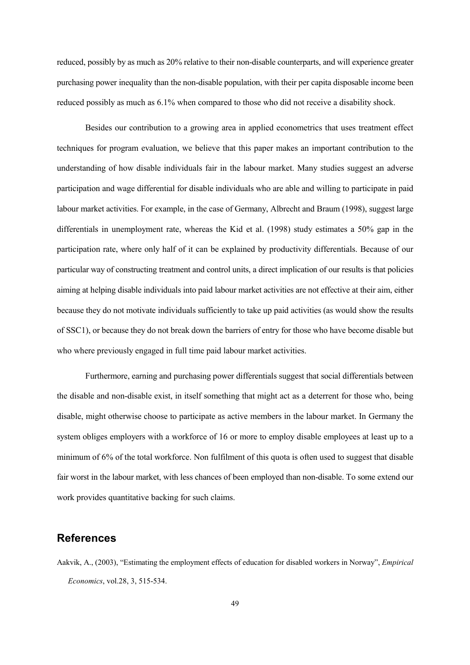reduced, possibly by as much as 20% relative to their non-disable counterparts, and will experience greater purchasing power inequality than the non-disable population, with their per capita disposable income been reduced possibly as much as 6.1% when compared to those who did not receive a disability shock.

Besides our contribution to a growing area in applied econometrics that uses treatment effect techniques for program evaluation, we believe that this paper makes an important contribution to the understanding of how disable individuals fair in the labour market. Many studies suggest an adverse participation and wage differential for disable individuals who are able and willing to participate in paid labour market activities. For example, in the case of Germany, Albrecht and Braum (1998), suggest large differentials in unemployment rate, whereas the Kid et al. (1998) study estimates a 50% gap in the participation rate, where only half of it can be explained by productivity differentials. Because of our particular way of constructing treatment and control units, a direct implication of our results is that policies aiming at helping disable individuals into paid labour market activities are not effective at their aim, either because they do not motivate individuals sufficiently to take up paid activities (as would show the results of SSC1), or because they do not break down the barriers of entry for those who have become disable but who where previously engaged in full time paid labour market activities.

Furthermore, earning and purchasing power differentials suggest that social differentials between the disable and non-disable exist, in itself something that might act as a deterrent for those who, being disable, might otherwise choose to participate as active members in the labour market. In Germany the system obliges employers with a workforce of 16 or more to employ disable employees at least up to a minimum of 6% of the total workforce. Non fulfilment of this quota is often used to suggest that disable fair worst in the labour market, with less chances of been employed than non-disable. To some extend our work provides quantitative backing for such claims.

### **References**

Aakvik, A., (2003), "Estimating the employment effects of education for disabled workers in Norway", *Empirical Economics*, vol.28, 3, 515-534.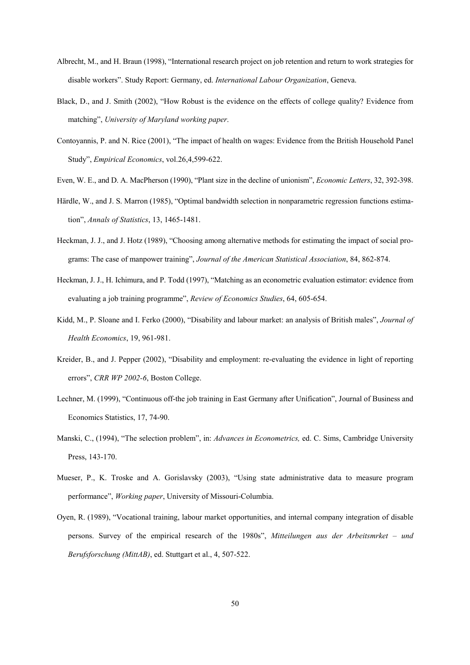- Albrecht, M., and H. Braun (1998), "International research project on job retention and return to work strategies for disable workers". Study Report: Germany, ed. *International Labour Organization*, Geneva.
- Black, D., and J. Smith (2002), "How Robust is the evidence on the effects of college quality? Evidence from matching", *University of Maryland working paper*.
- Contoyannis, P. and N. Rice (2001), "The impact of health on wages: Evidence from the British Household Panel Study", *Empirical Economics*, vol.26,4,599-622.
- Even, W. E., and D. A. MacPherson (1990), "Plant size in the decline of unionism", *Economic Letters*, 32, 392-398.
- Härdle, W., and J. S. Marron (1985), "Optimal bandwidth selection in nonparametric regression functions estimation", *Annals of Statistics*, 13, 1465-1481.
- Heckman, J. J., and J. Hotz (1989), "Choosing among alternative methods for estimating the impact of social programs: The case of manpower training", *Journal of the American Statistical Association*, 84, 862-874.
- Heckman, J. J., H. Ichimura, and P. Todd (1997), "Matching as an econometric evaluation estimator: evidence from evaluating a job training programme", *Review of Economics Studies*, 64, 605-654.
- Kidd, M., P. Sloane and I. Ferko (2000), "Disability and labour market: an analysis of British males", *Journal of Health Economics*, 19, 961-981.
- Kreider, B., and J. Pepper (2002), "Disability and employment: re-evaluating the evidence in light of reporting errors", *CRR WP 2002-6*, Boston College.
- Lechner, M. (1999), "Continuous off-the job training in East Germany after Unification", Journal of Business and Economics Statistics, 17, 74-90.
- Manski, C., (1994), "The selection problem", in: *Advances in Econometrics,* ed. C. Sims, Cambridge University Press, 143-170.
- Mueser, P., K. Troske and A. Gorislavsky (2003), "Using state administrative data to measure program performance", *Working paper*, University of Missouri-Columbia.
- Oyen, R. (1989), "Vocational training, labour market opportunities, and internal company integration of disable persons. Survey of the empirical research of the 1980s", *Mitteilungen aus der Arbeitsmrket – und Berufsforschung (MittAB)*, ed. Stuttgart et al., 4, 507-522.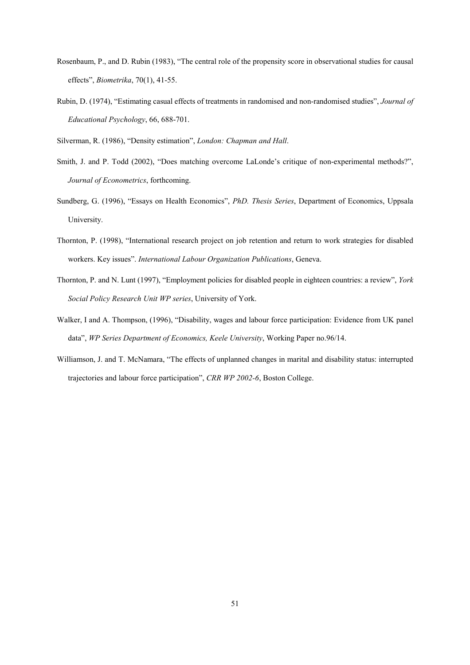- Rosenbaum, P., and D. Rubin (1983), "The central role of the propensity score in observational studies for causal effects", *Biometrika*, 70(1), 41-55.
- Rubin, D. (1974), "Estimating casual effects of treatments in randomised and non-randomised studies", *Journal of Educational Psychology*, 66, 688-701.

Silverman, R. (1986), "Density estimation", *London: Chapman and Hall*.

- Smith, J. and P. Todd (2002), "Does matching overcome LaLonde's critique of non-experimental methods?", *Journal of Econometrics*, forthcoming.
- Sundberg, G. (1996), "Essays on Health Economics", *PhD. Thesis Series*, Department of Economics, Uppsala University.
- Thornton, P. (1998), "International research project on job retention and return to work strategies for disabled workers. Key issues". *International Labour Organization Publications*, Geneva.
- Thornton, P. and N. Lunt (1997), "Employment policies for disabled people in eighteen countries: a review", *York Social Policy Research Unit WP series*, University of York.
- Walker, I and A. Thompson, (1996), "Disability, wages and labour force participation: Evidence from UK panel data", *WP Series Department of Economics, Keele University*, Working Paper no.96/14.
- Williamson, J. and T. McNamara, "The effects of unplanned changes in marital and disability status: interrupted trajectories and labour force participation", *CRR WP 2002-6*, Boston College.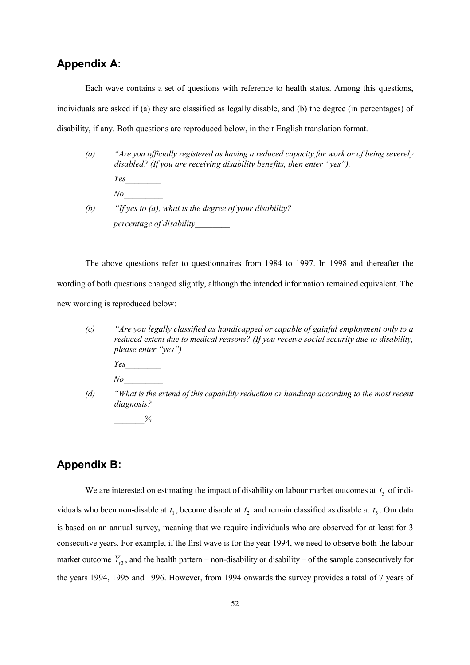### **Appendix A:**

Each wave contains a set of questions with reference to health status. Among this questions, individuals are asked if (a) they are classified as legally disable, and (b) the degree (in percentages) of disability, if any. Both questions are reproduced below, in their English translation format.

*(a) "Are you officially registered as having a reduced capacity for work or of being severely disabled? (If you are receiving disability benefits, then enter "yes"). Yes\_\_\_\_\_\_\_\_ No\_\_\_\_\_\_\_\_\_ (b) "If yes to (a), what is the degree of your disability? percentage of disability\_\_\_\_\_\_\_\_*

The above questions refer to questionnaires from 1984 to 1997. In 1998 and thereafter the wording of both questions changed slightly, although the intended information remained equivalent. The new wording is reproduced below:

- *(c) "Are you legally classified as handicapped or capable of gainful employment only to a reduced extent due to medical reasons? (If you receive social security due to disability, please enter "yes")*
	- *Yes\_\_\_\_\_\_\_\_*
	- *No\_\_\_\_\_\_\_\_\_*
- *(d) "What is the extend of this capability reduction or handicap according to the most recent diagnosis?*

 $\frac{0}{0}$ 

## **Appendix B:**

We are interested on estimating the impact of disability on labour market outcomes at  $t_3$  of individuals who been non-disable at  $t_1$ , become disable at  $t_2$  and remain classified as disable at  $t_3$ . Our data is based on an annual survey, meaning that we require individuals who are observed for at least for 3 consecutive years. For example, if the first wave is for the year 1994, we need to observe both the labour market outcome  $Y_{t3}$ , and the health pattern – non-disability or disability – of the sample consecutively for the years 1994, 1995 and 1996. However, from 1994 onwards the survey provides a total of 7 years of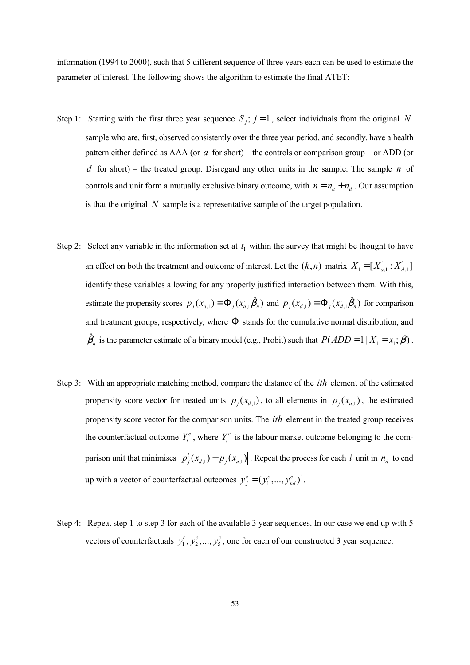information (1994 to 2000), such that 5 different sequence of three years each can be used to estimate the parameter of interest. The following shows the algorithm to estimate the final ATET:

- Step 1: Starting with the first three year sequence  $S_i$ ;  $j = 1$ , select individuals from the original *N* sample who are, first, observed consistently over the three year period, and secondly, have a health pattern either defined as AAA (or *a* for short) – the controls or comparison group – or ADD (or *d* for short) – the treated group. Disregard any other units in the sample. The sample *n* of controls and unit form a mutually exclusive binary outcome, with  $n = n_a + n_d$ . Our assumption is that the original *N* sample is a representative sample of the target population.
- Step 2: Select any variable in the information set at  $t_1$  within the survey that might be thought to have an effect on both the treatment and outcome of interest. Let the  $(k,n)$  matrix  $X_1 = [X'_{a,1} : X'_{a,1}]$ identify these variables allowing for any properly justified interaction between them. With this, estimate the propensity scores  $p_j(x_{a,1}) = \Phi_j(x_{a,1} \hat{\beta}_n)$  and  $p_j(x_{d,1}) = \Phi_j(x_{d,1} \hat{\beta}_n)$  for comparison and treatment groups, respectively, where  $\Phi$  stands for the cumulative normal distribution, and  $\hat{\beta}_n$  is the parameter estimate of a binary model (e.g., Probit) such that  $P(ADD = 1 | X_1 = x_1; \beta)$ .
- Step 3: With an appropriate matching method, compare the distance of the *ith* element of the estimated propensity score vector for treated units  $p_j(x_{d,1})$ , to all elements in  $p_j(x_{d,1})$ , the estimated propensity score vector for the comparison units. The *ith* element in the treated group receives the counterfactual outcome  $Y_i^c$ , where  $Y_i^c$  is the labour market outcome belonging to the comparison unit that minimises  $p_j^i(x_{d,1}) - p_j(x_{d,1})$ . Repeat the process for each *i* unit in  $n_d$  to end up with a vector of counterfactual outcomes  $y_j^c = (y_1^c, ..., y_{nd}^c)$ .
- Step 4: Repeat step 1 to step 3 for each of the available 3 year sequences. In our case we end up with 5 vectors of counterfactuals  $y_1^c, y_2^c, ..., y_5^c$ , one for each of our constructed 3 year sequence.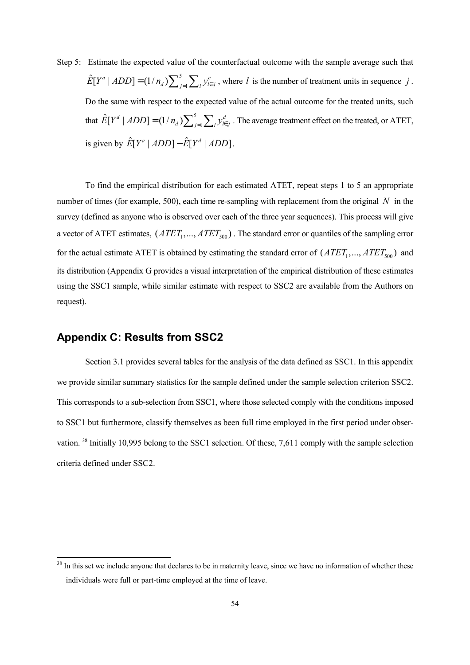Step 5: Estimate the expected value of the counterfactual outcome with the sample average such that 5  $\hat{E}[Y^a | ADD] = (1/n_a) \sum_{j=1}^5 \sum_l y^c_{l \in j}$ , where *l* is the number of treatment units in sequence *j*. Do the same with respect to the expected value of the actual outcome for the treated units, such that  $\hat{E}[Y^d | ADD] = (1/n_d) \sum_{j=1}^5 \sum_l y_{l \in j}^d$ . The average treatment effect on the treated, or ATET, is given by  $\hat{E}[Y^a | ADD] - \hat{E}[Y^d | ADD].$ 

To find the empirical distribution for each estimated ATET, repeat steps 1 to 5 an appropriate number of times (for example, 500), each time re-sampling with replacement from the original *N* in the survey (defined as anyone who is observed over each of the three year sequences). This process will give a vector of ATET estimates,  $(ATET_1, ..., ATET_{500})$ . The standard error or quantiles of the sampling error for the actual estimate ATET is obtained by estimating the standard error of  $(ATET_1, ..., ATET_{500})$  and its distribution (Appendix G provides a visual interpretation of the empirical distribution of these estimates using the SSC1 sample, while similar estimate with respect to SSC2 are available from the Authors on request).

### **Appendix C: Results from SSC2**

 $\overline{a}$ 

Section 3.1 provides several tables for the analysis of the data defined as SSC1. In this appendix we provide similar summary statistics for the sample defined under the sample selection criterion SSC2. This corresponds to a sub-selection from SSC1, where those selected comply with the conditions imposed to SSC1 but furthermore, classify themselves as been full time employed in the first period under observation. <sup>38</sup> Initially 10,995 belong to the SSC1 selection. Of these, 7,611 comply with the sample selection criteria defined under SSC2.

<sup>&</sup>lt;sup>38</sup> In this set we include anyone that declares to be in maternity leave, since we have no information of whether these individuals were full or part-time employed at the time of leave.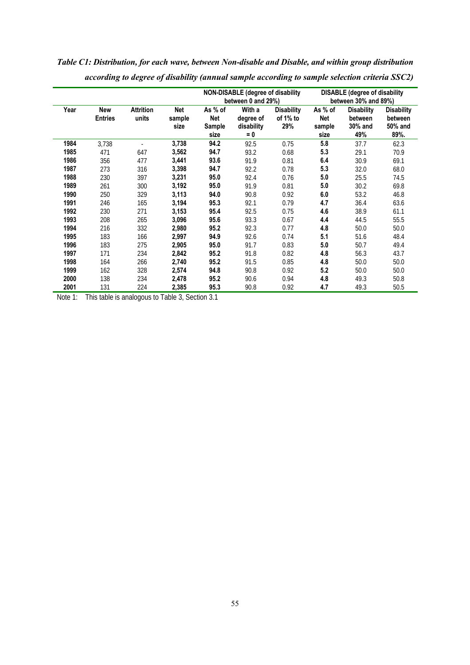|      |                              |                           |                       | <b>NON-DISABLE (degree of disability</b><br>between 0 and 29%) |                                            |                                      | <b>DISABLE</b> (degree of disability<br>between 30% and 89%) |                                                |                                                 |
|------|------------------------------|---------------------------|-----------------------|----------------------------------------------------------------|--------------------------------------------|--------------------------------------|--------------------------------------------------------------|------------------------------------------------|-------------------------------------------------|
| Year | <b>New</b><br><b>Entries</b> | <b>Attrition</b><br>units | Net<br>sample<br>size | As % of<br>Net<br>Sample<br>size                               | With a<br>degree of<br>disability<br>$= 0$ | <b>Disability</b><br>of 1% to<br>29% | As % of<br>Net<br>sample<br>size                             | <b>Disability</b><br>between<br>30% and<br>49% | <b>Disability</b><br>between<br>50% and<br>89%. |
| 1984 | 3,738                        |                           | 3,738                 | 94.2                                                           | 92.5                                       | 0.75                                 | 5.8                                                          | 37.7                                           | 62.3                                            |
| 1985 | 471                          | 647                       | 3,562                 | 94.7                                                           | 93.2                                       | 0.68                                 | 5.3                                                          | 29.1                                           | 70.9                                            |
| 1986 | 356                          | 477                       | 3,441                 | 93.6                                                           | 91.9                                       | 0.81                                 | 6.4                                                          | 30.9                                           | 69.1                                            |
| 1987 | 273                          | 316                       | 3,398                 | 94.7                                                           | 92.2                                       | 0.78                                 | 5.3                                                          | 32.0                                           | 68.0                                            |
| 1988 | 230                          | 397                       | 3,231                 | 95.0                                                           | 92.4                                       | 0.76                                 | 5.0                                                          | 25.5                                           | 74.5                                            |
| 1989 | 261                          | 300                       | 3,192                 | 95.0                                                           | 91.9                                       | 0.81                                 | 5.0                                                          | 30.2                                           | 69.8                                            |
| 1990 | 250                          | 329                       | 3,113                 | 94.0                                                           | 90.8                                       | 0.92                                 | 6.0                                                          | 53.2                                           | 46.8                                            |
| 1991 | 246                          | 165                       | 3,194                 | 95.3                                                           | 92.1                                       | 0.79                                 | 4.7                                                          | 36.4                                           | 63.6                                            |
| 1992 | 230                          | 271                       | 3,153                 | 95.4                                                           | 92.5                                       | 0.75                                 | 4.6                                                          | 38.9                                           | 61.1                                            |
| 1993 | 208                          | 265                       | 3,096                 | 95.6                                                           | 93.3                                       | 0.67                                 | 4.4                                                          | 44.5                                           | 55.5                                            |
| 1994 | 216                          | 332                       | 2,980                 | 95.2                                                           | 92.3                                       | 0.77                                 | 4.8                                                          | 50.0                                           | 50.0                                            |
| 1995 | 183                          | 166                       | 2,997                 | 94.9                                                           | 92.6                                       | 0.74                                 | 5.1                                                          | 51.6                                           | 48.4                                            |
| 1996 | 183                          | 275                       | 2,905                 | 95.0                                                           | 91.7                                       | 0.83                                 | 5.0                                                          | 50.7                                           | 49.4                                            |
| 1997 | 171                          | 234                       | 2,842                 | 95.2                                                           | 91.8                                       | 0.82                                 | 4.8                                                          | 56.3                                           | 43.7                                            |
| 1998 | 164                          | 266                       | 2,740                 | 95.2                                                           | 91.5                                       | 0.85                                 | 4.8                                                          | 50.0                                           | 50.0                                            |
| 1999 | 162                          | 328                       | 2,574                 | 94.8                                                           | 90.8                                       | 0.92                                 | 5.2                                                          | 50.0                                           | 50.0                                            |
| 2000 | 138                          | 234                       | 2,478                 | 95.2                                                           | 90.6                                       | 0.94                                 | 4.8                                                          | 49.3                                           | 50.8                                            |
| 2001 | 131                          | 224                       | 2,385                 | 95.3                                                           | 90.8                                       | 0.92                                 | 4.7                                                          | 49.3                                           | 50.5                                            |

*Table C1: Distribution, for each wave, between Non-disable and Disable, and within group distribution according to degree of disability (annual sample according to sample selection criteria SSC2)*

Note 1: This table is analogous to Table 3, Section 3.1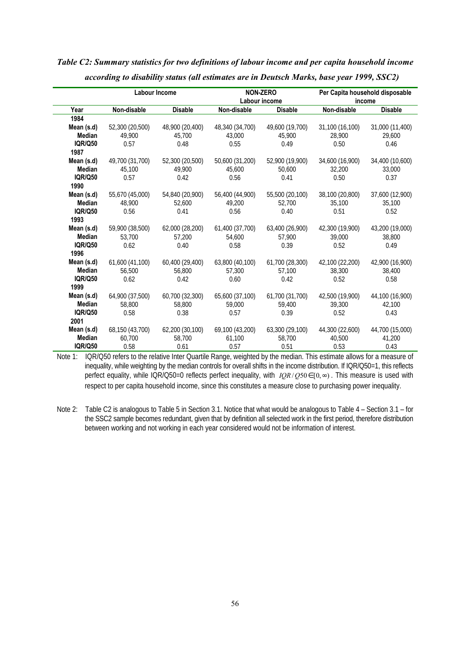|                | Labour Income   |                 |                 | <b>NON-ZERO</b> |                 | Per Capita household disposable |
|----------------|-----------------|-----------------|-----------------|-----------------|-----------------|---------------------------------|
|                |                 |                 |                 | Labour income   |                 | income                          |
| Year           | Non-disable     | <b>Disable</b>  | Non-disable     | <b>Disable</b>  | Non-disable     | <b>Disable</b>                  |
| 1984           |                 |                 |                 |                 |                 |                                 |
| Mean (s.d)     | 52,300 (20,500) | 48,900 (20,400) | 48,340 (34,700) | 49,600 (19,700) | 31,100 (16,100) | 31,000 (11,400)                 |
| <b>Median</b>  | 49.900          | 45.700          | 43,000          | 45,900          | 28,900          | 29,600                          |
| <b>IQR/Q50</b> | 0.57            | 0.48            | 0.55            | 0.49            | 0.50            | 0.46                            |
| 1987           |                 |                 |                 |                 |                 |                                 |
| Mean (s.d)     | 49,700 (31,700) | 52,300 (20,500) | 50,600 (31,200) | 52,900 (19,900) | 34,600 (16,900) | 34,400 (10,600)                 |
| <b>Median</b>  | 45.100          | 49.900          | 45,600          | 50,600          | 32,200          | 33,000                          |
| <b>IQR/Q50</b> | 0.57            | 0.42            | 0.56            | 0.41            | 0.50            | 0.37                            |
| 1990           |                 |                 |                 |                 |                 |                                 |
| Mean (s.d)     | 55,670 (45,000) | 54,840 (20,900) | 56,400 (44,900) | 55,500 (20,100) | 38,100 (20,800) | 37,600 (12,900)                 |
| <b>Median</b>  | 48.900          | 52,600          | 49,200          | 52,700          | 35,100          | 35,100                          |
| <b>IQR/Q50</b> | 0.56            | 0.41            | 0.56            | 0.40            | 0.51            | 0.52                            |
| 1993           |                 |                 |                 |                 |                 |                                 |
| Mean (s.d)     | 59,900 (38,500) | 62,000 (28,200) | 61,400 (37,700) | 63,400 (26,900) | 42,300 (19,900) | 43,200 (19,000)                 |
| <b>Median</b>  | 53.700          | 57.200          | 54,600          | 57.900          | 39,000          | 38,800                          |
| <b>IQR/Q50</b> | 0.62            | 0.40            | 0.58            | 0.39            | 0.52            | 0.49                            |
| 1996           |                 |                 |                 |                 |                 |                                 |
| Mean (s.d)     | 61,600 (41,100) | 60,400 (29,400) | 63,800 (40,100) | 61,700 (28,300) | 42,100 (22,200) | 42,900 (16,900)                 |
| <b>Median</b>  | 56,500          | 56,800          | 57,300          | 57.100          | 38,300          | 38,400                          |
| <b>IQR/Q50</b> | 0.62            | 0.42            | 0.60            | 0.42            | 0.52            | 0.58                            |
| 1999           |                 |                 |                 |                 |                 |                                 |
| Mean (s.d)     | 64,900 (37,500) | 60,700 (32,300) | 65,600 (37,100) | 61,700 (31,700) | 42,500 (19,900) | 44,100 (16,900)                 |
| Median         | 58,800          | 58,800          | 59,000          | 59,400          | 39,300          | 42,100                          |
| <b>IQR/Q50</b> | 0.58            | 0.38            | 0.57            | 0.39            | 0.52            | 0.43                            |
| 2001           |                 |                 |                 |                 |                 |                                 |
| Mean (s.d)     | 68,150 (43,700) | 62,200 (30,100) | 69,100 (43,200) | 63,300 (29,100) | 44,300 (22,600) | 44,700 (15,000)                 |
| Median         | 60.700          | 58,700          | 61,100          | 58,700          | 40,500          | 41,200                          |
| <b>IQR/Q50</b> | 0.58            | 0.61            | 0.57            | 0.51            | 0.53            | 0.43                            |

## *Table C2: Summary statistics for two definitions of labour income and per capita household income according to disability status (all estimates are in Deutsch Marks, base year 1999, SSC2)*

Note 1: IQR/Q50 refers to the relative Inter Quartile Range, weighted by the median. This estimate allows for a measure of inequality, while weighting by the median controls for overall shifts in the income distribution. If IQR/Q50=1, this reflects perfect equality, while IQR/Q50=0 reflects perfect inequality, with  $IQR/Q50 \in [0, \infty)$ . This measure is used with respect to per capita household income, since this constitutes a measure close to purchasing power inequality.

Note 2: Table C2 is analogous to Table 5 in Section 3.1. Notice that what would be analogous to Table 4 – Section 3.1 – for the SSC2 sample becomes redundant, given that by definition all selected work in the first period, therefore distribution between working and not working in each year considered would not be information of interest.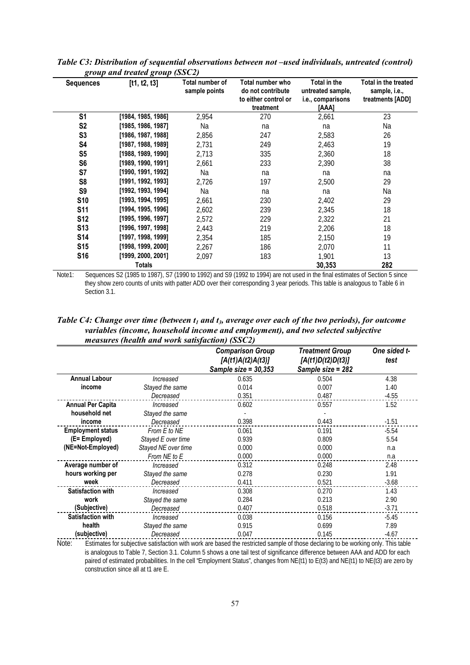| <b>Sequences</b> | $\mathbf{S}$ <i>comp</i> and include $\mathbf{S}$ <i>comp</i> (BBC2)<br>[t1, t2, t3] | Total number of<br>sample points | Total number who<br>do not contribute<br>to either control or<br>treatment | Total in the<br>untreated sample,<br>i.e., comparisons<br>[AAA] | Total in the treated<br>sample, i.e.,<br>treatments [ADD] |
|------------------|--------------------------------------------------------------------------------------|----------------------------------|----------------------------------------------------------------------------|-----------------------------------------------------------------|-----------------------------------------------------------|
| S <sub>1</sub>   | [1984, 1985, 1986]                                                                   | 2,954                            | 270                                                                        | 2,661                                                           | 23                                                        |
| S <sub>2</sub>   | [1985, 1986, 1987]                                                                   | Na                               | na                                                                         | na                                                              | Na                                                        |
| S <sub>3</sub>   | [1986, 1987, 1988]                                                                   | 2,856                            | 247                                                                        | 2,583                                                           | 26                                                        |
| S4               | [1987, 1988, 1989]                                                                   | 2,731                            | 249                                                                        | 2,463                                                           | 19                                                        |
| S <sub>5</sub>   | [1988, 1989, 1990]                                                                   | 2,713                            | 335                                                                        | 2,360                                                           | 18                                                        |
| S <sub>6</sub>   | [1989, 1990, 1991]                                                                   | 2,661                            | 233                                                                        | 2,390                                                           | 38                                                        |
| S7               | [1990, 1991, 1992]                                                                   | Na                               | na                                                                         | na                                                              | na                                                        |
| S <sub>8</sub>   | [1991, 1992, 1993]                                                                   | 2,726                            | 197                                                                        | 2,500                                                           | 29                                                        |
| S <sub>9</sub>   | [1992, 1993, 1994]                                                                   | Na                               | na                                                                         | na                                                              | Na                                                        |
| <b>S10</b>       | [1993, 1994, 1995]                                                                   | 2,661                            | 230                                                                        | 2,402                                                           | 29                                                        |
| <b>S11</b>       | [1994, 1995, 1996]                                                                   | 2,602                            | 239                                                                        | 2,345                                                           | 18                                                        |
| <b>S12</b>       | [1995, 1996, 1997]                                                                   | 2,572                            | 229                                                                        | 2,322                                                           | 21                                                        |
| <b>S13</b>       | [1996, 1997, 1998]                                                                   | 2,443                            | 219                                                                        | 2,206                                                           | 18                                                        |
| <b>S14</b>       | [1997, 1998, 1999]                                                                   | 2,354                            | 185                                                                        | 2,150                                                           | 19                                                        |
| <b>S15</b>       | [1998, 1999, 2000]                                                                   | 2.267                            | 186                                                                        | 2,070                                                           | 11                                                        |
| <b>S16</b>       | [1999, 2000, 2001]                                                                   | 2,097                            | 183                                                                        | 1,901                                                           | 13                                                        |
|                  | <b>Totals</b>                                                                        |                                  |                                                                            | 30,353                                                          | 282                                                       |

*Table C3: Distribution of sequential observations between not –used individuals, untreated (control) group and treated group (SSC2)*

Note1: Sequences S2 (1985 to 1987), S7 (1990 to 1992) and S9 (1992 to 1994) are not used in the final estimates of Section 5 since they show zero counts of units with patter ADD over their corresponding 3 year periods. This table is analogous to Table 6 in Section 3.1.

*Table C4: Change over time (between*  $t_1$  *and*  $t_3$ *, average over each of the two periods), for outcome variables (income, household income and employment), and two selected subjective measures (health and work satisfaction) (SSC2)*

|                          |                     | <b>Comparison Group</b><br>[A(t1)A(t2)A(t3)]<br>Sample size = $30,353$ | <b>Treatment Group</b><br>[A(t1)D(t2)D(t3)]<br>Sample size = 282 | One sided t-<br>test |
|--------------------------|---------------------|------------------------------------------------------------------------|------------------------------------------------------------------|----------------------|
| <b>Annual Labour</b>     | Increased           | 0.635                                                                  | 0.504                                                            | 4.38                 |
| income                   | Stayed the same     | 0.014                                                                  | 0.007                                                            | 1.40                 |
|                          | Decreased           | 0.351                                                                  | 0.487                                                            | $-4.55$              |
| <b>Annual Per Capita</b> | Increased           | 0.602                                                                  | 0.557                                                            | 1.52                 |
| household net            | Stayed the same     |                                                                        |                                                                  |                      |
| income                   | Decreased           | 0.398                                                                  | 0.443                                                            | $-1.51$              |
| <b>Employment status</b> | From E to NE        | 0.061                                                                  | 0.191                                                            | $-5.54$              |
| (E= Employed)            | Stayed E over time  | 0.939                                                                  | 0.809                                                            | 5.54                 |
| (NE=Not-Employed)        | Stayed NE over time | 0.000                                                                  | 0.000                                                            | n.a                  |
|                          | From NE to E        | 0.000                                                                  | 0.000                                                            | n.a                  |
| Average number of        | Increased           | 0.312                                                                  | 0.248                                                            | 2.48                 |
| hours working per        | Stayed the same     | 0.278                                                                  | 0.230                                                            | 1.91                 |
| week                     | Decreased           | 0.411                                                                  | 0.521                                                            | $-3.68$              |
| <b>Satisfaction with</b> | Increased           | 0.308                                                                  | 0.270                                                            | 1.43                 |
| work                     | Stayed the same     | 0.284                                                                  | 0.213                                                            | 2.90                 |
| (Subjective)             | Decreased           | 0.407                                                                  | 0.518                                                            | $-3.71$              |
| <b>Satisfaction with</b> | Increased           | 0.038                                                                  | 0.156                                                            | $-5.45$              |
| health                   | Stayed the same     | 0.915                                                                  | 0.699                                                            | 7.89                 |
| (subjective)             | Decreased           | 0.047                                                                  | 0.145                                                            | $-4.67$              |

Note: Estimates for subjective satisfaction with work are based the restricted sample of those declaring to be working only. This table is analogous to Table 7, Section 3.1. Column 5 shows a one tail test of significance difference between AAA and ADD for each paired of estimated probabilities. In the cell "Employment Status", changes from NE(t1) to E(t3) and NE(t1) to NE(t3) are zero by construction since all at t1 are E.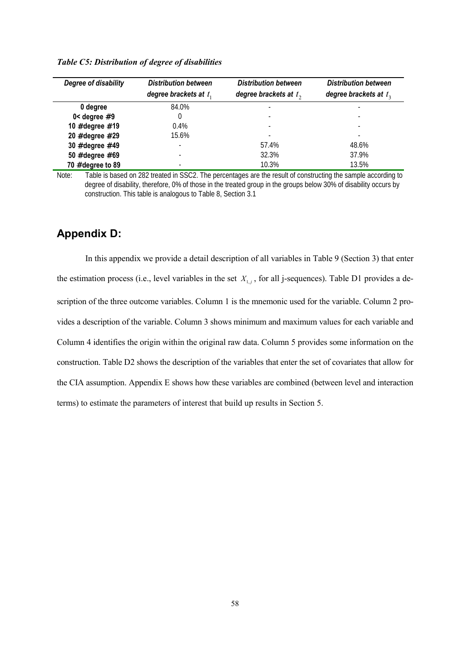| Degree of disability | <b>Distribution between</b> | <b>Distribution between</b> | <b>Distribution between</b> |
|----------------------|-----------------------------|-----------------------------|-----------------------------|
|                      | degree brackets at $t_1$    | degree brackets at $t_2$    | degree brackets at $t_3$    |
| 0 degree             | 84.0%                       | $\overline{\phantom{a}}$    |                             |
| $0 <$ degree #9      |                             | $\overline{\phantom{0}}$    |                             |
| 10 # degree # 19     | $0.4\%$                     | $\overline{\phantom{a}}$    | $\overline{\phantom{a}}$    |
| 20 # degree # 29     | 15.6%                       | $\overline{\phantom{a}}$    | $\overline{\phantom{a}}$    |
| 30 # degree #49      | $\overline{\phantom{0}}$    | 57.4%                       | 48.6%                       |
| 50 # degree # 69     | $\overline{\phantom{a}}$    | 32.3%                       | 37.9%                       |
| $70$ # degree to 89  | $\overline{\phantom{a}}$    | 10.3%                       | 13.5%                       |

#### *Table C5: Distribution of degree of disabilities*

Note: Table is based on 282 treated in SSC2. The percentages are the result of constructing the sample according to degree of disability, therefore, 0% of those in the treated group in the groups below 30% of disability occurs by construction. This table is analogous to Table 8, Section 3.1

### **Appendix D:**

In this appendix we provide a detail description of all variables in Table 9 (Section 3) that enter the estimation process (i.e., level variables in the set  $X_{1,i}$ , for all j-sequences). Table D1 provides a description of the three outcome variables. Column 1 is the mnemonic used for the variable. Column 2 provides a description of the variable. Column 3 shows minimum and maximum values for each variable and Column 4 identifies the origin within the original raw data. Column 5 provides some information on the construction. Table D2 shows the description of the variables that enter the set of covariates that allow for the CIA assumption. Appendix E shows how these variables are combined (between level and interaction terms) to estimate the parameters of interest that build up results in Section 5.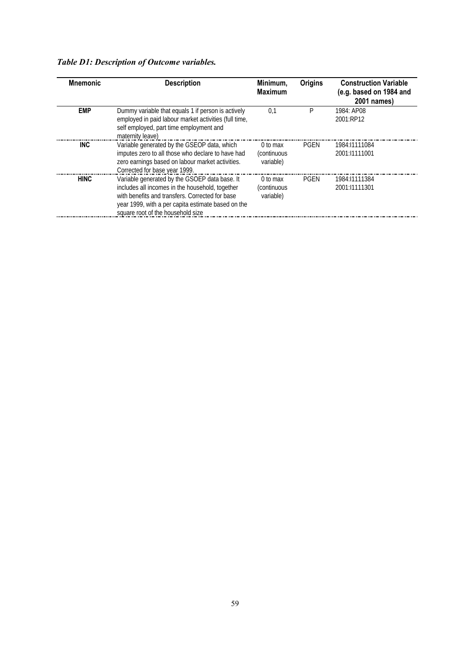## *Table D1: Description of Outcome variables.*

| <b>Mnemonic</b> | <b>Description</b>                                                                                                                                                                                                                             | Minimum,<br><b>Maximum</b>            | <b>Origins</b> | <b>Construction Variable</b><br>(e.g. based on 1984 and<br>2001 names) |
|-----------------|------------------------------------------------------------------------------------------------------------------------------------------------------------------------------------------------------------------------------------------------|---------------------------------------|----------------|------------------------------------------------------------------------|
| <b>EMP</b>      | Dummy variable that equals 1 if person is actively<br>employed in paid labour market activities (full time,<br>self employed, part time employment and<br>maternity leave)                                                                     | 0,1                                   | P              | 1984: AP08<br>2001:RP12                                                |
| INC             | Variable generated by the GSEOP data, which<br>imputes zero to all those who declare to have had<br>zero earnings based on labour market activities.<br>Corrected for base year 1999.                                                          | 0 to max<br>(continuous)<br>variable) | <b>PGEN</b>    | 1984:11111084<br>2001:11111001                                         |
| <b>HINC</b>     | Variable generated by the GSOEP data base. It<br>includes all incomes in the household, together<br>with benefits and transfers. Corrected for base<br>year 1999, with a per capita estimate based on the<br>square root of the household size | 0 to max<br>(continuous<br>variable)  | <b>PGEN</b>    | 1984:11111384<br>2001:11111301                                         |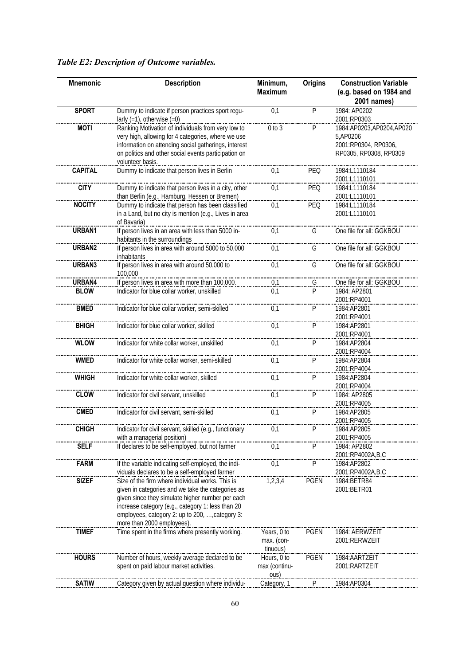| <b>Mnemonic</b> | <b>Description</b>                                                                     | Minimum,<br><b>Maximum</b> | <b>Origins</b> | <b>Construction Variable</b><br>(e.g. based on 1984 and |
|-----------------|----------------------------------------------------------------------------------------|----------------------------|----------------|---------------------------------------------------------|
|                 |                                                                                        |                            |                | 2001 names)                                             |
| <b>SPORT</b>    | Dummy to indicate if person practices sport regu-<br>larly $(=1)$ , otherwise $(=0)$   | 0,1                        | P              | 1984: AP0202<br>2001:RP0303                             |
| <b>MOTI</b>     | Ranking Motivation of individuals from very low to                                     | 0 to 3                     | P              | 1984:AP0203,AP0204,AP020                                |
|                 | very high, allowing for 4 categories, where we use                                     |                            |                | 5,AP0206                                                |
|                 | information on attending social gatherings, interest                                   |                            |                | 2001:RP0304, RP0306,                                    |
|                 | on politics and other social events participation on                                   |                            |                | RP0305, RP0308, RP0309                                  |
|                 | volunteer basis.                                                                       |                            |                |                                                         |
| <b>CAPITAL</b>  | Dummy to indicate that person lives in Berlin                                          | 0,1                        | PEQ            | 1984:L1110184                                           |
| <b>CITY</b>     | Dummy to indicate that person lives in a city, other                                   | 0,1                        | PEQ            | 2001:L1110101<br>1984:L1110184                          |
|                 | than Berlin (e.g., Hamburg, Hessen or Bremen)                                          |                            |                | 2001:L1110101                                           |
| <b>NOCITY</b>   | Dummy to indicate that person has been classified                                      | 0,1                        | PEQ            | 1984:L1110184                                           |
|                 | in a Land, but no city is mention (e.g., Lives in area                                 |                            |                | 2001:L1110101                                           |
|                 | of Bavaria)                                                                            |                            |                |                                                         |
| URBAN1          | If person lives in an area with less than 5000 in-                                     | 0,1                        | G              | One file for all: GGKBOU                                |
|                 | habitants in the surroundings                                                          |                            |                |                                                         |
| URBAN2          | If person lives in area with around 5000 to 50,000                                     | 0,1                        | G              | One file for all: GGKBOU                                |
|                 | inhabitants                                                                            |                            |                |                                                         |
| URBAN3          | If person lives in area with around 50,000 to                                          | 0,1                        | G              | One file for all: GGKBOU                                |
|                 | 100,000                                                                                |                            |                |                                                         |
| URBAN4          | If person lives in area with more than 100,000.                                        | 0,1                        | G              | One file for all: GGKBOU                                |
| <b>BLOW</b>     | Indicator for blue collar worker, unskilled                                            | 0.1                        | P              | 1984: AP2801                                            |
|                 |                                                                                        |                            |                | 2001:RP4001                                             |
| <b>BMED</b>     | Indicator for blue collar worker, semi-skilled                                         | 0,1                        | P              | 1984:AP2801<br>2001:RP4001                              |
| <b>BHIGH</b>    | Indicator for blue collar worker, skilled                                              | 0,1                        | P              | 1984:AP2801                                             |
|                 |                                                                                        |                            |                | 2001:RP4001                                             |
| <b>WLOW</b>     | Indicator for white collar worker, unskilled                                           | 0,1                        | P              | 1984:AP2804                                             |
|                 |                                                                                        |                            |                | 2001:RP4004                                             |
| <b>WMED</b>     | Indicator for white collar worker, semi-skilled                                        | 0,1                        | P              | 1984:AP2804                                             |
|                 |                                                                                        |                            |                | 2001:RP4004                                             |
| <b>WHIGH</b>    | Indicator for white collar worker, skilled                                             | 0,1                        | P              | 1984:AP2804                                             |
|                 |                                                                                        |                            |                | 2001:RP4004                                             |
| <b>CLOW</b>     | Indicator for civil servant, unskilled                                                 | 0,1                        | P              | 1984: AP2805                                            |
|                 |                                                                                        |                            |                | 2001:RP4005                                             |
| <b>CMED</b>     | Indicator for civil servant, semi-skilled                                              | 0,1                        | P              | 1984:AP2805                                             |
|                 |                                                                                        |                            |                | 2001:RP4005                                             |
| <b>CHIGH</b>    | Indicator for civil servant, skilled (e.g., functionary<br>with a managerial position) | 0,1                        | P              | 1984:AP2805<br>2001:RP4005                              |
| <b>SELF</b>     | If declares to be self-employed, but not farmer                                        | 0.1                        | P              | 1984: AP2802                                            |
|                 |                                                                                        |                            |                | 2001:RP4002A,B,C                                        |
| <b>FARM</b>     | If the variable indicating self-employed, the indi-                                    | 0,1                        | P              | 1984:AP2802                                             |
|                 | viduals declares to be a self-employed farmer                                          |                            |                | 2001:RP4002A,B,C                                        |
| <b>SIZEF</b>    | Size of the firm where individual works. This is                                       | 1, 2, 3, 4                 | <b>PGEN</b>    | 1984: BETR84                                            |
|                 | given in categories and we take the categories as                                      |                            |                | 2001:BETR01                                             |
|                 | given since they simulate higher number per each                                       |                            |                |                                                         |
|                 | increase category (e.g., category 1: less than 20                                      |                            |                |                                                         |
|                 | employees, category 2: up to 200, , category 3:                                        |                            |                |                                                         |
|                 | more than 2000 employees).                                                             |                            |                |                                                         |
| <b>TIMEF</b>    | Time spent in the firms where presently working.                                       | Years, 0 to                | <b>PGEN</b>    | 1984: AERWZEIT                                          |
|                 |                                                                                        | max. (con-                 |                | 2001:RERWZEIT                                           |
| <b>HOURS</b>    | Number of hours, weekly average declared to be                                         | tinuous)<br>Hours, 0 to    | <b>PGEN</b>    | 1984: AARTZEIT                                          |
|                 | spent on paid labour market activities.                                                | max (continu-              |                | 2001:RARTZEIT                                           |
|                 |                                                                                        | ous)                       |                |                                                         |
| <b>SATIW</b>    | Category given by actual question where individu-                                      | Category, 1                | P              | 1984:AP0304                                             |
|                 |                                                                                        |                            |                |                                                         |

## *Table E2: Description of Outcome variables.*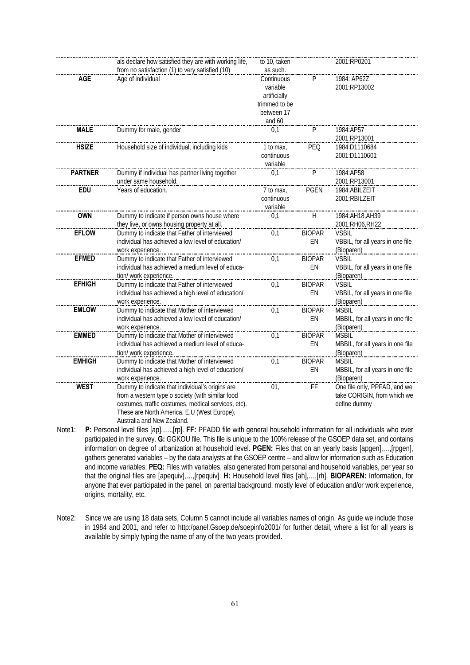|                | als declare how satisfied they are with working life,<br>from no satisfaction (1) to very satisfied (10) | to 10, taken  |               | 2001:RP0201                      |
|----------------|----------------------------------------------------------------------------------------------------------|---------------|---------------|----------------------------------|
|                |                                                                                                          | as such.      |               |                                  |
| <b>AGE</b>     | Age of individual                                                                                        | Continuous    | P             | 1984: AP62Z                      |
|                |                                                                                                          | variable      |               | 2001:RP13002                     |
|                |                                                                                                          | artificially  |               |                                  |
|                |                                                                                                          | trimmed to be |               |                                  |
|                |                                                                                                          | between 17    |               |                                  |
|                | _______________                                                                                          | and 60.       |               |                                  |
| <b>MALE</b>    | Dummy for male, gender                                                                                   | 0,1           | P             | 1984:AP57                        |
|                |                                                                                                          |               |               | 2001:RP13001                     |
| <b>HSIZE</b>   | Household size of individual, including kids                                                             | 1 to max,     | PEQ           | 1984:D1110684                    |
|                |                                                                                                          | continuous    |               | 2001:D1110601                    |
|                |                                                                                                          | variable      |               |                                  |
| <b>PARTNER</b> | Dummy if individual has partner living together                                                          | 0,1           | P             | 1984:AP58                        |
|                | under same household.                                                                                    |               |               | 2001:RP13001                     |
| <b>EDU</b>     | Years of education.                                                                                      | 7 to max,     | <b>PGEN</b>   | 1984:ABILZEIT                    |
|                |                                                                                                          | continuous    |               | 2001:RBILZEIT                    |
|                |                                                                                                          | variable      |               |                                  |
| <b>OWN</b>     | Dummy to indicate if person owns house where                                                             | 0,1           | H             | 1984: AH18, AH39                 |
|                | they live, or owns housing property at all.                                                              |               |               | 2001:RH06,RH22                   |
| <b>EFLOW</b>   | Dummy to indicate that Father of interviewed                                                             | 0,1           | <b>BIOPAR</b> | <b>VSBIL</b>                     |
|                | individual has achieved a low level of education/                                                        |               | EN            | VBBIL, for all years in one file |
|                | work experience.                                                                                         |               |               | (Bioparen)                       |
| <b>EFMED</b>   | Dummy to indicate that Father of interviewed                                                             | 0.1           | <b>BIOPAR</b> | <b>VSBIL</b>                     |
|                | individual has achieved a medium level of educa-                                                         |               | EN            | VBBIL, for all years in one file |
|                | tion/ work experience.                                                                                   |               |               | (Bioparen)                       |
| <b>EFHIGH</b>  | Dummy to indicate that Father of interviewed                                                             | 0,1           | <b>BIOPAR</b> | <b>VSBIL</b>                     |
|                | individual has achieved a high level of education/                                                       |               | EN            | VBBIL, for all years in one file |
|                | work experience.                                                                                         |               |               | (Bioparen)                       |
| <b>EMLOW</b>   | Dummy to indicate that Mother of interviewed                                                             | 0,1           | <b>BIOPAR</b> | <b>MSBIL</b>                     |
|                | individual has achieved a low level of education/                                                        |               | EN            | MBBIL, for all years in one file |
|                | work experience.                                                                                         |               |               | (Bioparen)                       |
| <b>EMMED</b>   | Dummy to indicate that Mother of interviewed                                                             | 0,1           | <b>BIOPAR</b> | <b>MSBIL</b>                     |
|                | individual has achieved a medium level of educa-                                                         |               | EN            | MBBIL, for all years in one file |
|                | tion/ work experience.                                                                                   |               |               | (Bioparen)                       |
| <b>EMHIGH</b>  | Dummy to indicate that Mother of interviewed                                                             | 0,1           | <b>BIOPAR</b> | <b>MSBIL</b>                     |
|                | individual has achieved a high level of education/                                                       |               | EN            | MBBIL, for all years in one file |
|                | work experience.                                                                                         |               |               | (Bioparen)                       |
| <b>WEST</b>    | Dummy to indicate that individual's origins are                                                          | 01,           | FF            | One file only, PPFAD, and we     |
|                | from a western type o society (with similar food                                                         |               |               | take CORIGIN, from which we      |
|                | costumes, traffic costumes, medical services, etc).                                                      |               |               | define dummy                     |
|                | These are North America, E.U (West Europe),                                                              |               |               |                                  |
|                |                                                                                                          |               |               |                                  |
|                | Australia and New Zealand.                                                                               |               |               |                                  |

Note1: **P:** Personal level files [ap],….,[rp]. **FF:** PFADD file with general household information for all individuals who ever participated in the survey. **G:** GGKOU file. This file is unique to the 100% release of the GSOEP data set, and contains information on degree of urbanization at household level. **PGEN:** Files that on an yearly basis [apgen],…,[rpgen], gathers generated variables – by the data analysts at the GSOEP centre – and allow for information such as Education and income variables. **PEQ:** Files with variables, also generated from personal and household variables, per year so that the original files are [apequiv],…,[rpequiv]. **H:** Household level files [ah],…,[rh]. **BIOPAREN:** Information, for anyone that ever participated in the panel, on parental background, mostly level of education and/or work experience, origins, mortality, etc.

Note2: Since we are using 18 data sets, Column 5 cannot include all variables names of origin. As guide we include those in 1984 and 2001, and refer to http:/panel.Gsoep.de/soepinfo2001/ for further detail, where a list for all years is available by simply typing the name of any of the two years provided.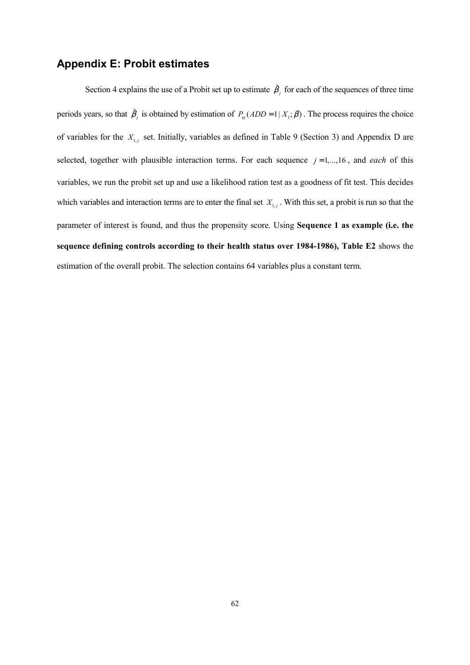## **Appendix E: Probit estimates**

Section 4 explains the use of a Probit set up to estimate  $\hat{\beta}_j$  for each of the sequences of three time periods years, so that  $\hat{\beta}_j$  is obtained by estimation of  $P_{nj}(ADD=1 | X_i; \beta)$ . The process requires the choice of variables for the  $X_{1,j}$  set. Initially, variables as defined in Table 9 (Section 3) and Appendix D are selected, together with plausible interaction terms. For each sequence  $j = 1, \ldots, 16$ , and *each* of this variables, we run the probit set up and use a likelihood ration test as a goodness of fit test. This decides which variables and interaction terms are to enter the final set  $X_{1,j}$ . With this set, a probit is run so that the parameter of interest is found, and thus the propensity score. Using **Sequence 1 as example (i.e. the sequence defining controls according to their health status over 1984-1986), Table E2** shows the estimation of the overall probit. The selection contains 64 variables plus a constant term.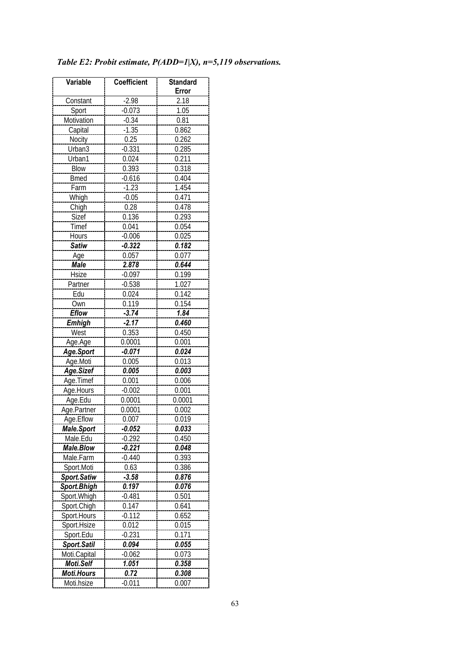| Variable          | <b>Coefficient</b> | <b>Standard</b> |
|-------------------|--------------------|-----------------|
|                   |                    | Error           |
| Constant          | $-2.98$            | 2.18            |
| Sport             | $-0.073$           | 1.05            |
| Motivation        | $-0.34$            | 0.81            |
| Capital           | $-1.35$            | 0.862           |
| Nocity            | 0.25               | 0.262           |
| Urban3            | $-0.331$           | 0.285           |
| Urban1            | 0.024              | 0.211           |
| <b>Blow</b>       | 0.393              | 0.318           |
| <b>Bmed</b>       | $-0.616$           | 0.404           |
| Farm              | $-1.23$            | 1.454           |
| Whigh             | $-0.05$            | 0.471           |
| Chigh             | 0.28               | 0.478           |
| Sizef             | 0.136              | 0.293           |
| Timef             | 0.041              | 0.054           |
| Hours             | $-0.006$           | 0.025           |
| <b>Satiw</b>      | $-0.322$           | 0.182           |
| Age               | 0.057              | 0.077           |
| Male              | 2.878              | 0.644           |
| <b>Hsize</b>      | $-0.097$           | 0.199           |
| Partner           | $-0.538$           | 1.027           |
| Edu               | 0.024              | 0.142           |
| Own               | 0.119              | 0.154           |
| <b>Eflow</b>      | $-3.74$            | 1.84            |
| <b>Emhigh</b>     | $-2.17$            | 0.460           |
| West              | 0.353              | 0.450           |
| Age.Age           | 0.0001             | 0.001           |
| Age.Sport         | -0.071             | 0.024           |
| Age.Moti          | 0.005              | 0.013           |
| Age.Sizef         | 0.005              | 0.003           |
| Age.Timef         | 0.001              | 0.006           |
| Age.Hours         | $-0.002$           | 0.001           |
| Age.Edu           | 0.0001             | 0.0001          |
| Age.Partner       | 0.0001             | 0.002           |
| Age.Eflow         | 0.007              | 0.019           |
| <b>Male.Sport</b> | -0.052             | 0.033           |
| Male.Edu          | $-0.292$           | 0.450           |
| <b>Male.Blow</b>  | $-0.221$           | 0.048           |
| Male.Farm         | $-0.440$           | 0.393           |
| Sport.Moti        | 0.63               | 0.386           |
| Sport.Satiw       | $-3.58$            | 0.876           |
| Sport.Bhigh       | 0.197              | 0.076           |
| Sport. Whigh      | $-0.481$           | 0.501           |
| Sport.Chigh       | 0.147              | 0.641           |
| Sport.Hours       | $-0.112$           | 0.652           |
| Sport.Hsize       | 0.012              | 0.015           |
| Sport.Edu         | $-0.231$           | 0.171           |
| Sport.Satil       | 0.094              | 0.055           |
| Moti.Capital      | $-0.062$           | 0.073           |
| Moti.Self         | 1.051              | 0.358           |
| <b>Moti.Hours</b> | 0.72               | 0.308           |
| Moti.hsize        | $-0.011$           | 0.007           |

## *Table E2: Probit estimate, P(ADD=1|X), n=5,119 observations.*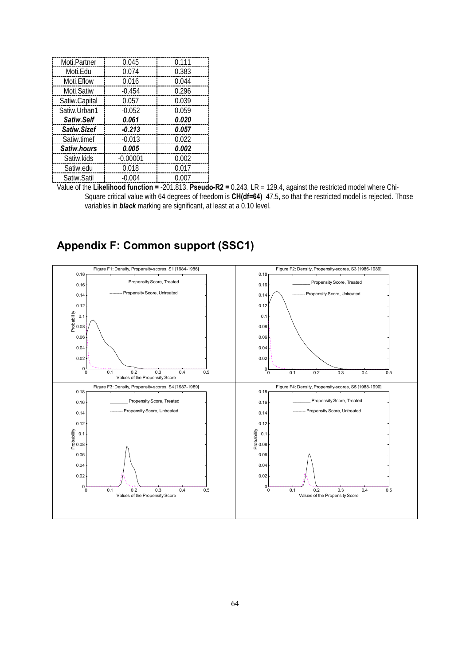| Moti.Partner       | 0.045      | 0.111 |
|--------------------|------------|-------|
| Moti.Edu           | 0.074      | 0.383 |
| Moti. Eflow        | 0.016      | 0.044 |
| Moti.Satiw         | $-0.454$   | 0.296 |
| Satiw.Capital      | 0.057      | 0.039 |
| Satiw.Urban1       | $-0.052$   | 0.059 |
| Satiw.Self         | 0.061      | 0.020 |
| Satiw.Sizef        | $-0.213$   | 0.057 |
| Satiw.timef        | $-0.013$   | 0.022 |
| <b>Satiw.hours</b> | 0.005      | 0.002 |
| Satiw.kids         | $-0.00001$ | 0.002 |
| Satiw.edu          | 0.018      | 0.017 |
| Satiw.Satil        | $-0.004$   | 0.007 |

Value of the **Likelihood function =** -201.813. **Pseudo-R2 =** 0.243, LR = 129.4, against the restricted model where Chi-Square critical value with 64 degrees of freedom is **CH(df=64)** 47.5, so that the restricted model is rejected. Those variables in *black* marking are significant, at least at a 0.10 level.

# **Appendix F: Common support (SSC1)**

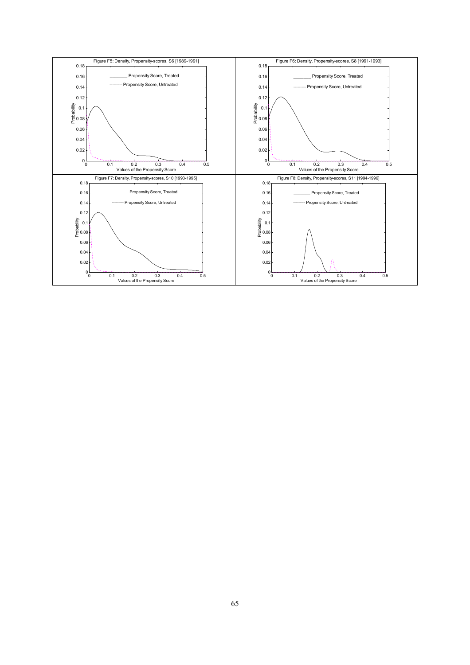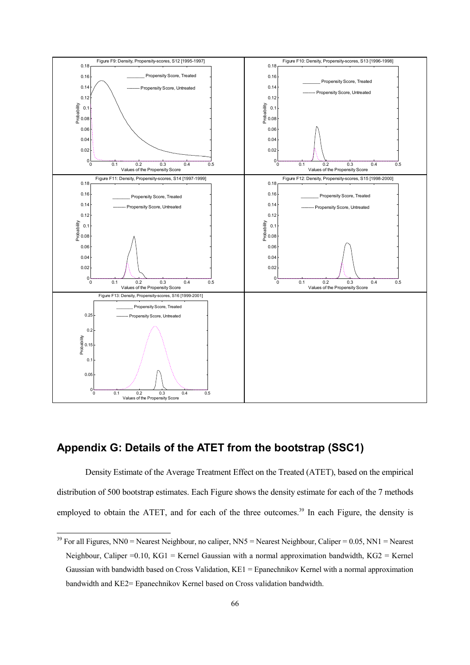

## **Appendix G: Details of the ATET from the bootstrap (SSC1)**

 $\overline{\phantom{a}}$ 

Density Estimate of the Average Treatment Effect on the Treated (ATET), based on the empirical distribution of 500 bootstrap estimates. Each Figure shows the density estimate for each of the 7 methods employed to obtain the ATET, and for each of the three outcomes.<sup>39</sup> In each Figure, the density is

<sup>&</sup>lt;sup>39</sup> For all Figures, NN0 = Nearest Neighbour, no caliper, NN5 = Nearest Neighbour, Caliper = 0.05, NN1 = Nearest Neighbour, Caliper =0.10, KG1 = Kernel Gaussian with a normal approximation bandwidth, KG2 = Kernel Gaussian with bandwidth based on Cross Validation, KE1 = Epanechnikov Kernel with a normal approximation bandwidth and KE2= Epanechnikov Kernel based on Cross validation bandwidth.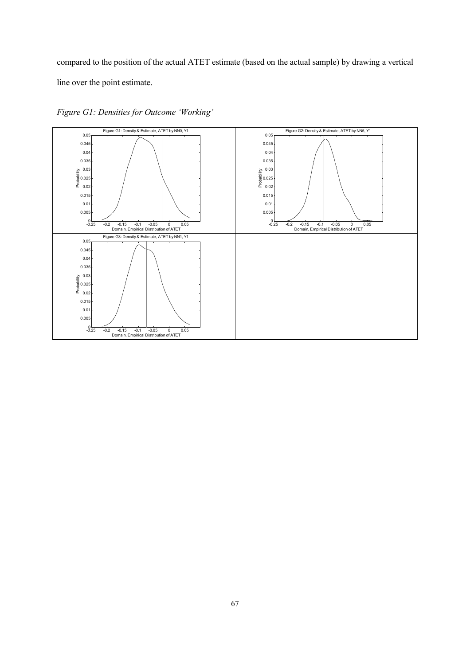compared to the position of the actual ATET estimate (based on the actual sample) by drawing a vertical line over the point estimate.



*Figure G1: Densities for Outcome 'Working'*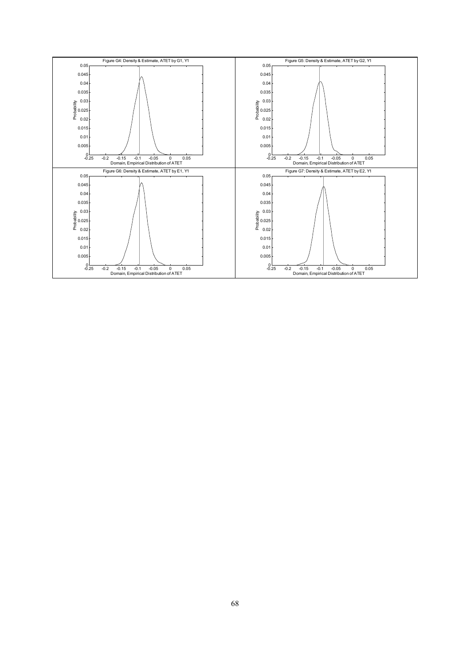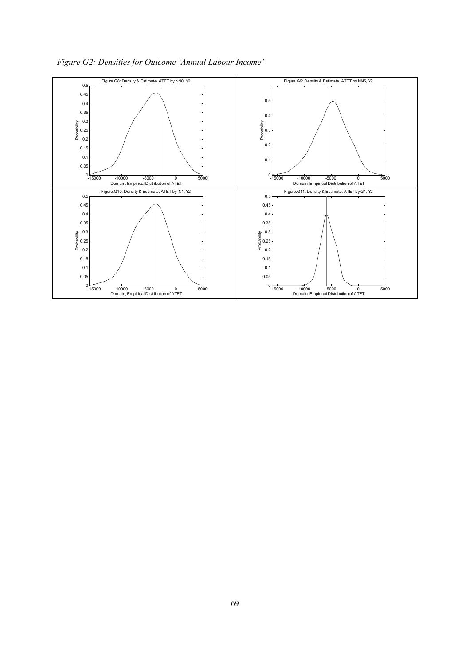

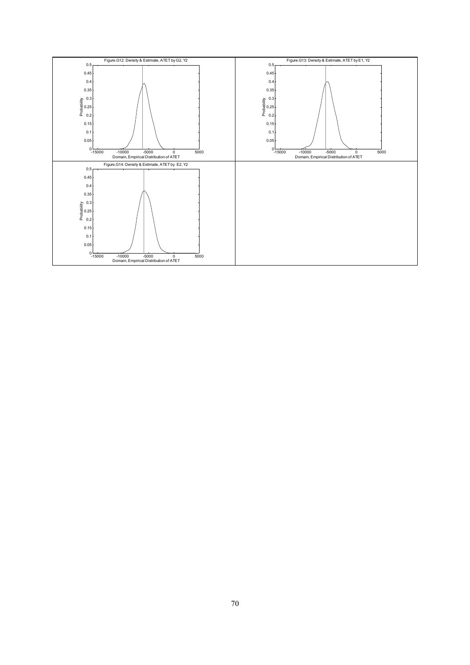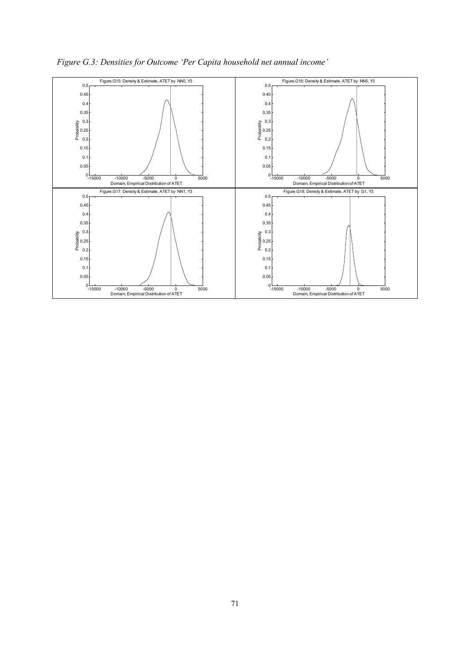

*Figure G.3: Densities for Outcome 'Per Capita household net annual income'*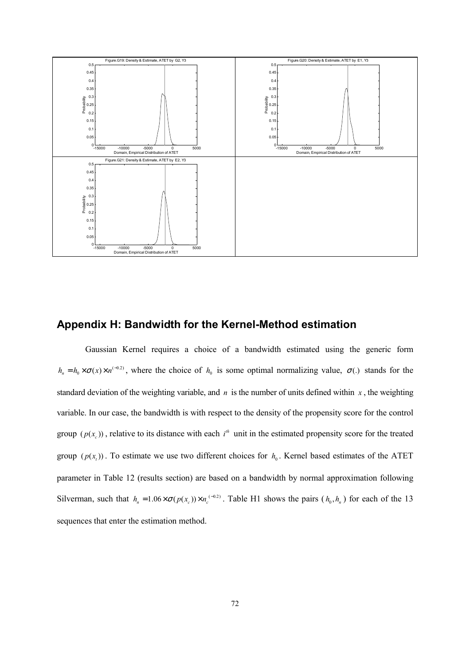

## **Appendix H: Bandwidth for the Kernel-Method estimation**

Gaussian Kernel requires a choice of a bandwidth estimated using the generic form  $h_n = h_0 \times \sigma(x) \times n^{(-0.2)}$ , where the choice of  $h_0$  is some optimal normalizing value,  $\sigma(.)$  stands for the standard deviation of the weighting variable, and  $n$  is the number of units defined within  $x$ , the weighting variable. In our case, the bandwidth is with respect to the density of the propensity score for the control group  $(p(x<sub>c</sub>))$ , relative to its distance with each  $i<sup>th</sup>$  unit in the estimated propensity score for the treated group  $(p(x_i))$ . To estimate we use two different choices for  $h_0$ . Kernel based estimates of the ATET parameter in Table 12 (results section) are based on a bandwidth by normal approximation following Silverman, such that  $h_n = 1.06 \times \sigma(p(x_c)) \times n_c^{(-0.2)}$ . Table H1 shows the pairs  $(h_0, h_n)$  for each of the 13 sequences that enter the estimation method.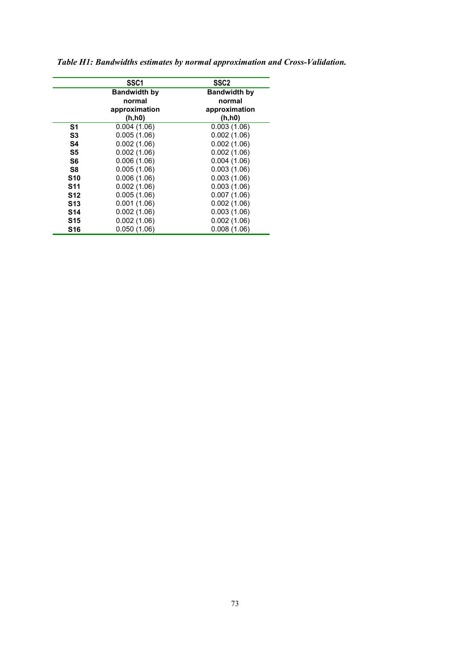|            | SSC <sub>1</sub>    | SSC <sub>2</sub>    |  |
|------------|---------------------|---------------------|--|
|            | <b>Bandwidth by</b> | <b>Bandwidth by</b> |  |
|            | normal              | normal              |  |
|            | approximation       | approximation       |  |
|            | (h, h0)             | (h, h0)             |  |
| S1         | 0.004(1.06)         | 0.003(1.06)         |  |
| S3         | 0.005(1.06)         | 0.002(1.06)         |  |
| S4         | 0.002(1.06)         | 0.002(1.06)         |  |
| S5         | 0.002(1.06)         | 0.002(1.06)         |  |
| S6         | 0.006(1.06)         | 0.004(1.06)         |  |
| S8         | 0.005(1.06)         | 0.003(1.06)         |  |
| <b>S10</b> | 0.006(1.06)         | 0.003(1.06)         |  |
| <b>S11</b> | 0.002(1.06)         | 0.003(1.06)         |  |
| <b>S12</b> | 0.005(1.06)         | 0.007(1.06)         |  |
| <b>S13</b> | 0.001(1.06)         | 0.002(1.06)         |  |
| <b>S14</b> | 0.002(1.06)         | 0.003(1.06)         |  |
| <b>S15</b> | 0.002(1.06)         | 0.002(1.06)         |  |
| <b>S16</b> | 0.050(1.06)         | 0.008(1.06)         |  |

*Table H1: Bandwidths estimates by normal approximation and Cross-Validation.*